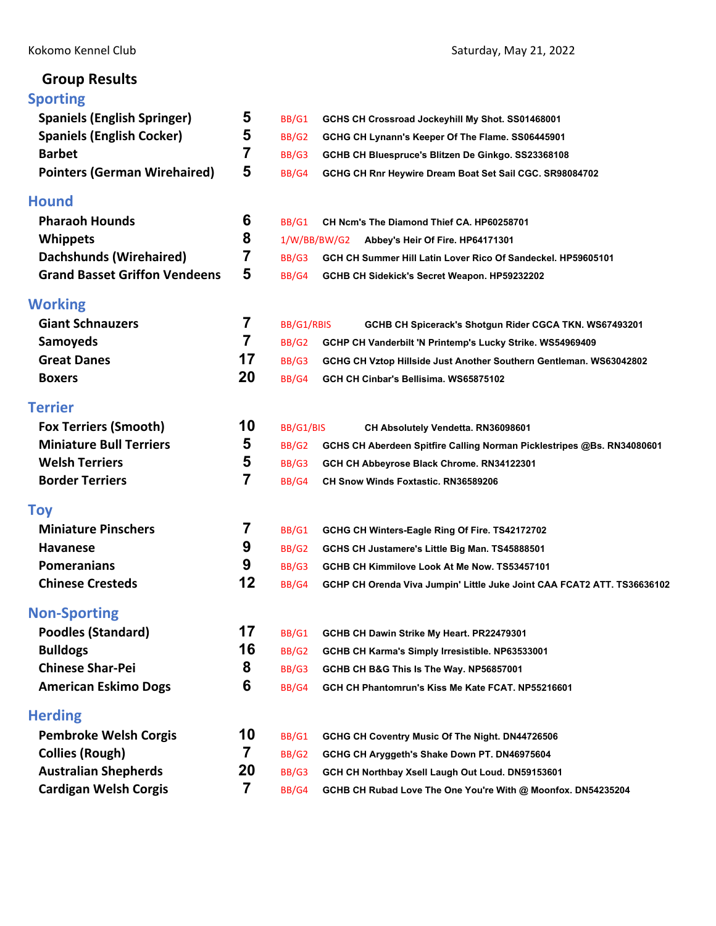# **Group Results**

## Kokomo Kennel Club Saturday, May 21, 2022

| <b>Sporting</b>                      |                |              |                                                                         |
|--------------------------------------|----------------|--------------|-------------------------------------------------------------------------|
| <b>Spaniels (English Springer)</b>   | 5              | BB/G1        | GCHS CH Crossroad Jockeyhill My Shot. SS01468001                        |
| <b>Spaniels (English Cocker)</b>     | 5              | BB/G2        | GCHG CH Lynann's Keeper Of The Flame. SS06445901                        |
| <b>Barbet</b>                        | $\overline{7}$ | BB/G3        | GCHB CH Bluespruce's Blitzen De Ginkgo. SS23368108                      |
| <b>Pointers (German Wirehaired)</b>  | 5              | BB/G4        | GCHG CH Rnr Heywire Dream Boat Set Sail CGC. SR98084702                 |
| <b>Hound</b>                         |                |              |                                                                         |
| <b>Pharaoh Hounds</b>                | 6              | BB/G1        | CH Ncm's The Diamond Thief CA. HP60258701                               |
| <b>Whippets</b>                      | 8              |              | 1/W/BB/BW/G2<br>Abbey's Heir Of Fire. HP64171301                        |
| <b>Dachshunds (Wirehaired)</b>       | 7              | BB/G3        | GCH CH Summer Hill Latin Lover Rico Of Sandeckel. HP59605101            |
| <b>Grand Basset Griffon Vendeens</b> | 5              | BB/G4        | GCHB CH Sidekick's Secret Weapon. HP59232202                            |
| Working                              |                |              |                                                                         |
| <b>Giant Schnauzers</b>              | 7              | BB/G1/RBIS   | GCHB CH Spicerack's Shotgun Rider CGCA TKN. WS67493201                  |
| <b>Samoyeds</b>                      | 7              | BB/G2        | GCHP CH Vanderbilt 'N Printemp's Lucky Strike. WS54969409               |
| <b>Great Danes</b>                   | 17             | BB/G3        | GCHG CH Vztop Hillside Just Another Southern Gentleman. WS63042802      |
| <b>Boxers</b>                        | 20             | BB/G4        | GCH CH Cinbar's Bellisima. WS65875102                                   |
| Terrier                              |                |              |                                                                         |
| <b>Fox Terriers (Smooth)</b>         | 10             | BB/G1/BIS    | CH Absolutely Vendetta. RN36098601                                      |
| <b>Miniature Bull Terriers</b>       | 5              | <b>BB/G2</b> | GCHS CH Aberdeen Spitfire Calling Norman Picklestripes @Bs. RN34080601  |
| <b>Welsh Terriers</b>                | 5              | BB/G3        | GCH CH Abbeyrose Black Chrome. RN34122301                               |
| <b>Border Terriers</b>               | 7              | BB/G4        | <b>CH Snow Winds Foxtastic, RN36589206</b>                              |
| Toy                                  |                |              |                                                                         |
| <b>Miniature Pinschers</b>           | 7              | BB/G1        | GCHG CH Winters-Eagle Ring Of Fire. TS42172702                          |
| <b>Havanese</b>                      | 9              | BB/G2        | GCHS CH Justamere's Little Big Man. TS45888501                          |
| <b>Pomeranians</b>                   | 9              | BB/G3        | GCHB CH Kimmilove Look At Me Now. TS53457101                            |
| <b>Chinese Cresteds</b>              | 12             | BB/G4        | GCHP CH Orenda Viva Jumpin' Little Juke Joint CAA FCAT2 ATT. TS36636102 |
| <b>Non-Sporting</b>                  |                |              |                                                                         |
| <b>Poodles (Standard)</b>            | 17             | BB/G1        | GCHB CH Dawin Strike My Heart. PR22479301                               |
| <b>Bulldogs</b>                      | 16             | BB/G2        | GCHB CH Karma's Simply Irresistible. NP63533001                         |
| <b>Chinese Shar-Pei</b>              | 8              | BB/G3        | GCHB CH B&G This Is The Way. NP56857001                                 |
| <b>American Eskimo Dogs</b>          | 6              | BB/G4        | GCH CH Phantomrun's Kiss Me Kate FCAT. NP55216601                       |
| <b>Herding</b>                       |                |              |                                                                         |
| <b>Pembroke Welsh Corgis</b>         | 10             | BB/G1        | GCHG CH Coventry Music Of The Night. DN44726506                         |
| <b>Collies (Rough)</b>               | 7              | BB/G2        | GCHG CH Aryggeth's Shake Down PT. DN46975604                            |
| <b>Australian Shepherds</b>          | 20             | BB/G3        | GCH CH Northbay Xsell Laugh Out Loud. DN59153601                        |
| <b>Cardigan Welsh Corgis</b>         | 7              | BB/G4        | GCHB CH Rubad Love The One You're With @ Moonfox. DN54235204            |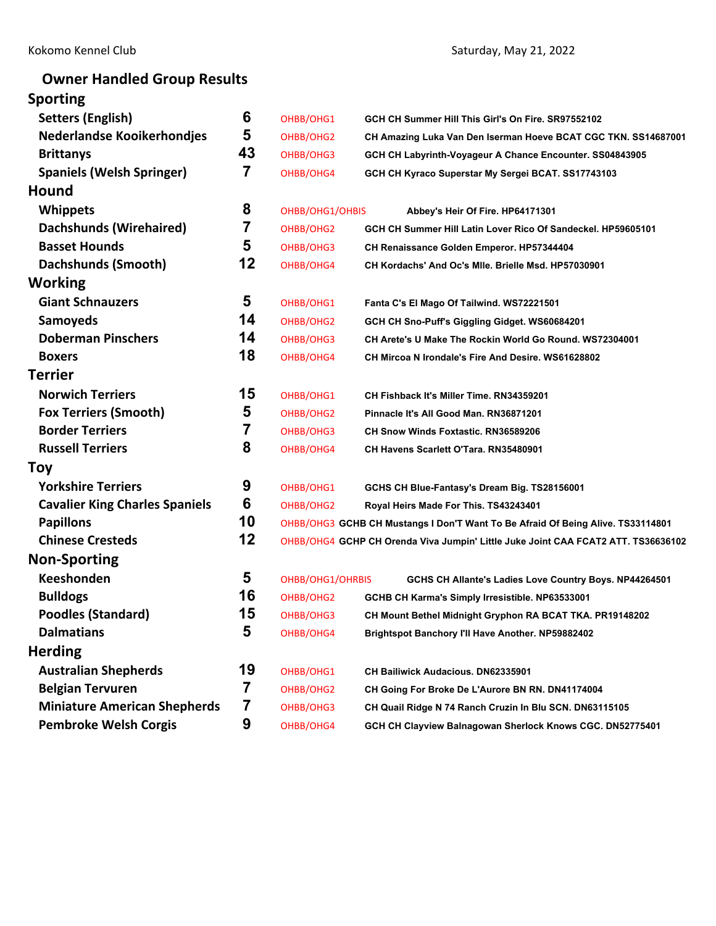# **Owner Handled Group Results**

| <b>Sporting</b>                       |    |                  |                                                                                   |  |  |
|---------------------------------------|----|------------------|-----------------------------------------------------------------------------------|--|--|
| <b>Setters (English)</b>              | 6  | OHBB/OHG1        | GCH CH Summer Hill This Girl's On Fire, SR97552102                                |  |  |
| <b>Nederlandse Kooikerhondjes</b>     | 5  | OHBB/OHG2        | CH Amazing Luka Van Den Iserman Hoeve BCAT CGC TKN. SS14687001                    |  |  |
| <b>Brittanys</b>                      | 43 | OHBB/OHG3        | GCH CH Labyrinth-Voyageur A Chance Encounter. SS04843905                          |  |  |
| <b>Spaniels (Welsh Springer)</b>      | 7  | OHBB/OHG4        | GCH CH Kyraco Superstar My Sergei BCAT. SS17743103                                |  |  |
| <b>Hound</b>                          |    |                  |                                                                                   |  |  |
| <b>Whippets</b>                       | 8  | OHBB/OHG1/OHBIS  | Abbey's Heir Of Fire. HP64171301                                                  |  |  |
| Dachshunds (Wirehaired)               | 7  | OHBB/OHG2        | GCH CH Summer Hill Latin Lover Rico Of Sandeckel. HP59605101                      |  |  |
| <b>Basset Hounds</b>                  | 5  | OHBB/OHG3        | CH Renaissance Golden Emperor. HP57344404                                         |  |  |
| Dachshunds (Smooth)                   | 12 | OHBB/OHG4        | CH Kordachs' And Oc's Mile. Brielle Msd. HP57030901                               |  |  |
| Working                               |    |                  |                                                                                   |  |  |
| <b>Giant Schnauzers</b>               | 5  | OHBB/OHG1        | Fanta C's El Mago Of Tailwind. WS72221501                                         |  |  |
| <b>Samoyeds</b>                       | 14 | OHBB/OHG2        | GCH CH Sno-Puff's Giggling Gidget. WS60684201                                     |  |  |
| <b>Doberman Pinschers</b>             | 14 | OHBB/OHG3        | CH Arete's U Make The Rockin World Go Round. WS72304001                           |  |  |
| <b>Boxers</b>                         | 18 | OHBB/OHG4        | CH Mircoa N Irondale's Fire And Desire. WS61628802                                |  |  |
| <b>Terrier</b>                        |    |                  |                                                                                   |  |  |
| <b>Norwich Terriers</b>               | 15 | OHBB/OHG1        | CH Fishback It's Miller Time. RN34359201                                          |  |  |
| <b>Fox Terriers (Smooth)</b>          | 5  | OHBB/OHG2        | Pinnacle It's All Good Man. RN36871201                                            |  |  |
| <b>Border Terriers</b>                | 7  | OHBB/OHG3        | <b>CH Snow Winds Foxtastic. RN36589206</b>                                        |  |  |
| <b>Russell Terriers</b>               | 8  | OHBB/OHG4        | CH Havens Scarlett O'Tara. RN35480901                                             |  |  |
| Toy                                   |    |                  |                                                                                   |  |  |
| <b>Yorkshire Terriers</b>             | 9  | OHBB/OHG1        | GCHS CH Blue-Fantasy's Dream Big. TS28156001                                      |  |  |
| <b>Cavalier King Charles Spaniels</b> | 6  | OHBB/OHG2        | Royal Heirs Made For This. TS43243401                                             |  |  |
| <b>Papillons</b>                      | 10 |                  | OHBB/OHG3 GCHB CH Mustangs I Don'T Want To Be Afraid Of Being Alive. TS33114801   |  |  |
| <b>Chinese Cresteds</b>               | 12 |                  | OHBB/OHG4 GCHP CH Orenda Viva Jumpin' Little Juke Joint CAA FCAT2 ATT. TS36636102 |  |  |
| <b>Non-Sporting</b>                   |    |                  |                                                                                   |  |  |
| <b>Keeshonden</b>                     | 5  | OHBB/OHG1/OHRBIS | GCHS CH Allante's Ladies Love Country Boys. NP44264501                            |  |  |
| <b>Bulldogs</b>                       | 16 | OHBB/OHG2        | GCHB CH Karma's Simply Irresistible. NP63533001                                   |  |  |
| <b>Poodles (Standard)</b>             | 15 | OHBB/OHG3        | CH Mount Bethel Midnight Gryphon RA BCAT TKA. PR19148202                          |  |  |
| <b>Dalmatians</b>                     | 5  | OHBB/OHG4        | Brightspot Banchory I'll Have Another. NP59882402                                 |  |  |
| <b>Herding</b>                        |    |                  |                                                                                   |  |  |
| <b>Australian Shepherds</b>           | 19 | OHBB/OHG1        | <b>CH Bailiwick Audacious. DN62335901</b>                                         |  |  |
| <b>Belgian Tervuren</b>               | 7  | OHBB/OHG2        | CH Going For Broke De L'Aurore BN RN. DN41174004                                  |  |  |
| <b>Miniature American Shepherds</b>   | 7  | OHBB/OHG3        | CH Quail Ridge N 74 Ranch Cruzin In Blu SCN. DN63115105                           |  |  |
| <b>Pembroke Welsh Corgis</b>          | 9  | OHBB/OHG4        | GCH CH Clayview Balnagowan Sherlock Knows CGC. DN52775401                         |  |  |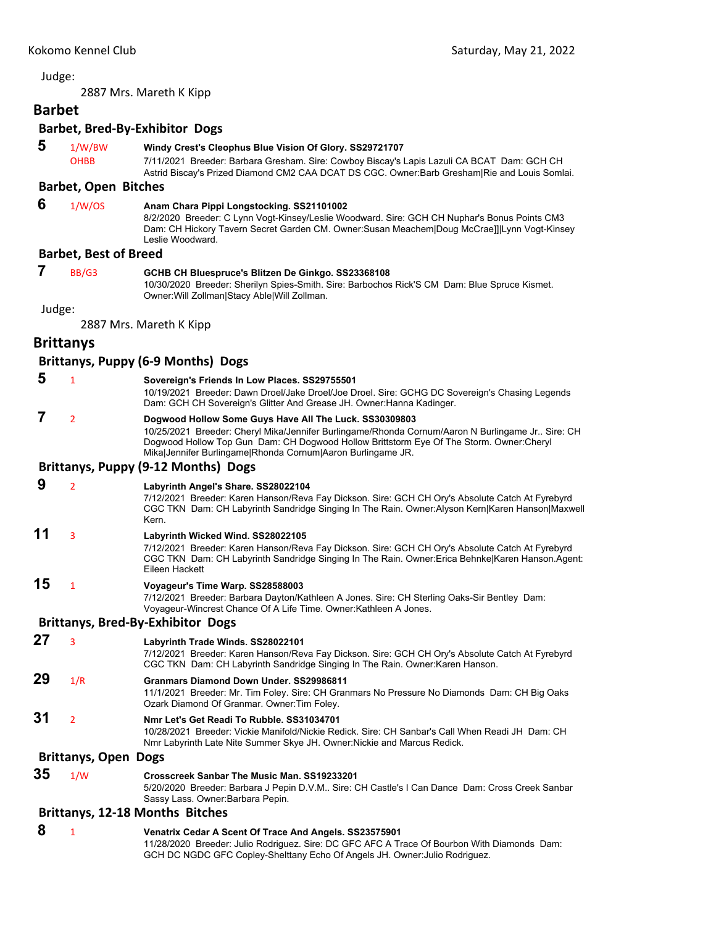<span id="page-2-0"></span>2887 Mrs. Mareth K Kipp

# **Barbet**

# **Barbet, Bred‐By‐Exhibitor Dogs**

 **5** 1/W/BW **Windy Crest's Cleophus Blue Vision Of Glory. SS29721707** OHBB 7/11/2021 Breeder: Barbara Gresham. Sire: Cowboy Biscay's Lapis Lazuli CA BCAT Dam: GCH CH Astrid Biscay's Prized Diamond CM2 CAA DCAT DS CGC. Owner:Barb Gresham|Rie and Louis Somlai.

## **Barbet, Open Bitches**

 **6** 1/W/OS **Anam Chara Pippi Longstocking. SS21101002**

8/2/2020 Breeder: C Lynn Vogt-Kinsey/Leslie Woodward. Sire: GCH CH Nuphar's Bonus Points CM3 Dam: CH Hickory Tavern Secret Garden CM. Owner:Susan Meachem|Doug McCrae]]|Lynn Vogt-Kinsey Leslie Woodward.

## **Barbet, Best of Breed**

 **7** BB/G3 **GCHB CH Bluespruce's Blitzen De Ginkgo. SS23368108**

10/30/2020 Breeder: Sherilyn Spies-Smith. Sire: Barbochos Rick'S CM Dam: Blue Spruce Kismet. Owner:Will Zollman|Stacy Able|Will Zollman.

Judge:

2887 Mrs. Mareth K Kipp

## **Brittanys**

#### **Brittanys, Puppy (6‐9 Months) Dogs**

- **5** <sup>1</sup> **Sovereign's Friends In Low Places. SS29755501** 10/19/2021 Breeder: Dawn Droel/Jake Droel/Joe Droel. Sire: GCHG DC Sovereign's Chasing Legends Dam: GCH CH Sovereign's Glitter And Grease JH. Owner:Hanna Kadinger.  **7** <sup>2</sup> **Dogwood Hollow Some Guys Have All The Luck. SS30309803** 10/25/2021 Breeder: Cheryl Mika/Jennifer Burlingame/Rhonda Cornum/Aaron N Burlingame Jr.. Sire: CH Dogwood Hollow Top Gun Dam: CH Dogwood Hollow Brittstorm Eye Of The Storm. Owner:Cheryl Mika|Jennifer Burlingame|Rhonda Cornum|Aaron Burlingame JR. **Brittanys, Puppy (9‐12 Months) Dogs 9** <sup>2</sup> **Labyrinth Angel's Share. SS28022104**
- 

7/12/2021 Breeder: Karen Hanson/Reva Fay Dickson. Sire: GCH CH Ory's Absolute Catch At Fyrebyrd CGC TKN Dam: CH Labyrinth Sandridge Singing In The Rain. Owner:Alyson Kern|Karen Hanson|Maxwell Kern.

## **11** <sup>3</sup> **Labyrinth Wicked Wind. SS28022105**

7/12/2021 Breeder: Karen Hanson/Reva Fay Dickson. Sire: GCH CH Ory's Absolute Catch At Fyrebyrd CGC TKN Dam: CH Labyrinth Sandridge Singing In The Rain. Owner:Erica Behnke|Karen Hanson.Agent: Eileen Hackett

## **15** <sup>1</sup> **Voyageur's Time Warp. SS28588003**

7/12/2021 Breeder: Barbara Dayton/Kathleen A Jones. Sire: CH Sterling Oaks-Sir Bentley Dam: Voyageur-Wincrest Chance Of A Life Time. Owner:Kathleen A Jones.

## **Brittanys, Bred‐By‐Exhibitor Dogs**

- **27** <sup>3</sup> **Labyrinth Trade Winds. SS28022101**
	-

7/12/2021 Breeder: Karen Hanson/Reva Fay Dickson. Sire: GCH CH Ory's Absolute Catch At Fyrebyrd CGC TKN Dam: CH Labyrinth Sandridge Singing In The Rain. Owner:Karen Hanson.

## **29** 1/R **Granmars Diamond Down Under. SS29986811**

- 11/1/2021 Breeder: Mr. Tim Foley. Sire: CH Granmars No Pressure No Diamonds Dam: CH Big Oaks Ozark Diamond Of Granmar. Owner:Tim Foley.
- **31** <sup>2</sup> **Nmr Let's Get Readi To Rubble. SS31034701**

10/28/2021 Breeder: Vickie Manifold/Nickie Redick. Sire: CH Sanbar's Call When Readi JH Dam: CH Nmr Labyrinth Late Nite Summer Skye JH. Owner:Nickie and Marcus Redick.

## **Brittanys, Open Dogs**

**35** 1/W **Crosscreek Sanbar The Music Man. SS19233201**

5/20/2020 Breeder: Barbara J Pepin D.V.M.. Sire: CH Castle's I Can Dance Dam: Cross Creek Sanbar Sassy Lass. Owner:Barbara Pepin.

## **Brittanys, 12‐18 Months Bitches**

 **8** <sup>1</sup> **Venatrix Cedar A Scent Of Trace And Angels. SS23575901** 11/28/2020 Breeder: Julio Rodriguez. Sire: DC GFC AFC A Trace Of Bourbon With Diamonds Dam: GCH DC NGDC GFC Copley-Shelttany Echo Of Angels JH. Owner:Julio Rodriguez.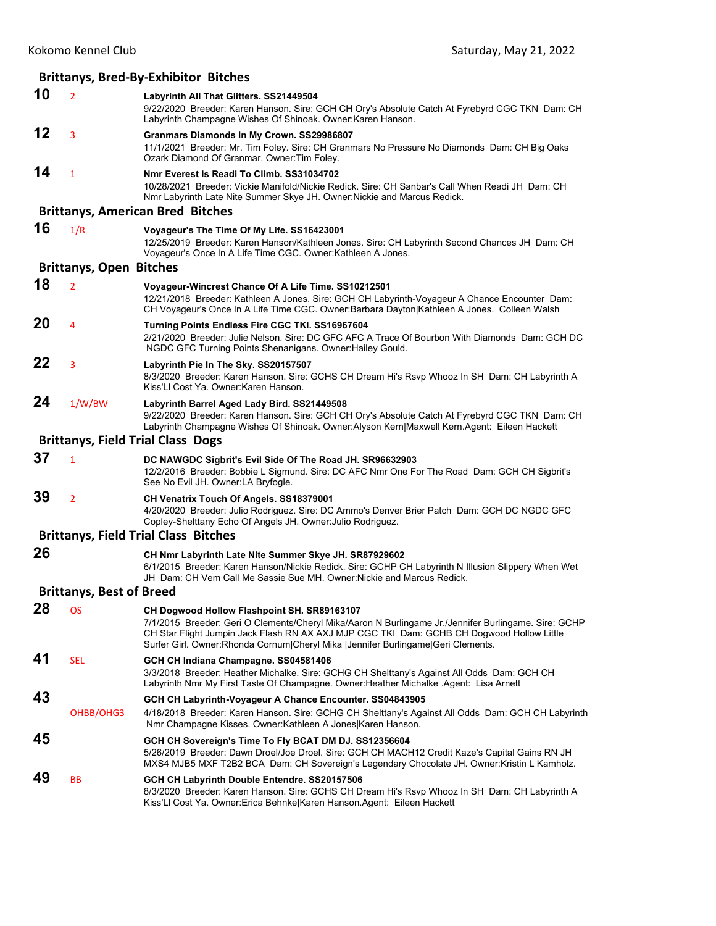|    |                                 | <b>Brittanys, Bred-By-Exhibitor Bitches</b>                                                                                                                                                                                                                                                                                          |
|----|---------------------------------|--------------------------------------------------------------------------------------------------------------------------------------------------------------------------------------------------------------------------------------------------------------------------------------------------------------------------------------|
| 10 | $\overline{2}$                  | Labyrinth All That Glitters. SS21449504<br>9/22/2020 Breeder: Karen Hanson. Sire: GCH CH Ory's Absolute Catch At Fyrebyrd CGC TKN Dam: CH<br>Labyrinth Champagne Wishes Of Shinoak. Owner: Karen Hanson.                                                                                                                             |
| 12 | 3                               | Granmars Diamonds In My Crown. SS29986807<br>11/1/2021 Breeder: Mr. Tim Foley. Sire: CH Granmars No Pressure No Diamonds Dam: CH Big Oaks<br>Ozark Diamond Of Granmar. Owner: Tim Foley.                                                                                                                                             |
| 14 | $\mathbf{1}$                    | Nmr Everest Is Readi To Climb, SS31034702<br>10/28/2021 Breeder: Vickie Manifold/Nickie Redick, Sire: CH Sanbar's Call When Readi JH Dam: CH<br>Nmr Labyrinth Late Nite Summer Skye JH. Owner: Nickie and Marcus Redick.                                                                                                             |
|    |                                 | <b>Brittanys, American Bred Bitches</b>                                                                                                                                                                                                                                                                                              |
| 16 | 1/R                             | Voyageur's The Time Of My Life. SS16423001<br>12/25/2019 Breeder: Karen Hanson/Kathleen Jones. Sire: CH Labyrinth Second Chances JH Dam: CH<br>Voyageur's Once In A Life Time CGC. Owner: Kathleen A Jones.                                                                                                                          |
|    | <b>Brittanys, Open Bitches</b>  |                                                                                                                                                                                                                                                                                                                                      |
| 18 | $\overline{2}$                  | Voyageur-Wincrest Chance Of A Life Time. SS10212501<br>12/21/2018 Breeder: Kathleen A Jones. Sire: GCH CH Labyrinth-Voyageur A Chance Encounter Dam:<br>CH Voyageur's Once In A Life Time CGC. Owner:Barbara Dayton Kathleen A Jones. Colleen Walsh                                                                                  |
| 20 | 4                               | Turning Points Endless Fire CGC TKI. SS16967604<br>2/21/2020 Breeder: Julie Nelson. Sire: DC GFC AFC A Trace Of Bourbon With Diamonds Dam: GCH DC<br>NGDC GFC Turning Points Shenanigans. Owner: Hailey Gould.                                                                                                                       |
| 22 | 3                               | Labyrinth Pie In The Sky. SS20157507<br>8/3/2020 Breeder: Karen Hanson, Sire: GCHS CH Dream Hi's Rsvp Whooz In SH Dam: CH Labyrinth A<br>Kiss'Ll Cost Ya. Owner: Karen Hanson.                                                                                                                                                       |
| 24 | 1/W/BW                          | Labyrinth Barrel Aged Lady Bird. SS21449508<br>9/22/2020 Breeder: Karen Hanson. Sire: GCH CH Ory's Absolute Catch At Fyrebyrd CGC TKN Dam: CH<br>Labyrinth Champagne Wishes Of Shinoak. Owner: Alyson Kern Maxwell Kern. Agent: Eileen Hackett                                                                                       |
|    |                                 | <b>Brittanys, Field Trial Class Dogs</b>                                                                                                                                                                                                                                                                                             |
| 37 | 1                               | DC NAWGDC Sigbrit's Evil Side Of The Road JH. SR96632903<br>12/2/2016 Breeder: Bobbie L Sigmund. Sire: DC AFC Nmr One For The Road Dam: GCH CH Sigbrit's<br>See No Evil JH. Owner: LA Bryfogle.                                                                                                                                      |
| 39 | $\overline{2}$                  | CH Venatrix Touch Of Angels. SS18379001<br>4/20/2020 Breeder: Julio Rodriguez. Sire: DC Ammo's Denver Brier Patch Dam: GCH DC NGDC GFC<br>Copley-Shelttany Echo Of Angels JH. Owner: Julio Rodriguez.                                                                                                                                |
|    |                                 | <b>Brittanys, Field Trial Class Bitches</b>                                                                                                                                                                                                                                                                                          |
| 26 |                                 | CH Nmr Labyrinth Late Nite Summer Skye JH. SR87929602<br>6/1/2015 Breeder: Karen Hanson/Nickie Redick. Sire: GCHP CH Labyrinth N Illusion Slippery When Wet<br>JH Dam: CH Vem Call Me Sassie Sue MH. Owner:Nickie and Marcus Redick.                                                                                                 |
|    | <b>Brittanys, Best of Breed</b> |                                                                                                                                                                                                                                                                                                                                      |
| 28 | OS                              | CH Dogwood Hollow Flashpoint SH. SR89163107<br>7/1/2015 Breeder: Geri O Clements/Cheryl Mika/Aaron N Burlingame Jr./Jennifer Burlingame. Sire: GCHP<br>CH Star Flight Jumpin Jack Flash RN AX AXJ MJP CGC TKI Dam: GCHB CH Dogwood Hollow Little<br>Surfer Girl. Owner:Rhonda Cornum Cheryl Mika  Jennifer Burlingame Geri Clements. |
| 41 | <b>SEL</b>                      | GCH CH Indiana Champagne. SS04581406<br>3/3/2018 Breeder: Heather Michalke. Sire: GCHG CH Shelttany's Against All Odds Dam: GCH CH<br>Labyrinth Nmr My First Taste Of Champagne. Owner: Heather Michalke .Agent: Lisa Arnett                                                                                                         |
| 43 |                                 | GCH CH Labyrinth-Voyageur A Chance Encounter. SS04843905                                                                                                                                                                                                                                                                             |
|    | OHBB/OHG3                       | 4/18/2018 Breeder: Karen Hanson. Sire: GCHG CH Shelttany's Against All Odds Dam: GCH CH Labyrinth<br>Nmr Champagne Kisses. Owner: Kathleen A Jones Karen Hanson.                                                                                                                                                                     |
| 45 |                                 | GCH CH Sovereign's Time To Fly BCAT DM DJ. SS12356604<br>5/26/2019 Breeder: Dawn Droel/Joe Droel. Sire: GCH CH MACH12 Credit Kaze's Capital Gains RN JH<br>MXS4 MJB5 MXF T2B2 BCA Dam: CH Sovereign's Legendary Chocolate JH. Owner:Kristin L Kamholz.                                                                               |
| 49 | ВB                              | GCH CH Labyrinth Double Entendre. SS20157506<br>8/3/2020 Breeder: Karen Hanson. Sire: GCHS CH Dream Hi's Rsvp Whooz In SH Dam: CH Labyrinth A<br>Kiss'Ll Cost Ya. Owner: Erica Behnke Karen Hanson. Agent: Eileen Hackett                                                                                                            |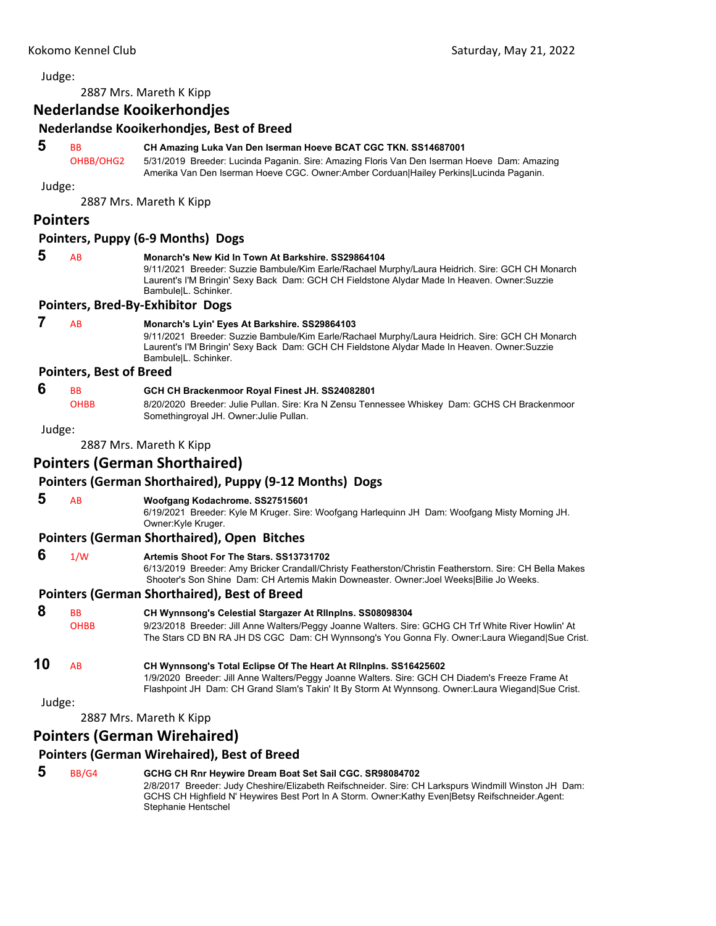2887 Mrs. Mareth K Kipp

## **Nederlandse Kooikerhondjes**

## **Nederlandse Kooikerhondjes, Best of Breed**

## **5** BB **CH Amazing Luka Van Den Iserman Hoeve BCAT CGC TKN. SS14687001** OHBB/OHG2 5/31/2019 Breeder: Lucinda Paganin. Sire: Amazing Floris Van Den Iserman Hoeve Dam: Amazing Amerika Van Den Iserman Hoeve CGC. Owner:Amber Corduan|Hailey Perkins|Lucinda Paganin. Judge: 2887 Mrs. Mareth K Kipp **Pointers Pointers, Puppy (6‐9 Months) Dogs 5** AB **Monarch's New Kid In Town At Barkshire. SS29864104** 9/11/2021 Breeder: Suzzie Bambule/Kim Earle/Rachael Murphy/Laura Heidrich. Sire: GCH CH Monarch Laurent's I'M Bringin' Sexy Back Dam: GCH CH Fieldstone Alydar Made In Heaven. Owner:Suzzie Bambule|L. Schinker. **Pointers, Bred‐By‐Exhibitor Dogs 7** AB **Monarch's Lyin' Eyes At Barkshire. SS29864103** 9/11/2021 Breeder: Suzzie Bambule/Kim Earle/Rachael Murphy/Laura Heidrich. Sire: GCH CH Monarch Laurent's I'M Bringin' Sexy Back Dam: GCH CH Fieldstone Alydar Made In Heaven. Owner:Suzzie Bambule|L. Schinker. **Pointers, Best of Breed 6** BB **GCH CH Brackenmoor Royal Finest JH. SS24082801** OHBB 8/20/2020 Breeder: Julie Pullan. Sire: Kra N Zensu Tennessee Whiskey Dam: GCHS CH Brackenmoor Somethingroyal JH. Owner:Julie Pullan. Judge: 2887 Mrs. Mareth K Kipp **Pointers (German Shorthaired) Pointers (German Shorthaired), Puppy (9‐12 Months) Dogs 5** AB **Woofgang Kodachrome. SS27515601** 6/19/2021 Breeder: Kyle M Kruger. Sire: Woofgang Harlequinn JH Dam: Woofgang Misty Morning JH. Owner:Kyle Kruger. **Pointers (German Shorthaired), Open Bitches 6** 1/W **Artemis Shoot For The Stars. SS13731702** 6/13/2019 Breeder: Amy Bricker Crandall/Christy Featherston/Christin Featherstorn. Sire: CH Bella Makes Shooter's Son Shine Dam: CH Artemis Makin Downeaster. Owner:Joel Weeks|Bilie Jo Weeks. **Pointers (German Shorthaired), Best of Breed 8** BB **CH Wynnsong's Celestial Stargazer At Rllnplns. SS08098304** OHBB 9/23/2018 Breeder: Jill Anne Walters/Peggy Joanne Walters. Sire: GCHG CH Trf White River Howlin' At The Stars CD BN RA JH DS CGC Dam: CH Wynnsong's You Gonna Fly. Owner:Laura Wiegand|Sue Crist. **10** AB **CH Wynnsong's Total Eclipse Of The Heart At Rllnplns. SS16425602** 1/9/2020 Breeder: Jill Anne Walters/Peggy Joanne Walters. Sire: GCH CH Diadem's Freeze Frame At Flashpoint JH Dam: CH Grand Slam's Takin' It By Storm At Wynnsong. Owner:Laura Wiegand|Sue Crist. Judge: 2887 Mrs. Mareth K Kipp **Pointers (German Wirehaired) Pointers (German Wirehaired), Best of Breed**

 **5** BB/G4 **GCHG CH Rnr Heywire Dream Boat Set Sail CGC. SR98084702** 2/8/2017 Breeder: Judy Cheshire/Elizabeth Reifschneider. Sire: CH Larkspurs Windmill Winston JH Dam: GCHS CH Highfield N' Heywires Best Port In A Storm. Owner:Kathy Even|Betsy Reifschneider.Agent: Stephanie Hentschel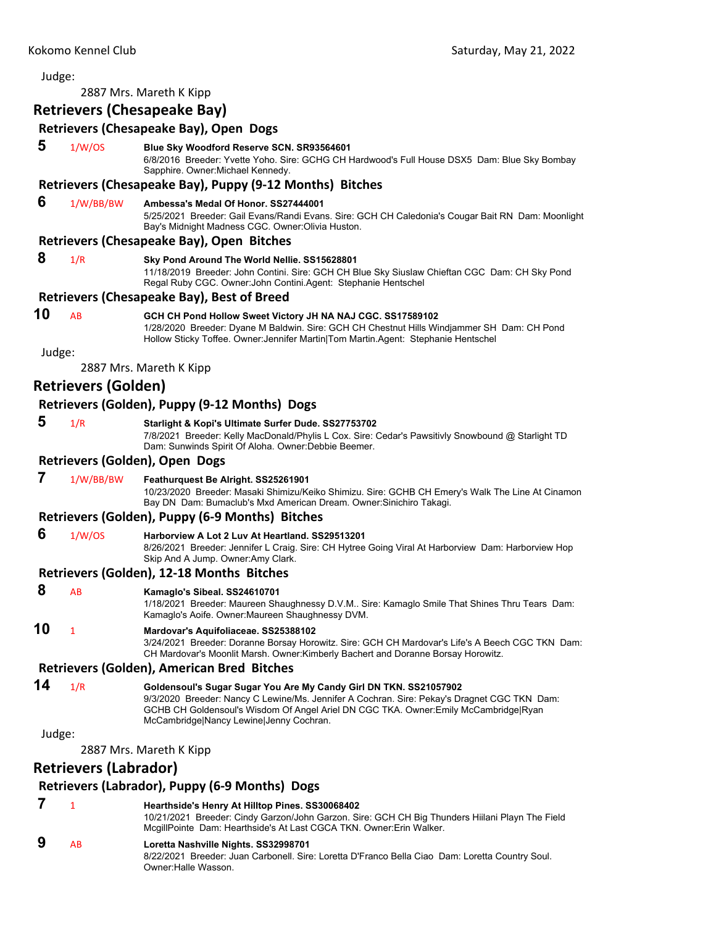## Judge: 2887 Mrs. Mareth K Kipp **Retrievers (Chesapeake Bay) Retrievers (Chesapeake Bay), Open Dogs 5** 1/W/OS **Blue Sky Woodford Reserve SCN. SR93564601** 6/8/2016 Breeder: Yvette Yoho. Sire: GCHG CH Hardwood's Full House DSX5 Dam: Blue Sky Bombay Sapphire. Owner:Michael Kennedy. **Retrievers (Chesapeake Bay), Puppy (9‐12 Months) Bitches 6** 1/W/BB/BW **Ambessa's Medal Of Honor. SS27444001** 5/25/2021 Breeder: Gail Evans/Randi Evans. Sire: GCH CH Caledonia's Cougar Bait RN Dam: Moonlight Bay's Midnight Madness CGC. Owner:Olivia Huston. **Retrievers (Chesapeake Bay), Open Bitches 8** 1/R **Sky Pond Around The World Nellie. SS15628801** 11/18/2019 Breeder: John Contini. Sire: GCH CH Blue Sky Siuslaw Chieftan CGC Dam: CH Sky Pond Regal Ruby CGC. Owner:John Contini.Agent: Stephanie Hentschel **Retrievers (Chesapeake Bay), Best of Breed 10** AB **GCH CH Pond Hollow Sweet Victory JH NA NAJ CGC. SS17589102** 1/28/2020 Breeder: Dyane M Baldwin. Sire: GCH CH Chestnut Hills Windjammer SH Dam: CH Pond Hollow Sticky Toffee. Owner:Jennifer Martin|Tom Martin.Agent: Stephanie Hentschel Judge: 2887 Mrs. Mareth K Kipp **Retrievers (Golden) Retrievers (Golden), Puppy (9‐12 Months) Dogs 5** 1/R **Starlight & Kopi's Ultimate Surfer Dude. SS27753702** 7/8/2021 Breeder: Kelly MacDonald/Phylis L Cox. Sire: Cedar's Pawsitivly Snowbound @ Starlight TD Dam: Sunwinds Spirit Of Aloha. Owner:Debbie Beemer. **Retrievers (Golden), Open Dogs 7** 1/W/BB/BW **Feathurquest Be Alright. SS25261901** 10/23/2020 Breeder: Masaki Shimizu/Keiko Shimizu. Sire: GCHB CH Emery's Walk The Line At Cinamon Bay DN Dam: Bumaclub's Mxd American Dream. Owner:Sinichiro Takagi. **Retrievers (Golden), Puppy (6‐9 Months) Bitches 6** 1/W/OS **Harborview A Lot 2 Luv At Heartland. SS29513201** 8/26/2021 Breeder: Jennifer L Craig. Sire: CH Hytree Going Viral At Harborview Dam: Harborview Hop Skip And A Jump. Owner:Amy Clark. **Retrievers (Golden), 12‐18 Months Bitches 8** AB **Kamaglo's Sibeal. SS24610701** 1/18/2021 Breeder: Maureen Shaughnessy D.V.M.. Sire: Kamaglo Smile That Shines Thru Tears Dam: Kamaglo's Aoife. Owner:Maureen Shaughnessy DVM. **10** <sup>1</sup> **Mardovar's Aquifoliaceae. SS25388102** 3/24/2021 Breeder: Doranne Borsay Horowitz. Sire: GCH CH Mardovar's Life's A Beech CGC TKN Dam: CH Mardovar's Moonlit Marsh. Owner:Kimberly Bachert and Doranne Borsay Horowitz. **Retrievers (Golden), American Bred Bitches 14** 1/R **Goldensoul's Sugar Sugar You Are My Candy Girl DN TKN. SS21057902** 9/3/2020 Breeder: Nancy C Lewine/Ms. Jennifer A Cochran. Sire: Pekay's Dragnet CGC TKN Dam: GCHB CH Goldensoul's Wisdom Of Angel Ariel DN CGC TKA. Owner:Emily McCambridge|Ryan McCambridge|Nancy Lewine|Jenny Cochran. Judge: 2887 Mrs. Mareth K Kipp **Retrievers (Labrador) Retrievers (Labrador), Puppy (6‐9 Months) Dogs 7** <sup>1</sup> **Hearthside's Henry At Hilltop Pines. SS30068402** 10/21/2021 Breeder: Cindy Garzon/John Garzon. Sire: GCH CH Big Thunders Hiilani Playn The Field McgillPointe Dam: Hearthside's At Last CGCA TKN. Owner:Erin Walker.  **9** AB **Loretta Nashville Nights. SS32998701** 8/22/2021 Breeder: Juan Carbonell. Sire: Loretta D'Franco Bella Ciao Dam: Loretta Country Soul.

Owner:Halle Wasson.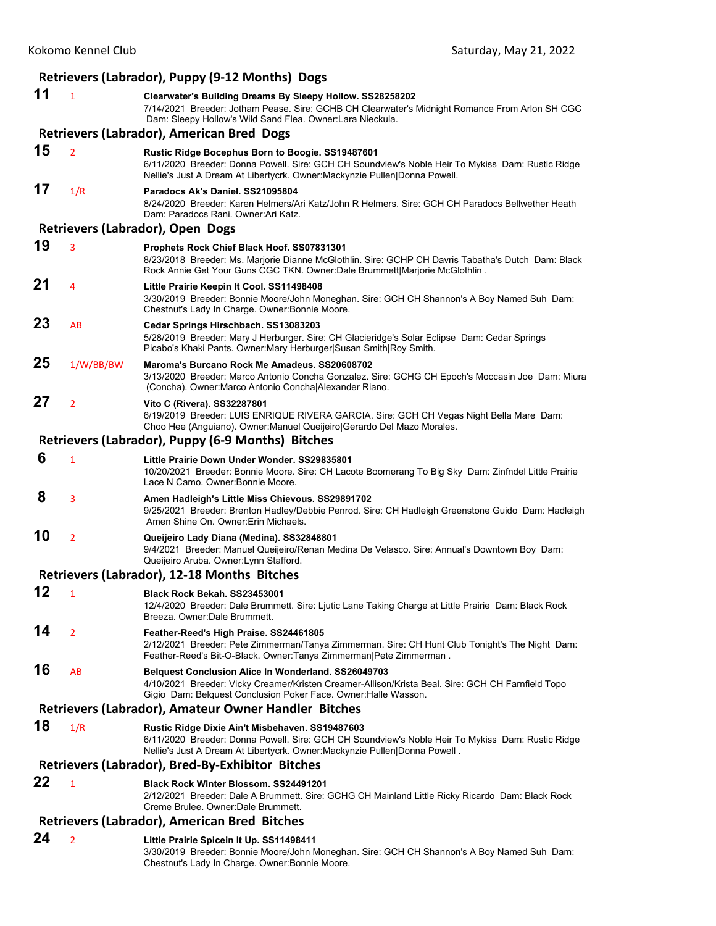|    |                                                     | Retrievers (Labrador), Puppy (9-12 Months) Dogs                                                                                                                                                                                     |  |  |  |  |
|----|-----------------------------------------------------|-------------------------------------------------------------------------------------------------------------------------------------------------------------------------------------------------------------------------------------|--|--|--|--|
| 11 | $\mathbf{1}$                                        | Clearwater's Building Dreams By Sleepy Hollow. SS28258202<br>7/14/2021 Breeder: Jotham Pease. Sire: GCHB CH Clearwater's Midnight Romance From Arlon SH CGC<br>Dam: Sleepy Hollow's Wild Sand Flea. Owner: Lara Nieckula.           |  |  |  |  |
|    |                                                     | Retrievers (Labrador), American Bred Dogs                                                                                                                                                                                           |  |  |  |  |
| 15 | $\overline{2}$                                      | Rustic Ridge Bocephus Born to Boogie. SS19487601<br>6/11/2020 Breeder: Donna Powell. Sire: GCH CH Soundview's Noble Heir To Mykiss Dam: Rustic Ridge<br>Nellie's Just A Dream At Libertycrk. Owner: Mackynzie Pullen Donna Powell.  |  |  |  |  |
| 17 | 1/R                                                 | Paradocs Ak's Daniel. SS21095804<br>8/24/2020 Breeder: Karen Helmers/Ari Katz/John R Helmers. Sire: GCH CH Paradocs Bellwether Heath<br>Dam: Paradocs Rani. Owner: Ari Katz.                                                        |  |  |  |  |
|    |                                                     | Retrievers (Labrador), Open Dogs                                                                                                                                                                                                    |  |  |  |  |
| 19 | 3                                                   | Prophets Rock Chief Black Hoof. SS07831301<br>8/23/2018 Breeder: Ms. Marjorie Dianne McGlothlin. Sire: GCHP CH Davris Tabatha's Dutch Dam: Black<br>Rock Annie Get Your Guns CGC TKN. Owner:Dale Brummett Marjorie McGlothlin.      |  |  |  |  |
| 21 | 4                                                   | Little Prairie Keepin It Cool. SS11498408<br>3/30/2019 Breeder: Bonnie Moore/John Moneghan. Sire: GCH CH Shannon's A Boy Named Suh Dam:<br>Chestnut's Lady In Charge. Owner: Bonnie Moore.                                          |  |  |  |  |
| 23 | AB                                                  | Cedar Springs Hirschbach. SS13083203<br>5/28/2019 Breeder: Mary J Herburger. Sire: CH Glacieridge's Solar Eclipse Dam: Cedar Springs<br>Picabo's Khaki Pants. Owner: Mary Herburger Susan Smith Roy Smith.                          |  |  |  |  |
| 25 | 1/W/BB/BW                                           | Maroma's Burcano Rock Me Amadeus, SS20608702<br>3/13/2020 Breeder: Marco Antonio Concha Gonzalez. Sire: GCHG CH Epoch's Moccasin Joe Dam: Miura<br>(Concha). Owner: Marco Antonio Concha Alexander Riano.                           |  |  |  |  |
| 27 | $\overline{2}$                                      | Vito C (Rivera). SS32287801<br>6/19/2019 Breeder: LUIS ENRIQUE RIVERA GARCIA. Sire: GCH CH Vegas Night Bella Mare Dam:<br>Choo Hee (Anguiano). Owner: Manuel Queijeiro   Gerardo Del Mazo Morales.                                  |  |  |  |  |
|    |                                                     | Retrievers (Labrador), Puppy (6-9 Months) Bitches                                                                                                                                                                                   |  |  |  |  |
| 6  | $\mathbf{1}$                                        | Little Prairie Down Under Wonder, SS29835801<br>10/20/2021 Breeder: Bonnie Moore. Sire: CH Lacote Boomerang To Big Sky Dam: Zinfndel Little Prairie<br>Lace N Camo. Owner: Bonnie Moore.                                            |  |  |  |  |
| 8  | 3                                                   | Amen Hadleigh's Little Miss Chievous. SS29891702<br>9/25/2021 Breeder: Brenton Hadley/Debbie Penrod. Sire: CH Hadleigh Greenstone Guido Dam: Hadleigh<br>Amen Shine On. Owner: Erin Michaels.                                       |  |  |  |  |
| 10 | $\overline{2}$                                      | Queijeiro Lady Diana (Medina). SS32848801<br>9/4/2021 Breeder: Manuel Queijeiro/Renan Medina De Velasco. Sire: Annual's Downtown Boy Dam:<br>Queijeiro Aruba. Owner: Lynn Stafford.                                                 |  |  |  |  |
|    |                                                     | Retrievers (Labrador), 12-18 Months Bitches                                                                                                                                                                                         |  |  |  |  |
| 12 | $\mathbf{1}$                                        | Black Rock Bekah. SS23453001<br>12/4/2020 Breeder: Dale Brummett. Sire: Ljutic Lane Taking Charge at Little Prairie Dam: Black Rock<br>Breeza. Owner: Dale Brummett.                                                                |  |  |  |  |
| 14 | $\overline{2}$                                      | Feather-Reed's High Praise. SS24461805<br>2/12/2021 Breeder: Pete Zimmerman/Tanya Zimmerman. Sire: CH Hunt Club Tonight's The Night Dam:<br>Feather-Reed's Bit-O-Black. Owner:Tanya Zimmerman Pete Zimmerman.                       |  |  |  |  |
| 16 | AB                                                  | <b>Belquest Conclusion Alice In Wonderland. SS26049703</b><br>4/10/2021 Breeder: Vicky Creamer/Kristen Creamer-Allison/Krista Beal. Sire: GCH CH Farnfield Topo<br>Gigio Dam: Belquest Conclusion Poker Face. Owner: Halle Wasson.  |  |  |  |  |
|    |                                                     | Retrievers (Labrador), Amateur Owner Handler Bitches                                                                                                                                                                                |  |  |  |  |
| 18 | 1/R                                                 | Rustic Ridge Dixie Ain't Misbehaven. SS19487603<br>6/11/2020 Breeder: Donna Powell. Sire: GCH CH Soundview's Noble Heir To Mykiss Dam: Rustic Ridge<br>Nellie's Just A Dream At Libertycrk. Owner: Mackynzie Pullen   Donna Powell. |  |  |  |  |
|    |                                                     | Retrievers (Labrador), Bred-By-Exhibitor Bitches                                                                                                                                                                                    |  |  |  |  |
| 22 | $\mathbf{1}$                                        | Black Rock Winter Blossom. SS24491201<br>2/12/2021 Breeder: Dale A Brummett. Sire: GCHG CH Mainland Little Ricky Ricardo Dam: Black Rock<br>Creme Brulee. Owner: Dale Brummett.                                                     |  |  |  |  |
|    | <b>Retrievers (Labrador), American Bred Bitches</b> |                                                                                                                                                                                                                                     |  |  |  |  |
| 24 | $\overline{2}$                                      | Little Prairie Spicein It Up. SS11498411<br>3/30/2019 Breeder: Bonnie Moore/John Moneghan. Sire: GCH CH Shannon's A Boy Named Suh Dam:<br>Chestnut's Lady In Charge. Owner: Bonnie Moore.                                           |  |  |  |  |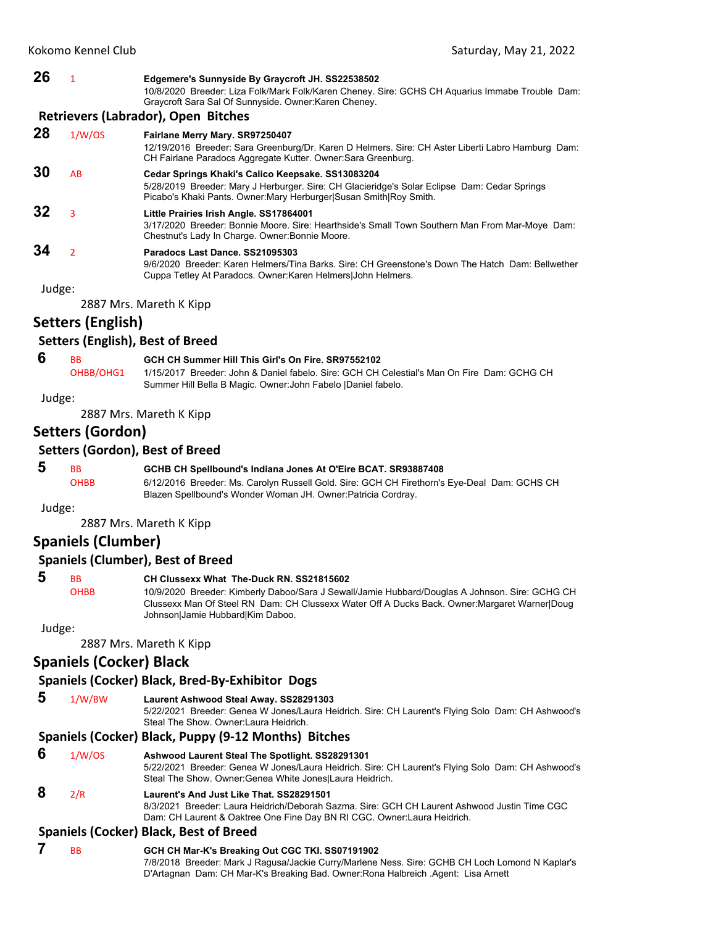**26** <sup>1</sup> **Edgemere's Sunnyside By Graycroft JH. SS22538502** 10/8/2020 Breeder: Liza Folk/Mark Folk/Karen Cheney. Sire: GCHS CH Aquarius Immabe Trouble Dam: Graycroft Sara Sal Of Sunnyside. Owner:Karen Cheney.

#### **Retrievers (Labrador), Open Bitches**

**28** 1/W/OS **Fairlane Merry Mary. SR97250407** 12/19/2016 Breeder: Sara Greenburg/Dr. Karen D Helmers. Sire: CH Aster Liberti Labro Hamburg Dam: CH Fairlane Paradocs Aggregate Kutter. Owner:Sara Greenburg. **30** AB **Cedar Springs Khaki's Calico Keepsake. SS13083204** 5/28/2019 Breeder: Mary J Herburger. Sire: CH Glacieridge's Solar Eclipse Dam: Cedar Springs Picabo's Khaki Pants. Owner:Mary Herburger|Susan Smith|Roy Smith. **32** <sup>3</sup> **Little Prairies Irish Angle. SS17864001** 3/17/2020 Breeder: Bonnie Moore. Sire: Hearthside's Small Town Southern Man From Mar-Moye Dam: Chestnut's Lady In Charge. Owner:Bonnie Moore. **34** <sup>2</sup> **Paradocs Last Dance. SS21095303** 9/6/2020 Breeder: Karen Helmers/Tina Barks. Sire: CH Greenstone's Down The Hatch Dam: Bellwether Cuppa Tetley At Paradocs. Owner:Karen Helmers|John Helmers.

Judge:

2887 Mrs. Mareth K Kipp

## **Setters (English)**

## **Setters (English), Best of Breed**

- **6** BB **GCH CH Summer Hill This Girl's On Fire. SR97552102**
	- OHBB/OHG1 1/15/2017 Breeder: John & Daniel fabelo. Sire: GCH CH Celestial's Man On Fire Dam: GCHG CH Summer Hill Bella B Magic. Owner:John Fabelo |Daniel fabelo.

#### Judge:

2887 Mrs. Mareth K Kipp

## **Setters (Gordon)**

## **Setters (Gordon), Best of Breed**

## **5** BB **GCHB CH Spellbound's Indiana Jones At O'Eire BCAT. SR93887408**

OHBB 6/12/2016 Breeder: Ms. Carolyn Russell Gold. Sire: GCH CH Firethorn's Eye-Deal Dam: GCHS CH Blazen Spellbound's Wonder Woman JH. Owner:Patricia Cordray.

Judge:

2887 Mrs. Mareth K Kipp

## **Spaniels (Clumber)**

## **Spaniels (Clumber), Best of Breed**

## **5** BB **CH Clussexx What The-Duck RN. SS21815602**

OHBB 10/9/2020 Breeder: Kimberly Daboo/Sara J Sewall/Jamie Hubbard/Douglas A Johnson. Sire: GCHG CH Clussexx Man Of Steel RN Dam: CH Clussexx Water Off A Ducks Back. Owner:Margaret Warner|Doug Johnson|Jamie Hubbard|Kim Daboo.

Judge:

2887 Mrs. Mareth K Kipp

## **Spaniels (Cocker) Black**

## **Spaniels (Cocker) Black, Bred‐By‐Exhibitor Dogs**

 **5** 1/W/BW **Laurent Ashwood Steal Away. SS28291303**

5/22/2021 Breeder: Genea W Jones/Laura Heidrich. Sire: CH Laurent's Flying Solo Dam: CH Ashwood's Steal The Show. Owner:Laura Heidrich.

## **Spaniels (Cocker) Black, Puppy (9‐12 Months) Bitches**

 **6** 1/W/OS **Ashwood Laurent Steal The Spotlight. SS28291301** 5/22/2021 Breeder: Genea W Jones/Laura Heidrich. Sire: CH Laurent's Flying Solo Dam: CH Ashwood's Steal The Show. Owner:Genea White Jones|Laura Heidrich.

## **8** 2/R **Laurent's And Just Like That. SS28291501**

8/3/2021 Breeder: Laura Heidrich/Deborah Sazma. Sire: GCH CH Laurent Ashwood Justin Time CGC Dam: CH Laurent & Oaktree One Fine Day BN RI CGC. Owner:Laura Heidrich.

## **Spaniels (Cocker) Black, Best of Breed**

 **7** BB **GCH CH Mar-K's Breaking Out CGC TKI. SS07191902** 7/8/2018 Breeder: Mark J Ragusa/Jackie Curry/Marlene Ness. Sire: GCHB CH Loch Lomond N Kaplar's D'Artagnan Dam: CH Mar-K's Breaking Bad. Owner:Rona Halbreich .Agent: Lisa Arnett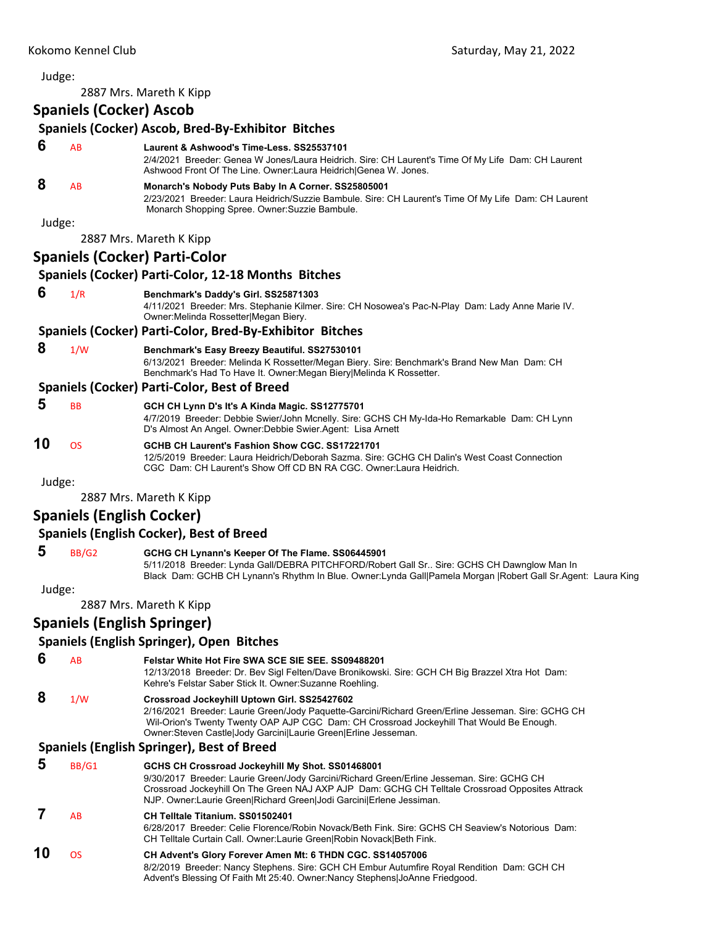Judge: 2887 Mrs. Mareth K Kipp **Spaniels (Cocker) Ascob Spaniels (Cocker) Ascob, Bred‐By‐Exhibitor Bitches 6** AB **Laurent & Ashwood's Time-Less. SS25537101** 2/4/2021 Breeder: Genea W Jones/Laura Heidrich. Sire: CH Laurent's Time Of My Life Dam: CH Laurent Ashwood Front Of The Line. Owner:Laura Heidrich|Genea W. Jones.  **8** AB **Monarch's Nobody Puts Baby In A Corner. SS25805001** 2/23/2021 Breeder: Laura Heidrich/Suzzie Bambule. Sire: CH Laurent's Time Of My Life Dam: CH Laurent Monarch Shopping Spree. Owner:Suzzie Bambule. Judge: 2887 Mrs. Mareth K Kipp **Spaniels (Cocker) Parti‐Color Spaniels (Cocker) Parti‐Color, 12‐18 Months Bitches 6** 1/R **Benchmark's Daddy's Girl. SS25871303** 4/11/2021 Breeder: Mrs. Stephanie Kilmer. Sire: CH Nosowea's Pac-N-Play Dam: Lady Anne Marie IV. Owner:Melinda Rossetter|Megan Biery. **Spaniels (Cocker) Parti‐Color, Bred‐By‐Exhibitor Bitches 8** 1/W **Benchmark's Easy Breezy Beautiful. SS27530101** 6/13/2021 Breeder: Melinda K Rossetter/Megan Biery. Sire: Benchmark's Brand New Man Dam: CH Benchmark's Had To Have It. Owner:Megan Biery|Melinda K Rossetter. **Spaniels (Cocker) Parti‐Color, Best of Breed 5** BB **GCH CH Lynn D's It's A Kinda Magic. SS12775701** 4/7/2019 Breeder: Debbie Swier/John Mcnelly. Sire: GCHS CH My-Ida-Ho Remarkable Dam: CH Lynn D's Almost An Angel. Owner:Debbie Swier.Agent: Lisa Arnett **10** OS **GCHB CH Laurent's Fashion Show CGC. SS17221701** 12/5/2019 Breeder: Laura Heidrich/Deborah Sazma. Sire: GCHG CH Dalin's West Coast Connection CGC Dam: CH Laurent's Show Off CD BN RA CGC. Owner:Laura Heidrich. Judge: 2887 Mrs. Mareth K Kipp **Spaniels (English Cocker) Spaniels (English Cocker), Best of Breed 5** BB/G2 **GCHG CH Lynann's Keeper Of The Flame. SS06445901** 5/11/2018 Breeder: Lynda Gall/DEBRA PITCHFORD/Robert Gall Sr.. Sire: GCHS CH Dawnglow Man In Black Dam: GCHB CH Lynann's Rhythm In Blue. Owner:Lynda Gall|Pamela Morgan |Robert Gall Sr.Agent: Laura King Judge: 2887 Mrs. Mareth K Kipp **Spaniels (English Springer) Spaniels (English Springer), Open Bitches 6** AB **Felstar White Hot Fire SWA SCE SIE SEE. SS09488201** 12/13/2018 Breeder: Dr. Bev Sigl Felten/Dave Bronikowski. Sire: GCH CH Big Brazzel Xtra Hot Dam: Kehre's Felstar Saber Stick It. Owner:Suzanne Roehling.  **8** 1/W **Crossroad Jockeyhill Uptown Girl. SS25427602** 2/16/2021 Breeder: Laurie Green/Jody Paquette-Garcini/Richard Green/Erline Jesseman. Sire: GCHG CH Wil-Orion's Twenty Twenty OAP AJP CGC Dam: CH Crossroad Jockeyhill That Would Be Enough. Owner:Steven Castle|Jody Garcini|Laurie Green|Erline Jesseman. **Spaniels (English Springer), Best of Breed 5** BB/G1 **GCHS CH Crossroad Jockeyhill My Shot. SS01468001** 9/30/2017 Breeder: Laurie Green/Jody Garcini/Richard Green/Erline Jesseman. Sire: GCHG CH Crossroad Jockeyhill On The Green NAJ AXP AJP Dam: GCHG CH Telltale Crossroad Opposites Attrack NJP. Owner:Laurie Green|Richard Green|Jodi Garcini|Erlene Jessiman.

## **7** AB **CH Telltale Titanium. SS01502401**

6/28/2017 Breeder: Celie Florence/Robin Novack/Beth Fink. Sire: GCHS CH Seaview's Notorious Dam: CH Telltale Curtain Call. Owner:Laurie Green|Robin Novack|Beth Fink.

#### **10** OS **CH Advent's Glory Forever Amen Mt: 6 THDN CGC. SS14057006** 8/2/2019 Breeder: Nancy Stephens. Sire: GCH CH Embur Autumfire Royal Rendition Dam: GCH CH Advent's Blessing Of Faith Mt 25:40. Owner:Nancy Stephens|JoAnne Friedgood.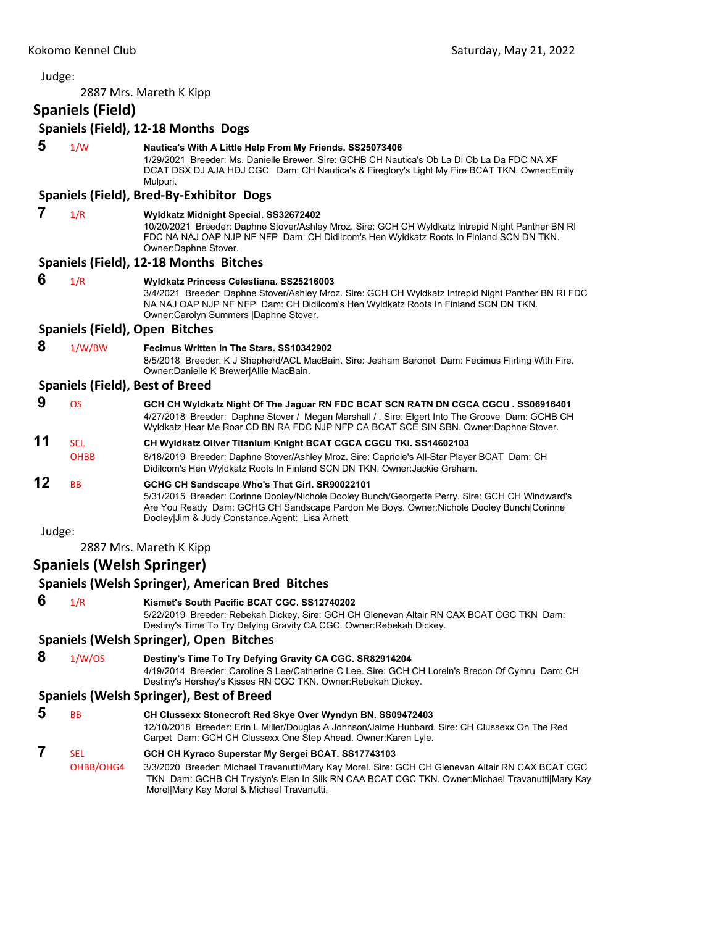## Judge: 2887 Mrs. Mareth K Kipp **Spaniels (Field) Spaniels (Field), 12‐18 Months Dogs 5** 1/W **Nautica's With A Little Help From My Friends. SS25073406** 1/29/2021 Breeder: Ms. Danielle Brewer. Sire: GCHB CH Nautica's Ob La Di Ob La Da FDC NA XF DCAT DSX DJ AJA HDJ CGC Dam: CH Nautica's & Fireglory's Light My Fire BCAT TKN. Owner:Emily Mulpuri. **Spaniels (Field), Bred‐By‐Exhibitor Dogs 7** 1/R **Wyldkatz Midnight Special. SS32672402** 10/20/2021 Breeder: Daphne Stover/Ashley Mroz. Sire: GCH CH Wyldkatz Intrepid Night Panther BN RI FDC NA NAJ OAP NJP NF NFP Dam: CH Didilcom's Hen Wyldkatz Roots In Finland SCN DN TKN. Owner:Daphne Stover. **Spaniels (Field), 12‐18 Months Bitches 6** 1/R **Wyldkatz Princess Celestiana. SS25216003** 3/4/2021 Breeder: Daphne Stover/Ashley Mroz. Sire: GCH CH Wyldkatz Intrepid Night Panther BN RI FDC NA NAJ OAP NJP NF NFP Dam: CH Didilcom's Hen Wyldkatz Roots In Finland SCN DN TKN. Owner:Carolyn Summers |Daphne Stover. **Spaniels (Field), Open Bitches 8** 1/W/BW **Fecimus Written In The Stars. SS10342902** 8/5/2018 Breeder: K J Shepherd/ACL MacBain. Sire: Jesham Baronet Dam: Fecimus Flirting With Fire. Owner:Danielle K Brewer|Allie MacBain. **Spaniels (Field), Best of Breed 9** OS **GCH CH Wyldkatz Night Of The Jaguar RN FDC BCAT SCN RATN DN CGCA CGCU . SS06916401** 4/27/2018 Breeder: Daphne Stover / Megan Marshall / . Sire: Elgert Into The Groove Dam: GCHB CH Wyldkatz Hear Me Roar CD BN RA FDC NJP NFP CA BCAT SCE SIN SBN. Owner:Daphne Stover. **11** SEL **CH Wyldkatz Oliver Titanium Knight BCAT CGCA CGCU TKI. SS14602103** OHBB 8/18/2019 Breeder: Daphne Stover/Ashley Mroz. Sire: Capriole's All-Star Player BCAT Dam: CH Didilcom's Hen Wyldkatz Roots In Finland SCN DN TKN. Owner:Jackie Graham. **12** BB **GCHG CH Sandscape Who's That Girl. SR90022101** 5/31/2015 Breeder: Corinne Dooley/Nichole Dooley Bunch/Georgette Perry. Sire: GCH CH Windward's Are You Ready Dam: GCHG CH Sandscape Pardon Me Boys. Owner:Nichole Dooley Bunch|Corinne Dooley|Jim & Judy Constance.Agent: Lisa Arnett Judge: 2887 Mrs. Mareth K Kipp **Spaniels (Welsh Springer) Spaniels (Welsh Springer), American Bred Bitches 6** 1/R **Kismet's South Pacific BCAT CGC. SS12740202** 5/22/2019 Breeder: Rebekah Dickey. Sire: GCH CH Glenevan Altair RN CAX BCAT CGC TKN Dam: Destiny's Time To Try Defying Gravity CA CGC. Owner:Rebekah Dickey. **Spaniels (Welsh Springer), Open Bitches 8** 1/W/OS **Destiny's Time To Try Defying Gravity CA CGC. SR82914204** 4/19/2014 Breeder: Caroline S Lee/Catherine C Lee. Sire: GCH CH Loreln's Brecon Of Cymru Dam: CH Destiny's Hershey's Kisses RN CGC TKN. Owner:Rebekah Dickey. **Spaniels (Welsh Springer), Best of Breed 5** BB **CH Clussexx Stonecroft Red Skye Over Wyndyn BN. SS09472403** 12/10/2018 Breeder: Erin L Miller/Douglas A Johnson/Jaime Hubbard. Sire: CH Clussexx On The Red Carpet Dam: GCH CH Clussexx One Step Ahead. Owner:Karen Lyle.  **7** SEL **GCH CH Kyraco Superstar My Sergei BCAT. SS17743103**

OHBB/OHG4 3/3/2020 Breeder: Michael Travanutti/Mary Kay Morel. Sire: GCH CH Glenevan Altair RN CAX BCAT CGC TKN Dam: GCHB CH Trystyn's Elan In Silk RN CAA BCAT CGC TKN. Owner:Michael Travanutti|Mary Kay Morel|Mary Kay Morel & Michael Travanutti.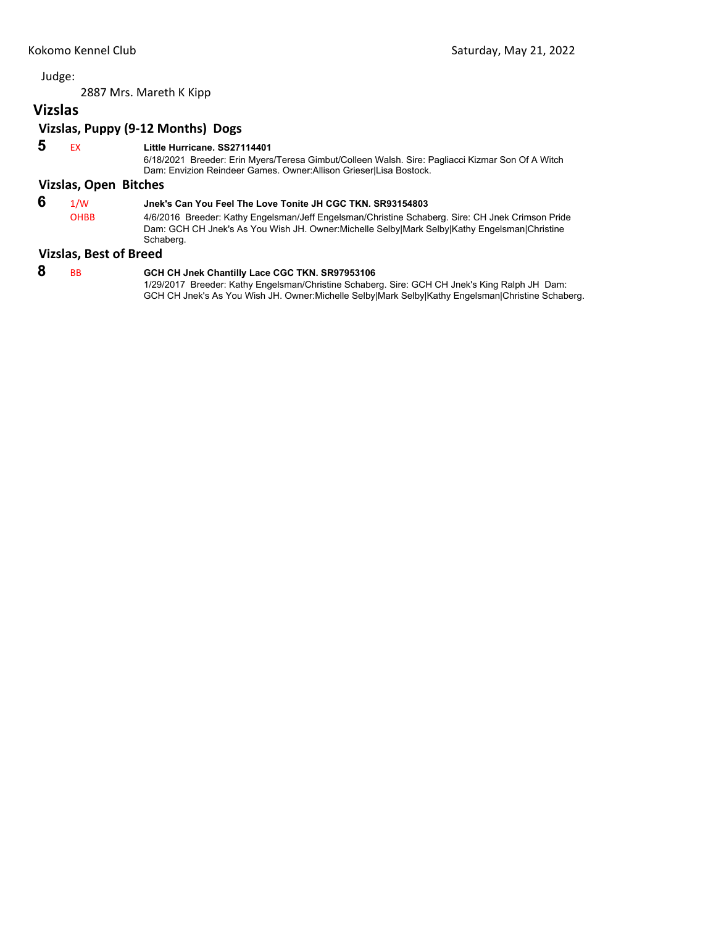2887 Mrs. Mareth K Kipp

# **Vizslas**

# **Vizslas, Puppy (9‐12 Months) Dogs**

# **5** EX **Little Hurricane. SS27114401**

6/18/2021 Breeder: Erin Myers/Teresa Gimbut/Colleen Walsh. Sire: Pagliacci Kizmar Son Of A Witch Dam: Envizion Reindeer Games. Owner:Allison Grieser|Lisa Bostock.

## **Vizslas, Open Bitches**

# **6** 1/W **Jnek's Can You Feel The Love Tonite JH CGC TKN. SR93154803**

OHBB 4/6/2016 Breeder: Kathy Engelsman/Jeff Engelsman/Christine Schaberg. Sire: CH Jnek Crimson Pride Dam: GCH CH Jnek's As You Wish JH. Owner:Michelle Selby|Mark Selby|Kathy Engelsman|Christine Schaberg.

## **Vizslas, Best of Breed**

 **8** BB **GCH CH Jnek Chantilly Lace CGC TKN. SR97953106** 1/29/2017 Breeder: Kathy Engelsman/Christine Schaberg. Sire: GCH CH Jnek's King Ralph JH Dam: GCH CH Jnek's As You Wish JH. Owner:Michelle Selby|Mark Selby|Kathy Engelsman|Christine Schaberg.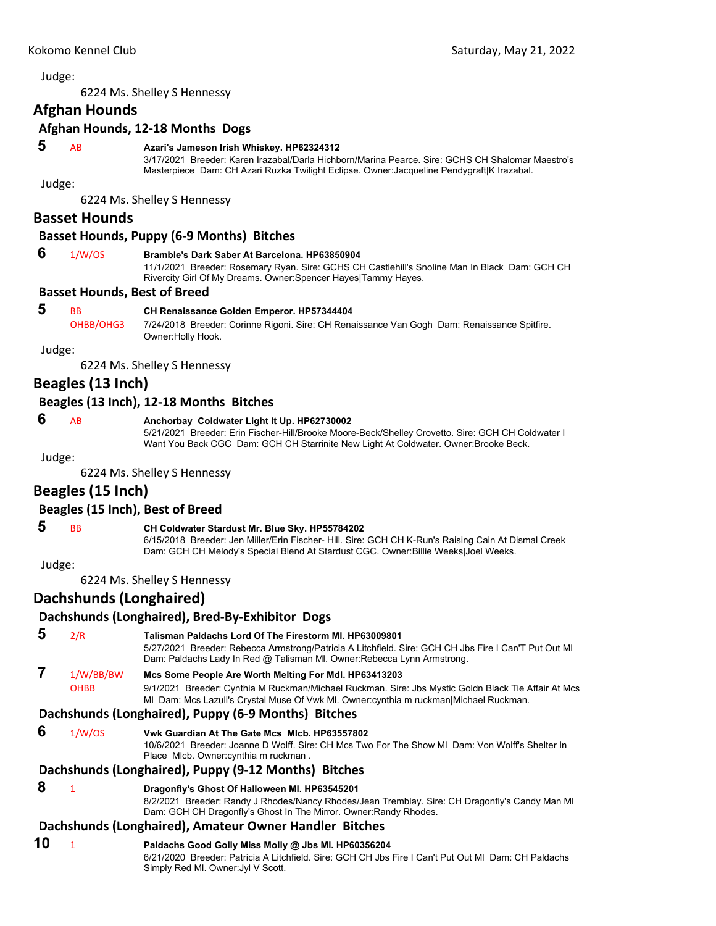<span id="page-11-0"></span>6224 Ms. Shelley S Hennessy

## **Afghan Hounds**

## **Afghan Hounds, 12‐18 Months Dogs**

## **5** AB **Azari's Jameson Irish Whiskey. HP62324312**

3/17/2021 Breeder: Karen Irazabal/Darla Hichborn/Marina Pearce. Sire: GCHS CH Shalomar Maestro's Masterpiece Dam: CH Azari Ruzka Twilight Eclipse. Owner:Jacqueline Pendygraft|K Irazabal.

Judge:

6224 Ms. Shelley S Hennessy

## **Basset Hounds**

## **Basset Hounds, Puppy (6‐9 Months) Bitches**

## **6** 1/W/OS **Bramble's Dark Saber At Barcelona. HP63850904**

11/1/2021 Breeder: Rosemary Ryan. Sire: GCHS CH Castlehill's Snoline Man In Black Dam: GCH CH Rivercity Girl Of My Dreams. Owner:Spencer Hayes|Tammy Hayes.

## **Basset Hounds, Best of Breed**

## **5** BB **CH Renaissance Golden Emperor. HP57344404**

OHBB/OHG3 7/24/2018 Breeder: Corinne Rigoni. Sire: CH Renaissance Van Gogh Dam: Renaissance Spitfire. Owner:Holly Hook.

Judge:

6224 Ms. Shelley S Hennessy

## **Beagles (13 Inch)**

## **Beagles (13 Inch), 12‐18 Months Bitches**

## **6** AB **Anchorbay Coldwater Light It Up. HP62730002**

5/21/2021 Breeder: Erin Fischer-Hill/Brooke Moore-Beck/Shelley Crovetto. Sire: GCH CH Coldwater I Want You Back CGC Dam: GCH CH Starrinite New Light At Coldwater. Owner:Brooke Beck.

#### Judge:

6224 Ms. Shelley S Hennessy

## **Beagles (15 Inch)**

## **Beagles (15 Inch), Best of Breed**

## **5** BB **CH Coldwater Stardust Mr. Blue Sky. HP55784202**

6/15/2018 Breeder: Jen Miller/Erin Fischer- Hill. Sire: GCH CH K-Run's Raising Cain At Dismal Creek Dam: GCH CH Melody's Special Blend At Stardust CGC. Owner:Billie Weeks|Joel Weeks.

Judge:

6224 Ms. Shelley S Hennessy

## **Dachshunds (Longhaired)**

## **Dachshunds (Longhaired), Bred‐By‐Exhibitor Dogs**

| -5 | 2/R                      | Talisman Paldachs Lord Of The Firestorm MI. HP63009801<br>5/27/2021 Breeder: Rebecca Armstrong/Patricia A Litchfield. Sire: GCH CH Jbs Fire I Can'T Put Out MI<br>Dam: Paldachs Lady In Red @ Talisman MI. Owner: Rebecca Lynn Armstrong. |
|----|--------------------------|-------------------------------------------------------------------------------------------------------------------------------------------------------------------------------------------------------------------------------------------|
|    | 1/W/BB/BW<br><b>OUDD</b> | Mcs Some People Are Worth Melting For Mdl. HP63413203<br>0/1/2021 Prooder: Cupthia M Puelman/Michael Puelman, Sire: Jhe Mustic Colde Plack Tie Affair At Mee                                                                              |

OHBB 9/1/2021 Breeder: Cynthia M Ruckman/Michael Ruckman. Sire: Jbs Mystic Goldn Black Tie Affair At Mcs Ml Dam: Mcs Lazuli's Crystal Muse Of Vwk Ml. Owner:cynthia m ruckman|Michael Ruckman.

## **Dachshunds (Longhaired), Puppy (6‐9 Months) Bitches**

 **6** 1/W/OS **Vwk Guardian At The Gate Mcs Mlcb. HP63557802**

10/6/2021 Breeder: Joanne D Wolff. Sire: CH Mcs Two For The Show Ml Dam: Von Wolff's Shelter In Place Mlcb. Owner:cynthia m ruckman .

## **Dachshunds (Longhaired), Puppy (9‐12 Months) Bitches**

## **8** <sup>1</sup> **Dragonfly's Ghost Of Halloween Ml. HP63545201**

8/2/2021 Breeder: Randy J Rhodes/Nancy Rhodes/Jean Tremblay. Sire: CH Dragonfly's Candy Man Ml Dam: GCH CH Dragonfly's Ghost In The Mirror. Owner:Randy Rhodes.

## **Dachshunds (Longhaired), Amateur Owner Handler Bitches**

**10** <sup>1</sup> **Paldachs Good Golly Miss Molly @ Jbs Ml. HP60356204** 6/21/2020 Breeder: Patricia A Litchfield. Sire: GCH CH Jbs Fire I Can't Put Out Ml Dam: CH Paldachs Simply Red Ml. Owner:Jyl V Scott.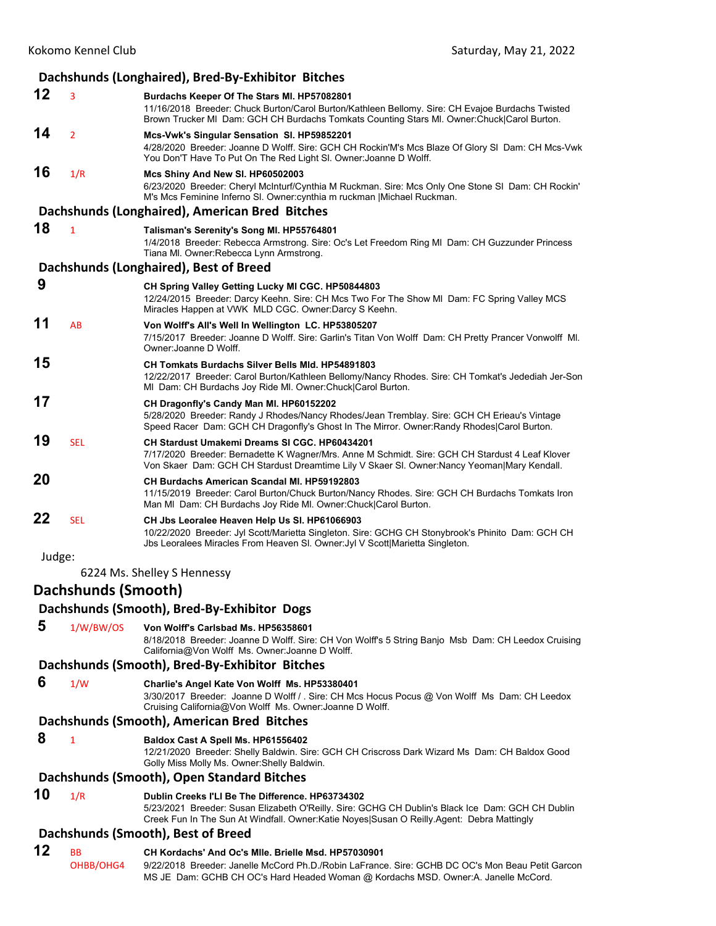|        |                     | Dachshunds (Longhaired), Bred-By-Exhibitor Bitches                                                                                                                                                                                             |
|--------|---------------------|------------------------------------------------------------------------------------------------------------------------------------------------------------------------------------------------------------------------------------------------|
| 12     | 3                   | Burdachs Keeper Of The Stars MI. HP57082801<br>11/16/2018 Breeder: Chuck Burton/Carol Burton/Kathleen Bellomy. Sire: CH Evajoe Burdachs Twisted<br>Brown Trucker MI Dam: GCH CH Burdachs Tomkats Counting Stars MI. Owner: Chuck Carol Burton. |
| 14     | $\overline{2}$      | Mcs-Vwk's Singular Sensation SI. HP59852201<br>4/28/2020 Breeder: Joanne D Wolff. Sire: GCH CH Rockin'M's Mcs Blaze Of Glory SI Dam: CH Mcs-Vwk<br>You Don'T Have To Put On The Red Light SI. Owner: Joanne D Wolff.                           |
| 16     | 1/R                 | Mcs Shiny And New SI. HP60502003<br>6/23/2020 Breeder: Cheryl McInturf/Cynthia M Ruckman. Sire: Mcs Only One Stone SI Dam: CH Rockin'<br>M's Mcs Feminine Inferno SI. Owner: cynthia m ruckman   Michael Ruckman.                              |
|        |                     | Dachshunds (Longhaired), American Bred Bitches                                                                                                                                                                                                 |
| 18     | $\mathbf{1}$        | Talisman's Serenity's Song MI. HP55764801<br>1/4/2018 Breeder: Rebecca Armstrong. Sire: Oc's Let Freedom Ring MI Dam: CH Guzzunder Princess<br>Tiana MI. Owner: Rebecca Lynn Armstrong.                                                        |
|        |                     | Dachshunds (Longhaired), Best of Breed                                                                                                                                                                                                         |
| 9      |                     | CH Spring Valley Getting Lucky MI CGC. HP50844803<br>12/24/2015 Breeder: Darcy Keehn. Sire: CH Mcs Two For The Show MI Dam: FC Spring Valley MCS<br>Miracles Happen at VWK MLD CGC. Owner:Darcy S Keehn.                                       |
| 11     | AB                  | Von Wolff's All's Well In Wellington LC. HP53805207<br>7/15/2017 Breeder: Joanne D Wolff. Sire: Garlin's Titan Von Wolff Dam: CH Pretty Prancer Vonwolff MI.<br>Owner: Joanne D Wolff.                                                         |
| 15     |                     | <b>CH Tomkats Burdachs Silver Bells MId. HP54891803</b><br>12/22/2017 Breeder: Carol Burton/Kathleen Bellomy/Nancy Rhodes. Sire: CH Tomkat's Jedediah Jer-Son<br>MI Dam: CH Burdachs Joy Ride MI. Owner: Chuck Carol Burton.                   |
| 17     |                     | CH Dragonfly's Candy Man MI. HP60152202<br>5/28/2020 Breeder: Randy J Rhodes/Nancy Rhodes/Jean Tremblay. Sire: GCH CH Erieau's Vintage<br>Speed Racer Dam: GCH CH Dragonfly's Ghost In The Mirror. Owner: Randy Rhodes Carol Burton.           |
| 19     | <b>SEL</b>          | CH Stardust Umakemi Dreams SI CGC. HP60434201<br>7/17/2020 Breeder: Bernadette K Wagner/Mrs. Anne M Schmidt. Sire: GCH CH Stardust 4 Leaf Klover<br>Von Skaer Dam: GCH CH Stardust Dreamtime Lily V Skaer SI. Owner:Nancy Yeoman Mary Kendall. |
| 20     |                     | CH Burdachs American Scandal MI. HP59192803<br>11/15/2019 Breeder: Carol Burton/Chuck Burton/Nancy Rhodes. Sire: GCH CH Burdachs Tomkats Iron<br>Man MI Dam: CH Burdachs Joy Ride MI. Owner: Chuck Carol Burton.                               |
| 22     | <b>SEL</b>          | CH Jbs Leoralee Heaven Help Us SI. HP61066903<br>10/22/2020 Breeder: Jyl Scott/Marietta Singleton. Sire: GCHG CH Stonybrook's Phinito Dam: GCH CH<br>Jbs Leoralees Miracles From Heaven SI. Owner: Jyl V Scott Marietta Singleton.             |
| Judge: |                     |                                                                                                                                                                                                                                                |
|        |                     | 6224 Ms. Shelley S Hennessy                                                                                                                                                                                                                    |
|        | Dachshunds (Smooth) |                                                                                                                                                                                                                                                |
|        |                     | Dachshunds (Smooth), Bred-By-Exhibitor Dogs                                                                                                                                                                                                    |
| 5      | 1/W/BW/OS           | Von Wolff's Carlsbad Ms. HP56358601                                                                                                                                                                                                            |

8/18/2018 Breeder: Joanne D Wolff. Sire: CH Von Wolff's 5 String Banjo Msb Dam: CH Leedox Cruising California@Von Wolff Ms. Owner:Joanne D Wolff.

#### **Dachshunds (Smooth), Bred‐By‐Exhibitor Bitches**

 **6** 1/W **Charlie's Angel Kate Von Wolff Ms. HP53380401**

3/30/2017 Breeder: Joanne D Wolff / . Sire: CH Mcs Hocus Pocus @ Von Wolff Ms Dam: CH Leedox Cruising California@Von Wolff Ms. Owner:Joanne D Wolff.

## **Dachshunds (Smooth), American Bred Bitches**

## **8** <sup>1</sup> **Baldox Cast A Spell Ms. HP61556402**

12/21/2020 Breeder: Shelly Baldwin. Sire: GCH CH Criscross Dark Wizard Ms Dam: CH Baldox Good Golly Miss Molly Ms. Owner:Shelly Baldwin.

#### **Dachshunds (Smooth), Open Standard Bitches**

## **10** 1/R **Dublin Creeks I'Ll Be The Difference. HP63734302**

5/23/2021 Breeder: Susan Elizabeth O'Reilly. Sire: GCHG CH Dublin's Black Ice Dam: GCH CH Dublin Creek Fun In The Sun At Windfall. Owner:Katie Noyes|Susan O Reilly.Agent: Debra Mattingly

## **Dachshunds (Smooth), Best of Breed**

## **12** BB **CH Kordachs' And Oc's Mlle. Brielle Msd. HP57030901**

OHBB/OHG4 9/22/2018 Breeder: Janelle McCord Ph.D./Robin LaFrance. Sire: GCHB DC OC's Mon Beau Petit Garcon MS JE Dam: GCHB CH OC's Hard Headed Woman @ Kordachs MSD. Owner:A. Janelle McCord.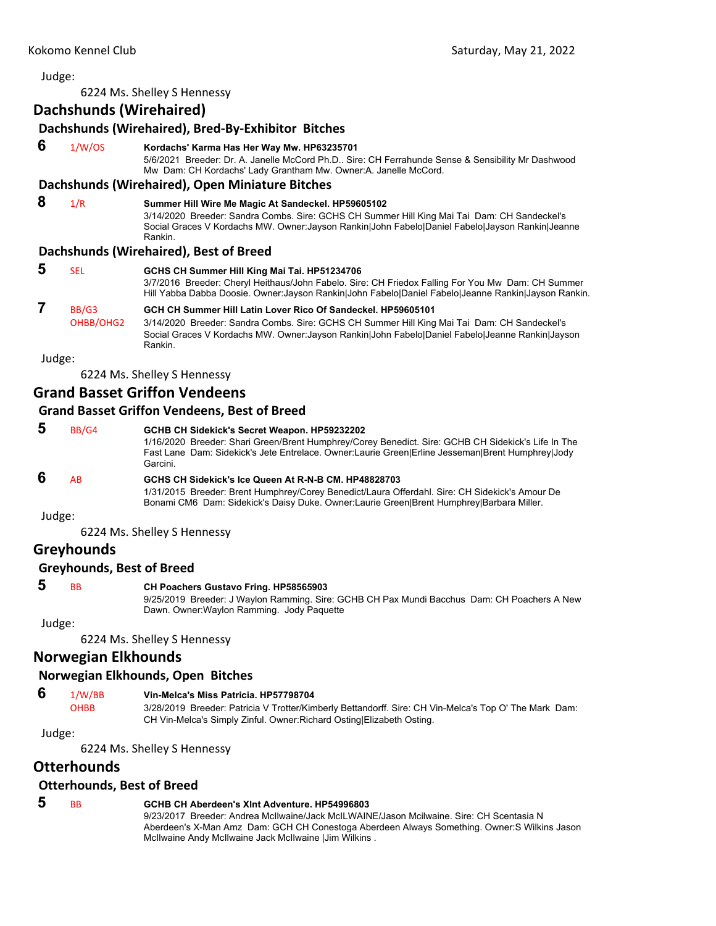6224 Ms. Shelley S Hennessy

|   | Dachshunds (Wirehaired) | Dachshunds (Wirehaired), Bred-By-Exhibitor Bitches                                                                                                                                                                                                                                                         |
|---|-------------------------|------------------------------------------------------------------------------------------------------------------------------------------------------------------------------------------------------------------------------------------------------------------------------------------------------------|
| 6 | 1/W/OS                  | Kordachs' Karma Has Her Way Mw. HP63235701<br>5/6/2021 Breeder: Dr. A. Janelle McCord Ph.D Sire: CH Ferrahunde Sense & Sensibility Mr Dashwood<br>Mw Dam: CH Kordachs' Lady Grantham Mw. Owner:A. Janelle McCord.                                                                                          |
|   |                         | Dachshunds (Wirehaired), Open Miniature Bitches                                                                                                                                                                                                                                                            |
| 8 | 1/R                     | Summer Hill Wire Me Magic At Sandeckel. HP59605102<br>3/14/2020 Breeder: Sandra Combs. Sire: GCHS CH Summer Hill King Mai Tai Dam: CH Sandeckel's<br>Social Graces V Kordachs MW. Owner: Jayson Rankin John Fabelo Daniel Fabelo Jayson Rankin Jeanne<br>Rankin.<br>Dachshunds (Wirehaired), Best of Breed |
| 5 | <b>SEL</b>              | GCHS CH Summer Hill King Mai Tai. HP51234706<br>3/7/2016 Breeder: Cheryl Heithaus/John Fabelo. Sire: CH Friedox Falling For You Mw Dam: CH Summer<br>Hill Yabba Dabba Doosie. Owner:Jayson Rankin John Fabelo Daniel Fabelo Jeanne Rankin Jayson Rankin.                                                   |
|   | BB/G3<br>OHBB/OHG2      | GCH CH Summer Hill Latin Lover Rico Of Sandeckel, HP59605101<br>3/14/2020 Breeder: Sandra Combs. Sire: GCHS CH Summer Hill King Mai Tai Dam: CH Sandeckel's<br>Social Graces V Kordachs MW. Owner: Jayson Rankin John Fabelo Daniel Fabelo Jeanne Rankin Jayson<br>Rankin.                                 |

Judge:

6224 Ms. Shelley S Hennessy

## **Grand Basset Griffon Vendeens**

## **Grand Basset Griffon Vendeens, Best of Breed**

| 5      | BB/G4 | GCHB CH Sidekick's Secret Weapon. HP59232202<br>1/16/2020 Breeder: Shari Green/Brent Humphrey/Corey Benedict. Sire: GCHB CH Sidekick's Life In The<br>Fast Lane Dam: Sidekick's Jete Entrelace. Owner: Laurie Green Erline Jesseman Brent Humphrey Jody<br>Garcini. |
|--------|-------|---------------------------------------------------------------------------------------------------------------------------------------------------------------------------------------------------------------------------------------------------------------------|
| 6      | AB    | GCHS CH Sidekick's Ice Queen At R-N-B CM, HP48828703<br>1/31/2015 Breeder: Brent Humphrey/Corey Benedict/Laura Offerdahl. Sire: CH Sidekick's Amour De<br>Bonami CM6 Dam: Sidekick's Daisy Duke. Owner: Laurie Green Brent Humphrey Barbara Miller.                 |
| Judge: |       |                                                                                                                                                                                                                                                                     |
|        |       | 6224 Ms. Shelley S Hennessy                                                                                                                                                                                                                                         |

## **Greyhounds**

## **Greyhounds, Best of Breed**

## **5** BB **CH Poachers Gustavo Fring. HP58565903**

9/25/2019 Breeder: J Waylon Ramming. Sire: GCHB CH Pax Mundi Bacchus Dam: CH Poachers A New Dawn. Owner:Waylon Ramming. Jody Paquette

Judge:

6224 Ms. Shelley S Hennessy

## **Norwegian Elkhounds**

## **Norwegian Elkhounds, Open Bitches**

# **6** 1/W/BB **Vin-Melca's Miss Patricia. HP57798704**

3/28/2019 Breeder: Patricia V Trotter/Kimberly Bettandorff. Sire: CH Vin-Melca's Top O' The Mark Dam: CH Vin-Melca's Simply Zinful. Owner:Richard Osting|Elizabeth Osting.

Judge:

6224 Ms. Shelley S Hennessy

## **Otterhounds**

## **Otterhounds, Best of Breed**

## **5** BB **GCHB CH Aberdeen's Xlnt Adventure. HP54996803**

9/23/2017 Breeder: Andrea McIlwaine/Jack McILWAINE/Jason Mcilwaine. Sire: CH Scentasia N Aberdeen's X-Man Amz Dam: GCH CH Conestoga Aberdeen Always Something. Owner:S Wilkins Jason McIlwaine Andy McIlwaine Jack McIlwaine |Jim Wilkins .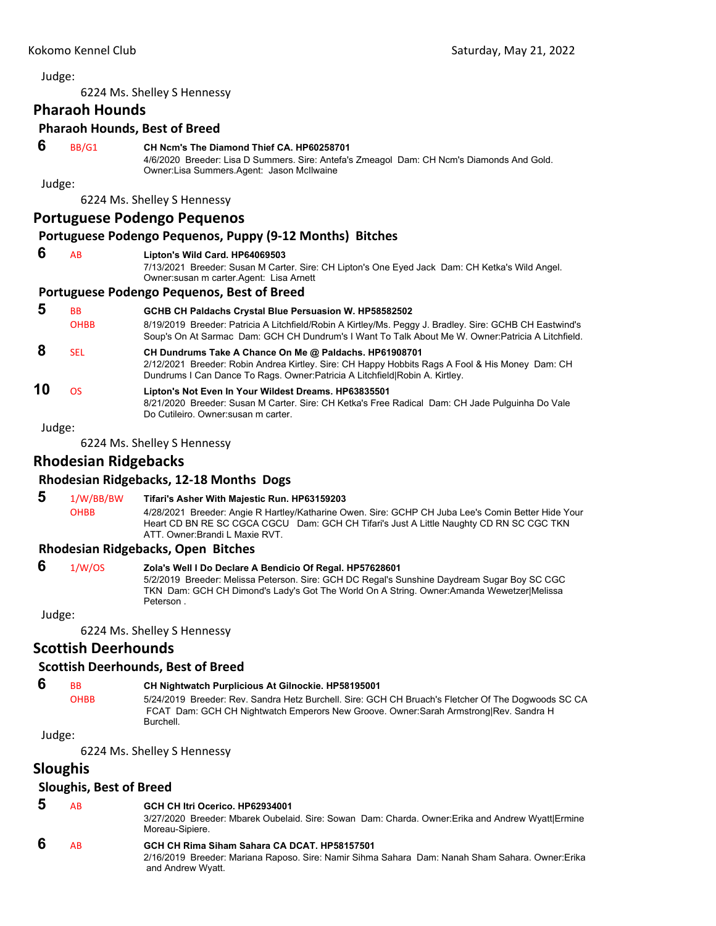6224 Ms. Shelley S Hennessy

## **Pharaoh Hounds**

#### **Pharaoh Hounds, Best of Breed**

#### **6** BB/G1 **CH Ncm's The Diamond Thief CA. HP60258701**

4/6/2020 Breeder: Lisa D Summers. Sire: Antefa's Zmeagol Dam: CH Ncm's Diamonds And Gold. Owner:Lisa Summers.Agent: Jason McIlwaine

Judge:

6224 Ms. Shelley S Hennessy

## **Portuguese Podengo Pequenos**

## **Portuguese Podengo Pequenos, Puppy (9‐12 Months) Bitches**

#### **6** AB **Lipton's Wild Card. HP64069503**

7/13/2021 Breeder: Susan M Carter. Sire: CH Lipton's One Eyed Jack Dam: CH Ketka's Wild Angel. Owner:susan m carter.Agent: Lisa Arnett

## **Portuguese Podengo Pequenos, Best of Breed**

| 5  | BB<br><b>OHBB</b> | GCHB CH Paldachs Crystal Blue Persuasion W. HP58582502<br>8/19/2019 Breeder: Patricia A Litchfield/Robin A Kirtley/Ms. Peggy J. Bradley. Sire: GCHB CH Eastwind's<br>Soup's On At Sarmac Dam: GCH CH Dundrum's I Want To Talk About Me W. Owner: Patricia A Litchfield. |
|----|-------------------|-------------------------------------------------------------------------------------------------------------------------------------------------------------------------------------------------------------------------------------------------------------------------|
|    | <b>SEL</b>        | CH Dundrums Take A Chance On Me @ Paldachs. HP61908701<br>2/12/2021 Breeder: Robin Andrea Kirtley. Sire: CH Happy Hobbits Rags A Fool & His Money Dam: CH<br>Dundrums I Can Dance To Rags. Owner: Patricia A Litchfield Robin A. Kirtley.                               |
| 10 | n٢                | Lipton's Not Even In Your Wildest Dreams. HP63835501<br>8/21/2020 Breeder: Susan M Carter. Sire: CH Ketka's Free Radical Dam: CH Jade Pulguinha Do Vale<br>Do Cutileiro. Owner susan m carter.                                                                          |

Judge:

6224 Ms. Shelley S Hennessy

## **Rhodesian Ridgebacks**

## **Rhodesian Ridgebacks, 12‐18 Months Dogs**

 **5** 1/W/BB/BW **Tifari's Asher With Majestic Run. HP63159203** OHBB 4/28/2021 Breeder: Angie R Hartley/Katharine Owen. Sire: GCHP CH Juba Lee's Comin Better Hide Your Heart CD BN RE SC CGCA CGCU Dam: GCH CH Tifari's Just A Little Naughty CD RN SC CGC TKN ATT. Owner:Brandi L Maxie RVT.

## **Rhodesian Ridgebacks, Open Bitches**

| -6                 | 1/W/OS | Zola's Well I Do Declare A Bendicio Of Regal. HP57628601                                    |
|--------------------|--------|---------------------------------------------------------------------------------------------|
|                    |        | 5/2/2019 Breeder: Melissa Peterson. Sire: GCH DC Regal's Sunshine Daydream Sugar Boy SC CGC |
|                    |        | TKN Dam: GCH CH Dimond's Lady's Got The World On A String. Owner:Amanda Wewetzer Melissa    |
|                    |        | Peterson.                                                                                   |
| المستعمل والمستنبط |        |                                                                                             |

Judge:

6224 Ms. Shelley S Hennessy

## **Scottish Deerhounds**

## **Scottish Deerhounds, Best of Breed**

 **6** BB **CH Nightwatch Purplicious At Gilnockie. HP58195001**

OHBB 5/24/2019 Breeder: Rev. Sandra Hetz Burchell. Sire: GCH CH Bruach's Fletcher Of The Dogwoods SC CA FCAT Dam: GCH CH Nightwatch Emperors New Groove. Owner:Sarah Armstrong|Rev. Sandra H Burchell.

Judge:

6224 Ms. Shelley S Hennessy

## **Sloughis**

## **Sloughis, Best of Breed**

|  | ΑR | GCH CH Itri Ocerico, HP62934001 |
|--|----|---------------------------------|
|--|----|---------------------------------|

3/27/2020 Breeder: Mbarek Oubelaid. Sire: Sowan Dam: Charda. Owner:Erika and Andrew Wyatt|Ermine Moreau-Sipiere.

## **6** AB **GCH CH Rima Siham Sahara CA DCAT. HP58157501**

2/16/2019 Breeder: Mariana Raposo. Sire: Namir Sihma Sahara Dam: Nanah Sham Sahara. Owner:Erika and Andrew Wyatt.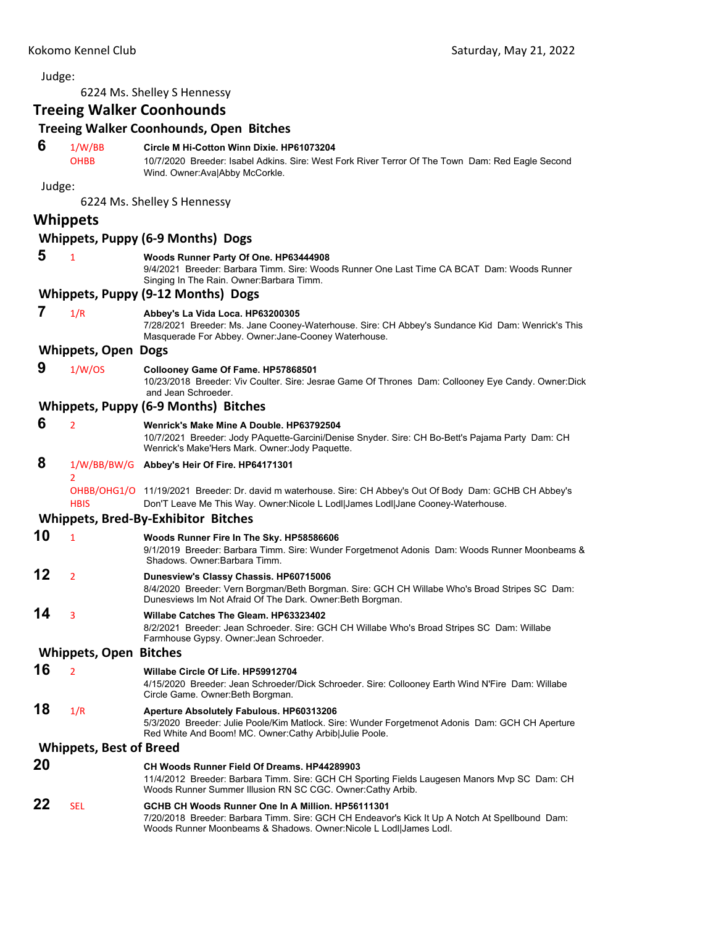Judge: 6224 Ms. Shelley S Hennessy **Treeing Walker Coonhounds Treeing Walker Coonhounds, Open Bitches 6** 1/W/BB **Circle M Hi-Cotton Winn Dixie. HP61073204** OHBB 10/7/2020 Breeder: Isabel Adkins. Sire: West Fork River Terror Of The Town Dam: Red Eagle Second Wind. Owner:Ava|Abby McCorkle. Judge: 6224 Ms. Shelley S Hennessy **Whippets Whippets, Puppy (6‐9 Months) Dogs 5** <sup>1</sup> **Woods Runner Party Of One. HP63444908** 9/4/2021 Breeder: Barbara Timm. Sire: Woods Runner One Last Time CA BCAT Dam: Woods Runner Singing In The Rain. Owner:Barbara Timm. **Whippets, Puppy (9‐12 Months) Dogs 7** 1/R **Abbey's La Vida Loca. HP63200305** 7/28/2021 Breeder: Ms. Jane Cooney-Waterhouse. Sire: CH Abbey's Sundance Kid Dam: Wenrick's This Masquerade For Abbey. Owner:Jane-Cooney Waterhouse. **Whippets, Open Dogs 9** 1/W/OS **Collooney Game Of Fame. HP57868501** 10/23/2018 Breeder: Viv Coulter. Sire: Jesrae Game Of Thrones Dam: Collooney Eye Candy. Owner:Dick and Jean Schroeder. **Whippets, Puppy (6‐9 Months) Bitches 6** <sup>2</sup> **Wenrick's Make Mine A Double. HP63792504** 10/7/2021 Breeder: Jody PAquette-Garcini/Denise Snyder. Sire: CH Bo-Bett's Pajama Party Dam: CH Wenrick's Make'Hers Mark. Owner:Jody Paquette.  **8** 1/W/BB/BW/G **Abbey's Heir Of Fire. HP64171301**  $\overline{2}$ OHBB/OHG1/O 11/19/2021 Breeder: Dr. david m waterhouse. Sire: CH Abbey's Out Of Body Dam: GCHB CH Abbey's HBIS Don'T Leave Me This Way. Owner:Nicole L Lodl|James Lodl|Jane Cooney-Waterhouse. **Whippets, Bred‐By‐Exhibitor Bitches 10** <sup>1</sup> **Woods Runner Fire In The Sky. HP58586606** 9/1/2019 Breeder: Barbara Timm. Sire: Wunder Forgetmenot Adonis Dam: Woods Runner Moonbeams & Shadows. Owner:Barbara Timm. **12** <sup>2</sup> **Dunesview's Classy Chassis. HP60715006** 8/4/2020 Breeder: Vern Borgman/Beth Borgman. Sire: GCH CH Willabe Who's Broad Stripes SC Dam: Dunesviews Im Not Afraid Of The Dark. Owner:Beth Borgman. **14** <sup>3</sup> **Willabe Catches The Gleam. HP63323402** 8/2/2021 Breeder: Jean Schroeder. Sire: GCH CH Willabe Who's Broad Stripes SC Dam: Willabe Farmhouse Gypsy. Owner:Jean Schroeder. **Whippets, Open Bitches 16** <sup>2</sup> **Willabe Circle Of Life. HP59912704** 4/15/2020 Breeder: Jean Schroeder/Dick Schroeder. Sire: Collooney Earth Wind N'Fire Dam: Willabe Circle Game. Owner:Beth Borgman. **18** 1/R **Aperture Absolutely Fabulous. HP60313206** 5/3/2020 Breeder: Julie Poole/Kim Matlock. Sire: Wunder Forgetmenot Adonis Dam: GCH CH Aperture Red White And Boom! MC. Owner:Cathy Arbib|Julie Poole. **Whippets, Best of Breed 20 CH Woods Runner Field Of Dreams. HP44289903** 11/4/2012 Breeder: Barbara Timm. Sire: GCH CH Sporting Fields Laugesen Manors Mvp SC Dam: CH Woods Runner Summer Illusion RN SC CGC. Owner:Cathy Arbib. **22** SEL **GCHB CH Woods Runner One In A Million. HP56111301** 7/20/2018 Breeder: Barbara Timm. Sire: GCH CH Endeavor's Kick It Up A Notch At Spellbound Dam:

Woods Runner Moonbeams & Shadows. Owner:Nicole L Lodl|James Lodl.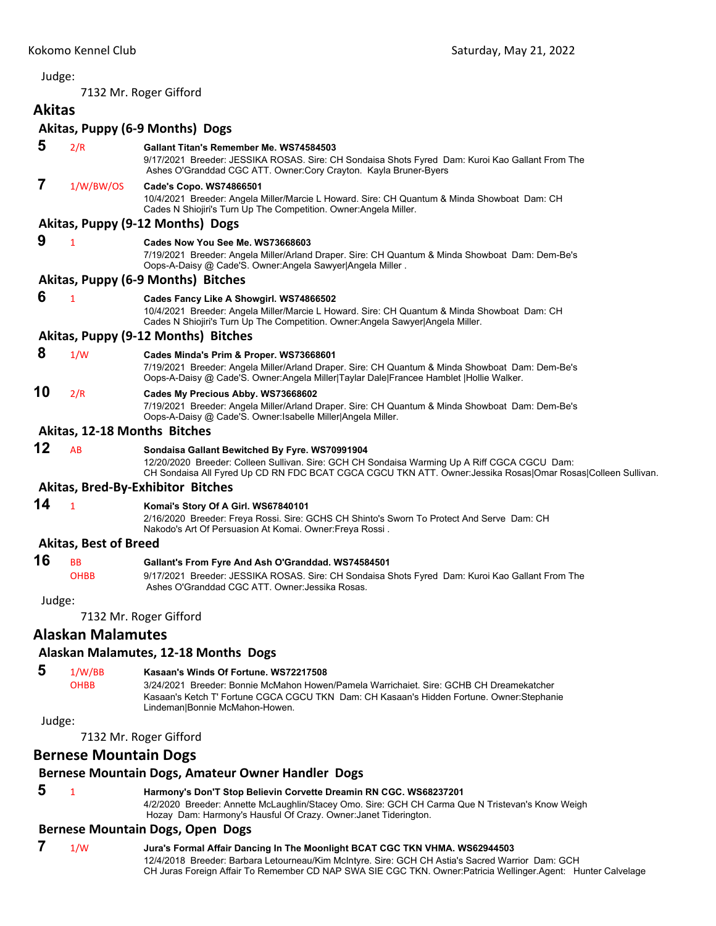<span id="page-16-0"></span>7132 Mr. Roger Gifford

# **Akitas**

|        |                              | Akitas, Puppy (6-9 Months) Dogs                                                                                                                                                                                                                                |
|--------|------------------------------|----------------------------------------------------------------------------------------------------------------------------------------------------------------------------------------------------------------------------------------------------------------|
| 5      | 2/R                          | Gallant Titan's Remember Me. WS74584503<br>9/17/2021 Breeder: JESSIKA ROSAS. Sire: CH Sondaisa Shots Fyred Dam: Kuroi Kao Gallant From The<br>Ashes O'Granddad CGC ATT. Owner:Cory Crayton. Kayla Bruner-Byers                                                 |
| 7      | 1/W/BW/OS                    | Cade's Copo. WS74866501<br>10/4/2021 Breeder: Angela Miller/Marcie L Howard. Sire: CH Quantum & Minda Showboat Dam: CH<br>Cades N Shiojiri's Turn Up The Competition. Owner: Angela Miller.                                                                    |
|        |                              | Akitas, Puppy (9-12 Months) Dogs                                                                                                                                                                                                                               |
| 9      | $\mathbf{1}$                 | Cades Now You See Me. WS73668603<br>7/19/2021 Breeder: Angela Miller/Arland Draper. Sire: CH Quantum & Minda Showboat Dam: Dem-Be's<br>Oops-A-Daisy @ Cade'S. Owner:Angela Sawyer Angela Miller.                                                               |
|        |                              | Akitas, Puppy (6-9 Months) Bitches                                                                                                                                                                                                                             |
| 6      | $\mathbf{1}$                 | Cades Fancy Like A Showgirl. WS74866502<br>10/4/2021 Breeder: Angela Miller/Marcie L Howard. Sire: CH Quantum & Minda Showboat Dam: CH<br>Cades N Shiojiri's Turn Up The Competition. Owner:Angela Sawyer Angela Miller.                                       |
|        |                              | Akitas, Puppy (9-12 Months) Bitches                                                                                                                                                                                                                            |
| 8      | 1/W                          | Cades Minda's Prim & Proper. WS73668601<br>7/19/2021 Breeder: Angela Miller/Arland Draper. Sire: CH Quantum & Minda Showboat Dam: Dem-Be's<br>Oops-A-Daisy @ Cade'S. Owner:Angela Miller Taylar Dale Francee Hamblet  Hollie Walker.                           |
| 10     | 2/R                          | Cades My Precious Abby. WS73668602<br>7/19/2021 Breeder: Angela Miller/Arland Draper. Sire: CH Quantum & Minda Showboat Dam: Dem-Be's<br>Oops-A-Daisy @ Cade'S. Owner: Isabelle Miller Angela Miller.                                                          |
|        | Akitas, 12-18 Months Bitches |                                                                                                                                                                                                                                                                |
| 12     | AB                           | Sondaisa Gallant Bewitched By Fyre. WS70991904<br>12/20/2020 Breeder: Colleen Sullivan. Sire: GCH CH Sondaisa Warming Up A Riff CGCA CGCU Dam:<br>CH Sondaisa All Fyred Up CD RN FDC BCAT CGCA CGCU TKN ATT. Owner: Jessika Rosas Omar Rosas Colleen Sullivan. |
|        |                              | <b>Akitas, Bred-By-Exhibitor Bitches</b>                                                                                                                                                                                                                       |
| 14     | $\mathbf{1}$                 | Komai's Story Of A Girl. WS67840101<br>2/16/2020 Breeder: Freya Rossi. Sire: GCHS CH Shinto's Sworn To Protect And Serve Dam: CH<br>Nakodo's Art Of Persuasion At Komai. Owner: Freya Rossi.                                                                   |
|        | <b>Akitas, Best of Breed</b> |                                                                                                                                                                                                                                                                |
| 16     | <b>BB</b><br><b>OHBB</b>     | Gallant's From Fyre And Ash O'Granddad. WS74584501<br>9/17/2021 Breeder: JESSIKA ROSAS. Sire: CH Sondaisa Shots Fyred Dam: Kuroi Kao Gallant From The<br>Ashes O'Granddad CGC ATT, Owner: Jessika Rosas,                                                       |
| Judge: |                              |                                                                                                                                                                                                                                                                |
|        |                              | 7132 Mr. Roger Gifford                                                                                                                                                                                                                                         |
|        | <b>Alaskan Malamutes</b>     |                                                                                                                                                                                                                                                                |
|        |                              |                                                                                                                                                                                                                                                                |

## **Alaskan Malamutes, 12‐18 Months Dogs**

## **5** 1/W/BB **Kasaan's Winds Of Fortune. WS72217508**

OHBB 3/24/2021 Breeder: Bonnie McMahon Howen/Pamela Warrichaiet. Sire: GCHB CH Dreamekatcher Kasaan's Ketch T' Fortune CGCA CGCU TKN Dam: CH Kasaan's Hidden Fortune. Owner:Stephanie Lindeman|Bonnie McMahon-Howen.

Judge:

7132 Mr. Roger Gifford

## **Bernese Mountain Dogs**

## **Bernese Mountain Dogs, Amateur Owner Handler Dogs**

# **5** <sup>1</sup> **Harmony's Don'T Stop Believin Corvette Dreamin RN CGC. WS68237201**

4/2/2020 Breeder: Annette McLaughlin/Stacey Omo. Sire: GCH CH Carma Que N Tristevan's Know Weigh Hozay Dam: Harmony's Hausful Of Crazy. Owner:Janet Tiderington.

## **Bernese Mountain Dogs, Open Dogs**

 **7** 1/W **Jura's Formal Affair Dancing In The Moonlight BCAT CGC TKN VHMA. WS62944503** 12/4/2018 Breeder: Barbara Letourneau/Kim McIntyre. Sire: GCH CH Astia's Sacred Warrior Dam: GCH CH Juras Foreign Affair To Remember CD NAP SWA SIE CGC TKN. Owner:Patricia Wellinger.Agent: Hunter Calvelage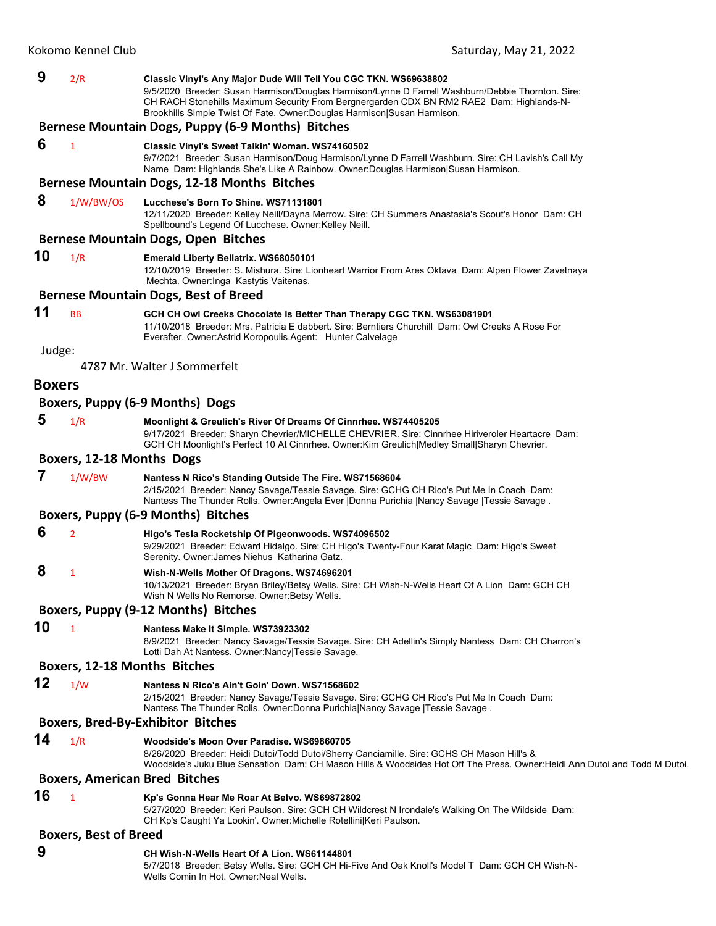| 9             | 2/R                          | Classic Vinyl's Any Major Dude Will Tell You CGC TKN. WS69638802<br>9/5/2020 Breeder: Susan Harmison/Douglas Harmison/Lynne D Farrell Washburn/Debbie Thornton. Sire:                                                                                                |
|---------------|------------------------------|----------------------------------------------------------------------------------------------------------------------------------------------------------------------------------------------------------------------------------------------------------------------|
|               |                              | CH RACH Stonehills Maximum Security From Bergnergarden CDX BN RM2 RAE2 Dam: Highlands-N-<br>Brookhills Simple Twist Of Fate. Owner: Douglas Harmison Susan Harmison.                                                                                                 |
|               |                              | Bernese Mountain Dogs, Puppy (6-9 Months) Bitches                                                                                                                                                                                                                    |
| 6             | $\mathbf{1}$                 | Classic Vinyl's Sweet Talkin' Woman. WS74160502                                                                                                                                                                                                                      |
|               |                              | 9/7/2021 Breeder: Susan Harmison/Doug Harmison/Lynne D Farrell Washburn. Sire: CH Lavish's Call My<br>Name Dam: Highlands She's Like A Rainbow. Owner:Douglas Harmison Susan Harmison.                                                                               |
|               |                              | Bernese Mountain Dogs, 12-18 Months Bitches                                                                                                                                                                                                                          |
| 8             | 1/W/BW/OS                    | Lucchese's Born To Shine, WS71131801<br>12/11/2020 Breeder: Kelley Neill/Dayna Merrow. Sire: CH Summers Anastasia's Scout's Honor Dam: CH<br>Spellbound's Legend Of Lucchese. Owner: Kelley Neill.                                                                   |
|               |                              | <b>Bernese Mountain Dogs, Open Bitches</b>                                                                                                                                                                                                                           |
| 10            | 1/R                          | Emerald Liberty Bellatrix. WS68050101<br>12/10/2019 Breeder: S. Mishura. Sire: Lionheart Warrior From Ares Oktava Dam: Alpen Flower Zavetnaya<br>Mechta. Owner: Inga Kastytis Vaitenas.                                                                              |
|               |                              | <b>Bernese Mountain Dogs, Best of Breed</b>                                                                                                                                                                                                                          |
| 11            | <b>BB</b>                    | GCH CH Owl Creeks Chocolate Is Better Than Therapy CGC TKN. WS63081901                                                                                                                                                                                               |
|               |                              | 11/10/2018 Breeder: Mrs. Patricia E dabbert. Sire: Berntiers Churchill Dam: Owl Creeks A Rose For<br>Everafter. Owner: Astrid Koropoulis. Agent: Hunter Calvelage                                                                                                    |
| Judge:        |                              | 4787 Mr. Walter J Sommerfelt                                                                                                                                                                                                                                         |
|               |                              |                                                                                                                                                                                                                                                                      |
| <b>Boxers</b> |                              |                                                                                                                                                                                                                                                                      |
|               |                              | Boxers, Puppy (6-9 Months) Dogs                                                                                                                                                                                                                                      |
| 5             | 1/R                          | Moonlight & Greulich's River Of Dreams Of Cinnrhee. WS74405205<br>9/17/2021 Breeder: Sharyn Chevrier/MICHELLE CHEVRIER. Sire: Cinnrhee Hiriveroler Heartacre Dam:<br>GCH CH Moonlight's Perfect 10 At Cinnrhee. Owner: Kim Greulich Medley Small Sharyn Chevrier.    |
|               | Boxers, 12-18 Months Dogs    |                                                                                                                                                                                                                                                                      |
| 7             | 1/W/BW                       | Nantess N Rico's Standing Outside The Fire. WS71568604<br>2/15/2021 Breeder: Nancy Savage/Tessie Savage. Sire: GCHG CH Rico's Put Me In Coach Dam:<br>Nantess The Thunder Rolls. Owner: Angela Ever   Donna Purichia   Nancy Savage   Tessie Savage.                 |
|               |                              | <b>Boxers, Puppy (6-9 Months) Bitches</b>                                                                                                                                                                                                                            |
| 6             | $\overline{2}$               | Higo's Tesla Rocketship Of Pigeonwoods. WS74096502                                                                                                                                                                                                                   |
|               |                              | 9/29/2021 Breeder: Edward Hidalgo. Sire: CH Higo's Twenty-Four Karat Magic Dam: Higo's Sweet<br>Serenity. Owner: James Niehus Katharina Gatz.                                                                                                                        |
| 8             | 1                            | Wish-N-Wells Mother Of Dragons. WS74696201<br>10/13/2021 Breeder: Bryan Briley/Betsy Wells. Sire: CH Wish-N-Wells Heart Of A Lion Dam: GCH CH<br>Wish N Wells No Remorse. Owner: Betsy Wells.                                                                        |
|               |                              | Boxers, Puppy (9-12 Months) Bitches                                                                                                                                                                                                                                  |
| 10            | $\mathbf{1}$                 | Nantess Make It Simple. WS73923302                                                                                                                                                                                                                                   |
|               |                              | 8/9/2021 Breeder: Nancy Savage/Tessie Savage. Sire: CH Adellin's Simply Nantess Dam: CH Charron's<br>Lotti Dah At Nantess. Owner: Nancy Tessie Savage.                                                                                                               |
|               |                              | Boxers, 12-18 Months Bitches                                                                                                                                                                                                                                         |
| 12            | 1/W                          | Nantess N Rico's Ain't Goin' Down. WS71568602<br>2/15/2021 Breeder: Nancy Savage/Tessie Savage. Sire: GCHG CH Rico's Put Me In Coach Dam:<br>Nantess The Thunder Rolls. Owner:Donna Purichia Nancy Savage   Tessie Savage.                                           |
|               |                              | <b>Boxers, Bred-By-Exhibitor Bitches</b>                                                                                                                                                                                                                             |
| 14            | 1/R                          | Woodside's Moon Over Paradise. WS69860705<br>8/26/2020 Breeder: Heidi Dutoi/Todd Dutoi/Sherry Canciamille. Sire: GCHS CH Mason Hill's &<br>Woodside's Juku Blue Sensation Dam: CH Mason Hills & Woodsides Hot Off The Press. Owner:Heidi Ann Dutoi and Todd M Dutoi. |
|               |                              | <b>Boxers, American Bred Bitches</b>                                                                                                                                                                                                                                 |
| 16            | $\mathbf{1}$                 | Kp's Gonna Hear Me Roar At Belvo. WS69872802<br>5/27/2020 Breeder: Keri Paulson. Sire: GCH CH Wildcrest N Irondale's Walking On The Wildside Dam:<br>CH Kp's Caught Ya Lookin'. Owner: Michelle Rotellini Keri Paulson.                                              |
|               | <b>Boxers, Best of Breed</b> |                                                                                                                                                                                                                                                                      |
| 9             |                              | CH Wish-N-Wells Heart Of A Lion. WS61144801                                                                                                                                                                                                                          |

5/7/2018 Breeder: Betsy Wells. Sire: GCH CH Hi-Five And Oak Knoll's Model T Dam: GCH CH Wish-N-

Wells Comin In Hot. Owner:Neal Wells.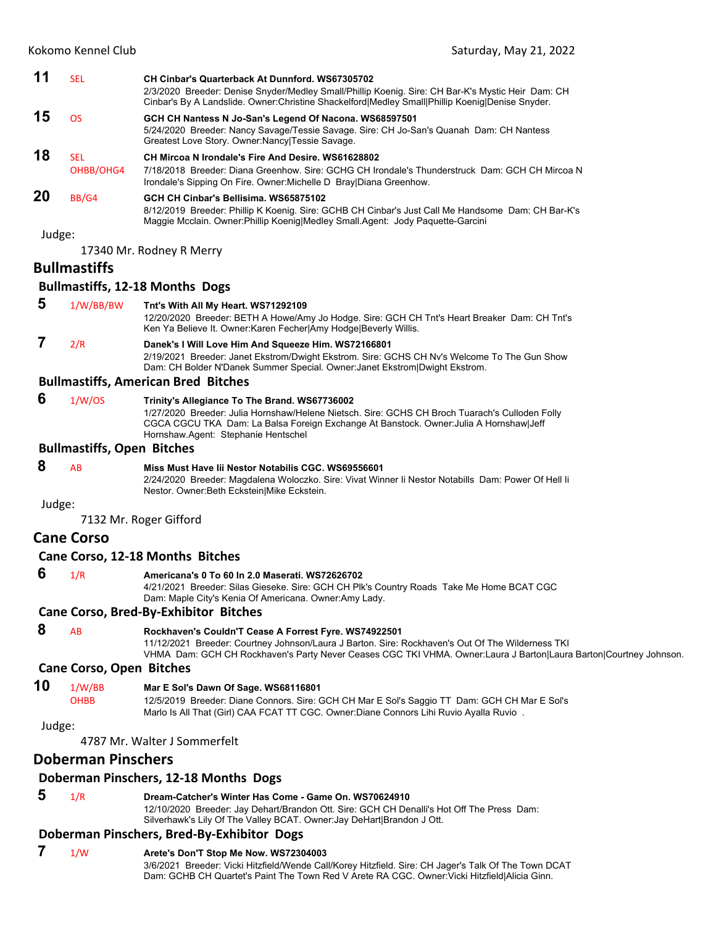|        | Kokomo Kennel Club                | Saturday, May 21, 2022                                                                                                                                                                                                                                                           |
|--------|-----------------------------------|----------------------------------------------------------------------------------------------------------------------------------------------------------------------------------------------------------------------------------------------------------------------------------|
| 11     | <b>SEL</b>                        | CH Cinbar's Quarterback At Dunnford, WS67305702<br>2/3/2020 Breeder: Denise Snyder/Medley Small/Phillip Koenig. Sire: CH Bar-K's Mystic Heir Dam: CH<br>Cinbar's By A Landslide. Owner: Christine Shackelford Medley Small Phillip Koenig Denise Snyder.                         |
| 15     | <b>OS</b>                         | GCH CH Nantess N Jo-San's Legend Of Nacona. WS68597501<br>5/24/2020 Breeder: Nancy Savage/Tessie Savage. Sire: CH Jo-San's Quanah Dam: CH Nantess<br>Greatest Love Story. Owner: Nancy   Tessie Savage.                                                                          |
| 18     | <b>SEL</b><br>OHBB/OHG4           | CH Mircoa N Irondale's Fire And Desire, WS61628802<br>7/18/2018 Breeder: Diana Greenhow, Sire: GCHG CH Irondale's Thunderstruck Dam: GCH CH Mircoa N<br>Irondale's Sipping On Fire. Owner: Michelle D Bray Diana Greenhow.                                                       |
| 20     | BB/G4                             | GCH CH Cinbar's Bellisima, WS65875102<br>8/12/2019 Breeder: Phillip K Koenig. Sire: GCHB CH Cinbar's Just Call Me Handsome Dam: CH Bar-K's<br>Maggie Mcclain. Owner: Phillip Koenig Medley Small. Agent: Jody Paquette-Garcini                                                   |
| Judge: |                                   |                                                                                                                                                                                                                                                                                  |
|        |                                   | 17340 Mr. Rodney R Merry                                                                                                                                                                                                                                                         |
|        | <b>Bullmastiffs</b>               |                                                                                                                                                                                                                                                                                  |
|        |                                   | <b>Bullmastiffs, 12-18 Months Dogs</b>                                                                                                                                                                                                                                           |
| 5      | 1/W/BB/BW                         | Tnt's With All My Heart. WS71292109<br>12/20/2020 Breeder: BETH A Howe/Amy Jo Hodge. Sire: GCH CH Tnt's Heart Breaker Dam: CH Tnt's<br>Ken Ya Believe It. Owner: Karen Fecher Amy Hodge Beverly Willis.                                                                          |
| 7      | 2/R                               | Danek's I Will Love Him And Squeeze Him. WS72166801<br>2/19/2021 Breeder: Janet Ekstrom/Dwight Ekstrom. Sire: GCHS CH Nv's Welcome To The Gun Show<br>Dam: CH Bolder N'Danek Summer Special. Owner: Janet Ekstrom Dwight Ekstrom.                                                |
|        |                                   | <b>Bullmastiffs, American Bred Bitches</b>                                                                                                                                                                                                                                       |
| 6      | 1/W/OS                            | Trinity's Allegiance To The Brand. WS67736002<br>1/27/2020 Breeder: Julia Hornshaw/Helene Nietsch. Sire: GCHS CH Broch Tuarach's Culloden Folly<br>CGCA CGCU TKA Dam: La Balsa Foreign Exchange At Banstock. Owner: Julia A Hornshaw Jeff<br>Hornshaw.Agent: Stephanie Hentschel |
|        | <b>Bullmastiffs, Open Bitches</b> |                                                                                                                                                                                                                                                                                  |
| 8      | <b>AB</b>                         | Miss Must Have Iii Nestor Notabilis CGC. WS69556601<br>2/24/2020 Breeder: Magdalena Woloczko. Sire: Vivat Winner li Nestor Notabills Dam: Power Of Hell li<br>Nestor. Owner: Beth Eckstein Mike Eckstein.                                                                        |
| Judge: |                                   |                                                                                                                                                                                                                                                                                  |
|        |                                   | 7132 Mr. Roger Gifford                                                                                                                                                                                                                                                           |
|        | <b>Cane Corso</b>                 |                                                                                                                                                                                                                                                                                  |
|        |                                   | Cane Corso, 12-18 Months Bitches                                                                                                                                                                                                                                                 |
| 6      | 1/R                               | Americana's 0 To 60 In 2.0 Maserati. WS72626702<br>4/21/2021 Breeder: Silas Gieseke. Sire: GCH CH Plk's Country Roads Take Me Home BCAT CGC<br>Dam: Maple City's Kenia Of Americana. Owner: Amy Lady.                                                                            |

#### **Cane Corso, Bred‐By‐Exhibitor Bitches**

 **8** AB **Rockhaven's Couldn'T Cease A Forrest Fyre. WS74922501** 11/12/2021 Breeder: Courtney Johnson/Laura J Barton. Sire: Rockhaven's Out Of The Wilderness TKI VHMA Dam: GCH CH Rockhaven's Party Never Ceases CGC TKI VHMA. Owner:Laura J Barton|Laura Barton|Courtney Johnson.

## **Cane Corso, Open Bitches**

**10** 1/W/BB **Mar E Sol's Dawn Of Sage. WS68116801**

OHBB 12/5/2019 Breeder: Diane Connors. Sire: GCH CH Mar E Sol's Saggio TT Dam: GCH CH Mar E Sol's Marlo Is All That (Girl) CAA FCAT TT CGC. Owner:Diane Connors Lihi Ruvio Ayalla Ruvio .

Judge:

4787 Mr. Walter J Sommerfelt

## **Doberman Pinschers**

## **Doberman Pinschers, 12‐18 Months Dogs**

## **5** 1/R **Dream-Catcher's Winter Has Come - Game On. WS70624910**

12/10/2020 Breeder: Jay Dehart/Brandon Ott. Sire: GCH CH Denalli's Hot Off The Press Dam: Silverhawk's Lily Of The Valley BCAT. Owner:Jay DeHart|Brandon J Ott.

## **Doberman Pinschers, Bred‐By‐Exhibitor Dogs**

## **7** 1/W **Arete's Don'T Stop Me Now. WS72304003**

3/6/2021 Breeder: Vicki Hitzfield/Wende Call/Korey Hitzfield. Sire: CH Jager's Talk Of The Town DCAT Dam: GCHB CH Quartet's Paint The Town Red V Arete RA CGC. Owner:Vicki Hitzfield|Alicia Ginn.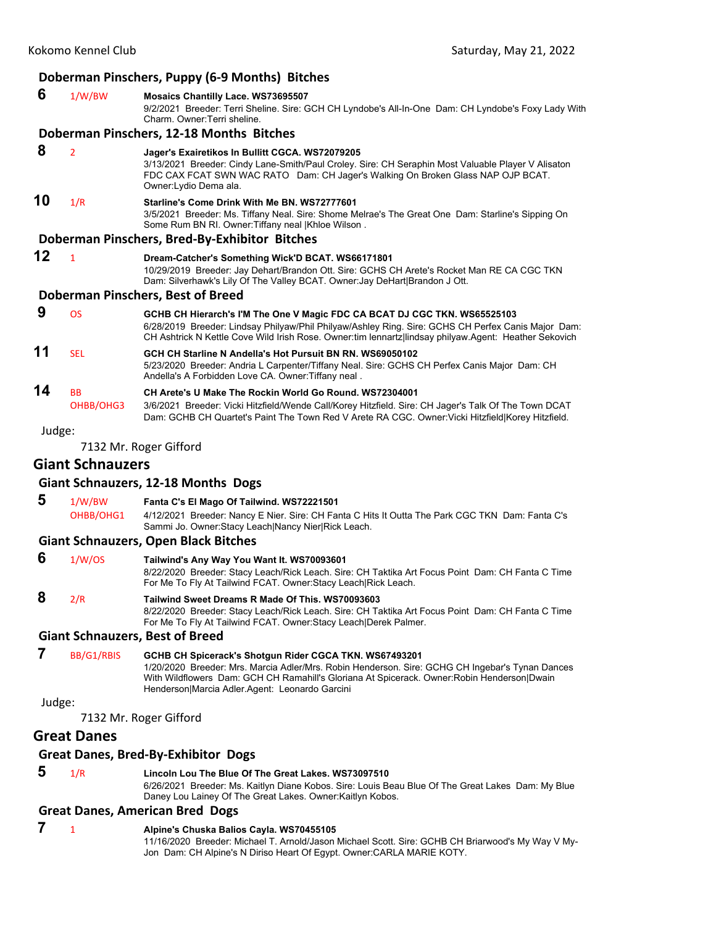## **Doberman Pinschers, Puppy (6‐9 Months) Bitches**

## **6** 1/W/BW **Mosaics Chantilly Lace. WS73695507** 9/2/2021 Breeder: Terri Sheline. Sire: GCH CH Lyndobe's All-In-One Dam: CH Lyndobe's Foxy Lady With Charm. Owner:Terri sheline. **Doberman Pinschers, 12‐18 Months Bitches 8** <sup>2</sup> **Jager's Exairetikos In Bullitt CGCA. WS72079205** 3/13/2021 Breeder: Cindy Lane-Smith/Paul Croley. Sire: CH Seraphin Most Valuable Player V Alisaton FDC CAX FCAT SWN WAC RATO Dam: CH Jager's Walking On Broken Glass NAP OJP BCAT. Owner:Lydio Dema ala. **10** 1/R **Starline's Come Drink With Me BN. WS72777601** 3/5/2021 Breeder: Ms. Tiffany Neal. Sire: Shome Melrae's The Great One Dam: Starline's Sipping On Some Rum BN RI. Owner:Tiffany neal |Khloe Wilson . **Doberman Pinschers, Bred‐By‐Exhibitor Bitches 12** <sup>1</sup> **Dream-Catcher's Something Wick'D BCAT. WS66171801** 10/29/2019 Breeder: Jay Dehart/Brandon Ott. Sire: GCHS CH Arete's Rocket Man RE CA CGC TKN Dam: Silverhawk's Lily Of The Valley BCAT. Owner:Jay DeHart|Brandon J Ott. **Doberman Pinschers, Best of Breed 9** OS **GCHB CH Hierarch's I'M The One V Magic FDC CA BCAT DJ CGC TKN. WS65525103** 6/28/2019 Breeder: Lindsay Philyaw/Phil Philyaw/Ashley Ring. Sire: GCHS CH Perfex Canis Major Dam: CH Ashtrick N Kettle Cove Wild Irish Rose. Owner:tim lennartz|lindsay philyaw.Agent: Heather Sekovich **11** SEL **GCH CH Starline N Andella's Hot Pursuit BN RN. WS69050102** 5/23/2020 Breeder: Andria L Carpenter/Tiffany Neal. Sire: GCHS CH Perfex Canis Major Dam: CH Andella's A Forbidden Love CA. Owner:Tiffany neal . **14** BB **CH Arete's U Make The Rockin World Go Round. WS72304001** OHBB/OHG3 3/6/2021 Breeder: Vicki Hitzfield/Wende Call/Korey Hitzfield. Sire: CH Jager's Talk Of The Town DCAT Dam: GCHB CH Quartet's Paint The Town Red V Arete RA CGC. Owner:Vicki Hitzfield|Korey Hitzfield.

Judge:

7132 Mr. Roger Gifford

## **Giant Schnauzers**

## **Giant Schnauzers, 12‐18 Months Dogs**

## **5** 1/W/BW **Fanta C's El Mago Of Tailwind. WS72221501**

OHBB/OHG1 4/12/2021 Breeder: Nancy E Nier. Sire: CH Fanta C Hits It Outta The Park CGC TKN Dam: Fanta C's Sammi Jo. Owner:Stacy Leach|Nancy Nier|Rick Leach.

## **Giant Schnauzers, Open Black Bitches**

#### **6** 1/W/OS **Tailwind's Any Way You Want It. WS70093601**

8/22/2020 Breeder: Stacy Leach/Rick Leach. Sire: CH Taktika Art Focus Point Dam: CH Fanta C Time For Me To Fly At Tailwind FCAT. Owner:Stacy Leach|Rick Leach.

#### **8** 2/R **Tailwind Sweet Dreams R Made Of This. WS70093603** 8/22/2020 Breeder: Stacy Leach/Rick Leach. Sire: CH Taktika Art Focus Point Dam: CH Fanta C Time For Me To Fly At Tailwind FCAT. Owner:Stacy Leach|Derek Palmer.

## **Giant Schnauzers, Best of Breed**

## **7** BB/G1/RBIS **GCHB CH Spicerack's Shotgun Rider CGCA TKN. WS67493201**

1/20/2020 Breeder: Mrs. Marcia Adler/Mrs. Robin Henderson. Sire: GCHG CH Ingebar's Tynan Dances With Wildflowers Dam: GCH CH Ramahill's Gloriana At Spicerack. Owner:Robin Henderson|Dwain Henderson|Marcia Adler.Agent: Leonardo Garcini

#### Judge:

7132 Mr. Roger Gifford

## **Great Danes**

## **Great Danes, Bred‐By‐Exhibitor Dogs**

#### **5** 1/R **Lincoln Lou The Blue Of The Great Lakes. WS73097510**

6/26/2021 Breeder: Ms. Kaitlyn Diane Kobos. Sire: Louis Beau Blue Of The Great Lakes Dam: My Blue Daney Lou Lainey Of The Great Lakes. Owner:Kaitlyn Kobos.

## **Great Danes, American Bred Dogs**

#### **7** <sup>1</sup> **Alpine's Chuska Balios Cayla. WS70455105**

11/16/2020 Breeder: Michael T. Arnold/Jason Michael Scott. Sire: GCHB CH Briarwood's My Way V My-Jon Dam: CH Alpine's N Diriso Heart Of Egypt. Owner:CARLA MARIE KOTY.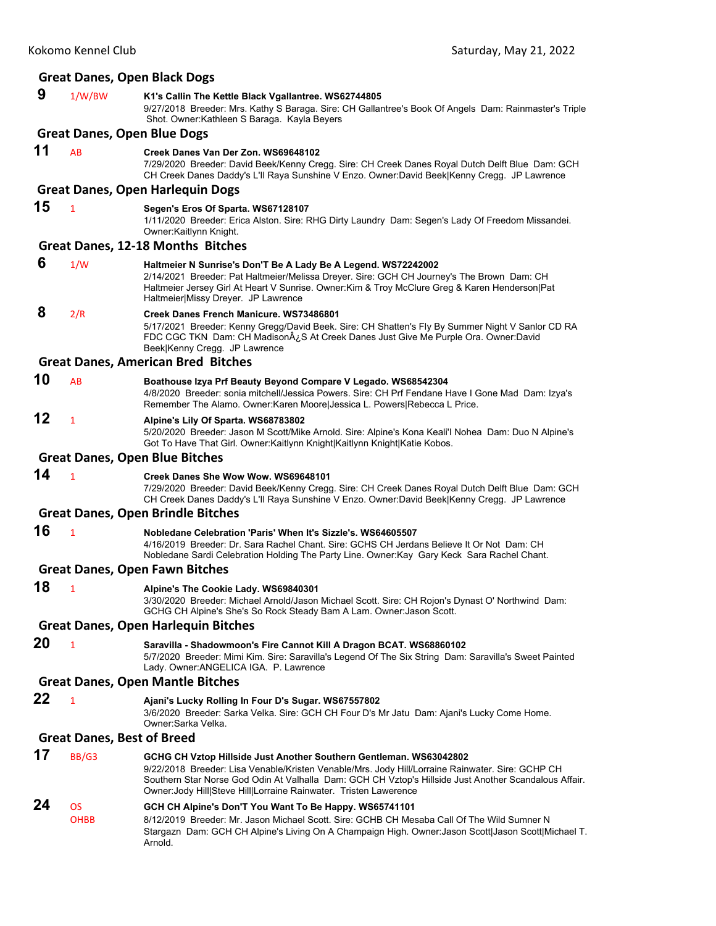|    | <b>Great Danes, Open Black Dogs</b> |                                                                                                                                                                                                                                                                                                                                                      |  |
|----|-------------------------------------|------------------------------------------------------------------------------------------------------------------------------------------------------------------------------------------------------------------------------------------------------------------------------------------------------------------------------------------------------|--|
| 9  | 1/W/BW                              | K1's Callin The Kettle Black Vgallantree. WS62744805<br>9/27/2018 Breeder: Mrs. Kathy S Baraga. Sire: CH Gallantree's Book Of Angels Dam: Rainmaster's Triple<br>Shot. Owner: Kathleen S Baraga. Kayla Beyers                                                                                                                                        |  |
|    |                                     | <b>Great Danes, Open Blue Dogs</b>                                                                                                                                                                                                                                                                                                                   |  |
| 11 | AB                                  | Creek Danes Van Der Zon. WS69648102<br>7/29/2020 Breeder: David Beek/Kenny Cregg. Sire: CH Creek Danes Royal Dutch Delft Blue Dam: GCH<br>CH Creek Danes Daddy's L'Il Raya Sunshine V Enzo. Owner:David Beek Kenny Cregg. JP Lawrence                                                                                                                |  |
|    |                                     | <b>Great Danes, Open Harlequin Dogs</b>                                                                                                                                                                                                                                                                                                              |  |
| 15 | $\mathbf{1}$                        | Segen's Eros Of Sparta. WS67128107<br>1/11/2020 Breeder: Erica Alston. Sire: RHG Dirty Laundry Dam: Segen's Lady Of Freedom Missandei.<br>Owner: Kaitlynn Knight.                                                                                                                                                                                    |  |
|    |                                     | Great Danes, 12-18 Months Bitches                                                                                                                                                                                                                                                                                                                    |  |
| 6  | 1/W                                 | Haltmeier N Sunrise's Don'T Be A Lady Be A Legend. WS72242002<br>2/14/2021 Breeder: Pat Haltmeier/Melissa Dreyer. Sire: GCH CH Journey's The Brown Dam: CH<br>Haltmeier Jersey Girl At Heart V Sunrise. Owner: Kim & Troy McClure Greg & Karen Henderson   Pat<br>Haltmeier Missy Dreyer. JP Lawrence                                                |  |
| 8  | 2/R                                 | Creek Danes French Manicure. WS73486801<br>5/17/2021 Breeder: Kenny Gregg/David Beek. Sire: CH Shatten's Fly By Summer Night V Sanlor CD RA<br>FDC CGC TKN Dam: CH Madison¿S At Creek Danes Just Give Me Purple Ora. Owner:David<br>Beek Kenny Cregg. JP Lawrence                                                                                    |  |
|    |                                     | <b>Great Danes, American Bred Bitches</b>                                                                                                                                                                                                                                                                                                            |  |
| 10 | AB                                  | Boathouse Izya Prf Beauty Beyond Compare V Legado. WS68542304<br>4/8/2020 Breeder: sonia mitchell/Jessica Powers. Sire: CH Prf Fendane Have I Gone Mad Dam: Izya's<br>Remember The Alamo. Owner: Karen Moore Jessica L. Powers Rebecca L Price.                                                                                                      |  |
| 12 | 1                                   | Alpine's Lily Of Sparta. WS68783802<br>5/20/2020 Breeder: Jason M Scott/Mike Arnold. Sire: Alpine's Kona Keali'l Nohea Dam: Duo N Alpine's<br>Got To Have That Girl. Owner: Kaitlynn Knight   Kaitlynn Knight   Katie Kobos.                                                                                                                         |  |
|    |                                     | <b>Great Danes, Open Blue Bitches</b>                                                                                                                                                                                                                                                                                                                |  |
| 14 | $\mathbf{1}$                        | Creek Danes She Wow Wow. WS69648101<br>7/29/2020 Breeder: David Beek/Kenny Cregg. Sire: CH Creek Danes Royal Dutch Delft Blue Dam: GCH<br>CH Creek Danes Daddy's L'Il Raya Sunshine V Enzo. Owner:David Beek Kenny Cregg. JP Lawrence                                                                                                                |  |
|    |                                     | <b>Great Danes, Open Brindle Bitches</b>                                                                                                                                                                                                                                                                                                             |  |
| 16 | $\mathbf{1}$                        | Nobledane Celebration 'Paris' When It's Sizzle's. WS64605507<br>4/16/2019 Breeder: Dr. Sara Rachel Chant. Sire: GCHS CH Jerdans Believe It Or Not Dam: CH<br>Nobledane Sardi Celebration Holding The Party Line. Owner: Kay Gary Keck Sara Rachel Chant.                                                                                             |  |
|    |                                     | <b>Great Danes, Open Fawn Bitches</b>                                                                                                                                                                                                                                                                                                                |  |
| 18 | 1                                   | Alpine's The Cookie Lady. WS69840301<br>3/30/2020 Breeder: Michael Arnold/Jason Michael Scott. Sire: CH Rojon's Dynast O' Northwind Dam:<br>GCHG CH Alpine's She's So Rock Steady Bam A Lam. Owner: Jason Scott.                                                                                                                                     |  |
|    |                                     | <b>Great Danes, Open Harlequin Bitches</b>                                                                                                                                                                                                                                                                                                           |  |
| 20 | $\mathbf{1}$                        | Saravilla - Shadowmoon's Fire Cannot Kill A Dragon BCAT. WS68860102<br>5/7/2020 Breeder: Mimi Kim. Sire: Saravilla's Legend Of The Six String Dam: Saravilla's Sweet Painted<br>Lady. Owner: ANGELICA IGA. P. Lawrence                                                                                                                               |  |
|    |                                     | <b>Great Danes, Open Mantle Bitches</b>                                                                                                                                                                                                                                                                                                              |  |
| 22 | $\mathbf{1}$                        | Ajani's Lucky Rolling In Four D's Sugar. WS67557802<br>3/6/2020 Breeder: Sarka Velka. Sire: GCH CH Four D's Mr Jatu Dam: Ajani's Lucky Come Home.<br>Owner:Sarka Velka.                                                                                                                                                                              |  |
|    | <b>Great Danes, Best of Breed</b>   |                                                                                                                                                                                                                                                                                                                                                      |  |
| 17 | BB/G3                               | GCHG CH Vztop Hillside Just Another Southern Gentleman. WS63042802<br>9/22/2018 Breeder: Lisa Venable/Kristen Venable/Mrs. Jody Hill/Lorraine Rainwater. Sire: GCHP CH<br>Southern Star Norse God Odin At Valhalla Dam: GCH CH Vztop's Hillside Just Another Scandalous Affair.<br>Owner: Jody Hill Steve Hill Lorraine Rainwater. Tristen Lawerence |  |
| 24 | <b>OS</b><br><b>OHBB</b>            | GCH CH Alpine's Don'T You Want To Be Happy. WS65741101<br>8/12/2019 Breeder: Mr. Jason Michael Scott. Sire: GCHB CH Mesaba Call Of The Wild Sumner N<br>Stargazn Dam: GCH CH Alpine's Living On A Champaign High. Owner: Jason Scott Jason Scott Michael T.<br>Arnold.                                                                               |  |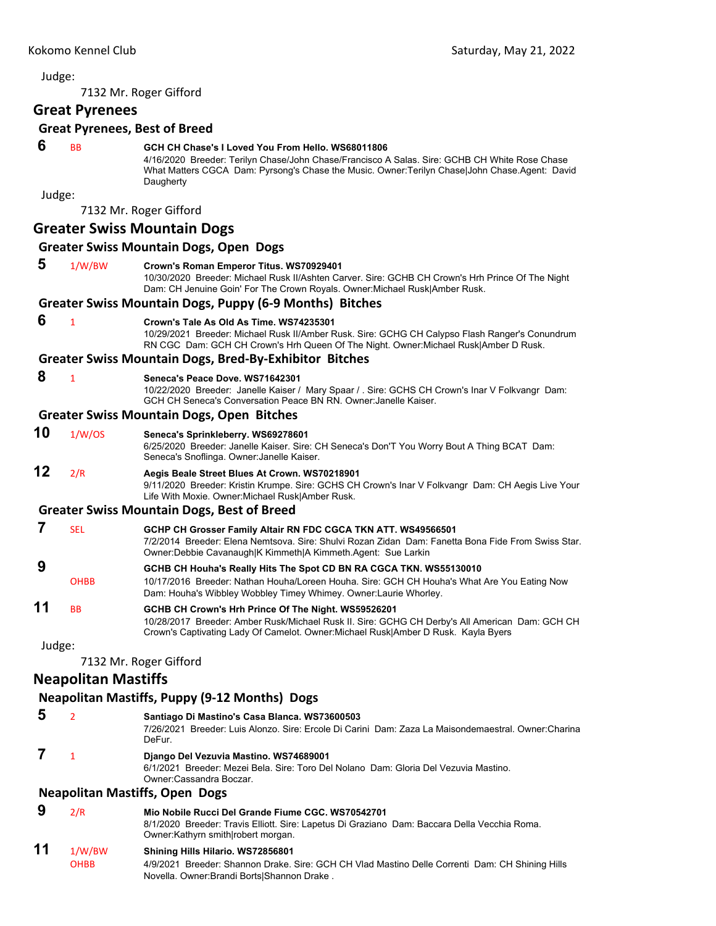## 7132 Mr. Roger Gifford **Great Pyrenees Great Pyrenees, Best of Breed 6** BB **GCH CH Chase's I Loved You From Hello. WS68011806** 4/16/2020 Breeder: Terilyn Chase/John Chase/Francisco A Salas. Sire: GCHB CH White Rose Chase What Matters CGCA Dam: Pyrsong's Chase the Music. Owner: Terilyn Chase|John Chase.Agent: David **Daugherty** Judge: 7132 Mr. Roger Gifford **Greater Swiss Mountain Dogs Greater Swiss Mountain Dogs, Open Dogs 5** 1/W/BW **Crown's Roman Emperor Titus. WS70929401** 10/30/2020 Breeder: Michael Rusk II/Ashten Carver. Sire: GCHB CH Crown's Hrh Prince Of The Night Dam: CH Jenuine Goin' For The Crown Royals. Owner:Michael Rusk|Amber Rusk. **Greater Swiss Mountain Dogs, Puppy (6‐9 Months) Bitches 6** <sup>1</sup> **Crown's Tale As Old As Time. WS74235301** 10/29/2021 Breeder: Michael Rusk II/Amber Rusk. Sire: GCHG CH Calypso Flash Ranger's Conundrum RN CGC Dam: GCH CH Crown's Hrh Queen Of The Night. Owner:Michael Rusk|Amber D Rusk. **Greater Swiss Mountain Dogs, Bred‐By‐Exhibitor Bitches 8** <sup>1</sup> **Seneca's Peace Dove. WS71642301** 10/22/2020 Breeder: Janelle Kaiser / Mary Spaar / . Sire: GCHS CH Crown's Inar V Folkvangr Dam: GCH CH Seneca's Conversation Peace BN RN. Owner:Janelle Kaiser. **Greater Swiss Mountain Dogs, Open Bitches 10** 1/W/OS **Seneca's Sprinkleberry. WS69278601** 6/25/2020 Breeder: Janelle Kaiser. Sire: CH Seneca's Don'T You Worry Bout A Thing BCAT Dam: Seneca's Snoflinga. Owner:Janelle Kaiser. **12** 2/R **Aegis Beale Street Blues At Crown. WS70218901** 9/11/2020 Breeder: Kristin Krumpe. Sire: GCHS CH Crown's Inar V Folkvangr Dam: CH Aegis Live Your Life With Moxie. Owner:Michael Rusk|Amber Rusk. **Greater Swiss Mountain Dogs, Best of Breed 7** SEL **GCHP CH Grosser Family Altair RN FDC CGCA TKN ATT. WS49566501** 7/2/2014 Breeder: Elena Nemtsova. Sire: Shulvi Rozan Zidan Dam: Fanetta Bona Fide From Swiss Star. Owner:Debbie Cavanaugh|K Kimmeth|A Kimmeth.Agent: Sue Larkin  **9 GCHB CH Houha's Really Hits The Spot CD BN RA CGCA TKN. WS55130010** OHBB 10/17/2016 Breeder: Nathan Houha/Loreen Houha. Sire: GCH CH Houha's What Are You Eating Now Dam: Houha's Wibbley Wobbley Timey Whimey. Owner:Laurie Whorley. **11** BB **GCHB CH Crown's Hrh Prince Of The Night. WS59526201** 10/28/2017 Breeder: Amber Rusk/Michael Rusk II. Sire: GCHG CH Derby's All American Dam: GCH CH Crown's Captivating Lady Of Camelot. Owner:Michael Rusk|Amber D Rusk. Kayla Byers Judge: 7132 Mr. Roger Gifford **Neapolitan Mastiffs Neapolitan Mastiffs, Puppy (9‐12 Months) Dogs 5** <sup>2</sup> **Santiago Di Mastino's Casa Blanca. WS73600503** 7/26/2021 Breeder: Luis Alonzo. Sire: Ercole Di Carini Dam: Zaza La Maisondemaestral. Owner:Charina DeFur.  **7** <sup>1</sup> **Django Del Vezuvia Mastino. WS74689001** 6/1/2021 Breeder: Mezei Bela. Sire: Toro Del Nolano Dam: Gloria Del Vezuvia Mastino. Owner:Cassandra Boczar.

## **Neapolitan Mastiffs, Open Dogs**

- **9** 2/R **Mio Nobile Rucci Del Grande Fiume CGC. WS70542701**
	- 8/1/2020 Breeder: Travis Elliott. Sire: Lapetus Di Graziano Dam: Baccara Della Vecchia Roma. Owner:Kathyrn smith|robert morgan.

## **11** 1/W/BW **Shining Hills Hilario. WS72856801**

OHBB 4/9/2021 Breeder: Shannon Drake. Sire: GCH CH Vlad Mastino Delle Correnti Dam: CH Shining Hills Novella. Owner:Brandi Borts|Shannon Drake .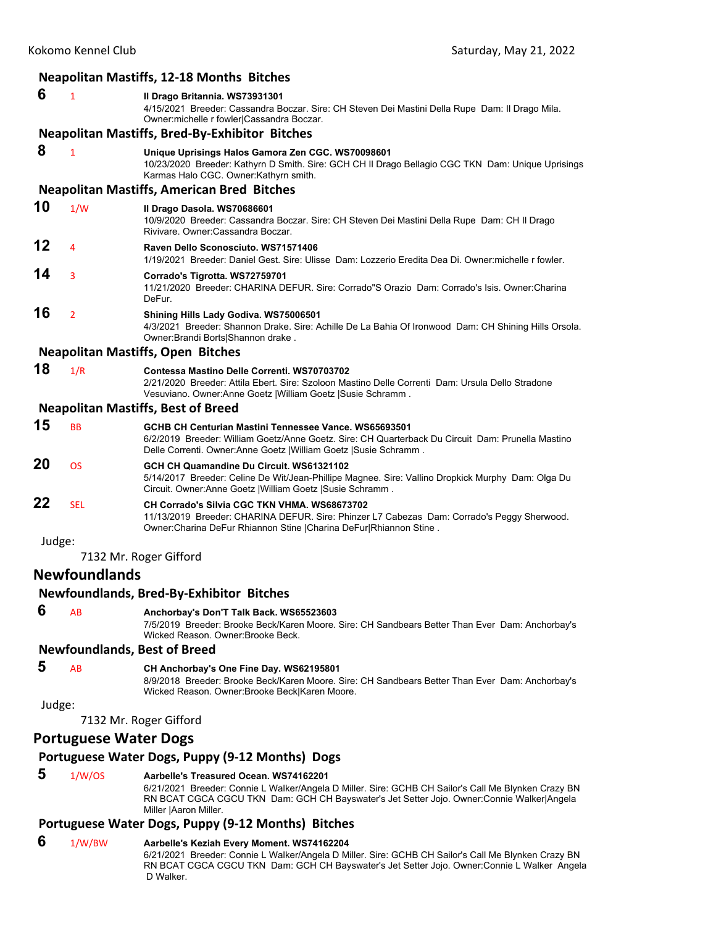| <b>Neapolitan Mastiffs, 12-18 Months Bitches</b> |                                                    |                                                                                                                                                                                                                                                                      |  |
|--------------------------------------------------|----------------------------------------------------|----------------------------------------------------------------------------------------------------------------------------------------------------------------------------------------------------------------------------------------------------------------------|--|
| 6                                                | $\mathbf{1}$                                       | Il Drago Britannia. WS73931301<br>4/15/2021 Breeder: Cassandra Boczar. Sire: CH Steven Dei Mastini Della Rupe Dam: Il Drago Mila.<br>Owner: michelle r fowler Cassandra Boczar.                                                                                      |  |
|                                                  |                                                    | <b>Neapolitan Mastiffs, Bred-By-Exhibitor Bitches</b>                                                                                                                                                                                                                |  |
| 8                                                | $\mathbf{1}$                                       | Unique Uprisings Halos Gamora Zen CGC. WS70098601<br>10/23/2020 Breeder: Kathyrn D Smith. Sire: GCH CH II Drago Bellagio CGC TKN Dam: Unique Uprisings<br>Karmas Halo CGC. Owner: Kathyrn smith.                                                                     |  |
|                                                  |                                                    | <b>Neapolitan Mastiffs, American Bred Bitches</b>                                                                                                                                                                                                                    |  |
| 10                                               | 1/W                                                | Il Drago Dasola. WS70686601<br>10/9/2020 Breeder: Cassandra Boczar. Sire: CH Steven Dei Mastini Della Rupe Dam: CH II Drago<br>Rivivare, Owner: Cassandra Boczar,                                                                                                    |  |
| 12                                               | 4                                                  | Raven Dello Sconosciuto. WS71571406<br>1/19/2021 Breeder: Daniel Gest. Sire: Ulisse Dam: Lozzerio Eredita Dea Di. Owner:michelle r fowler.                                                                                                                           |  |
| 14                                               | 3                                                  | Corrado's Tigrotta. WS72759701<br>11/21/2020 Breeder: CHARINA DEFUR. Sire: Corrado"S Orazio Dam: Corrado's Isis. Owner: Charina<br>DeFur.                                                                                                                            |  |
| 16                                               | $\overline{2}$                                     | Shining Hills Lady Godiva. WS75006501<br>4/3/2021 Breeder: Shannon Drake. Sire: Achille De La Bahia Of Ironwood Dam: CH Shining Hills Orsola.<br>Owner: Brandi Borts Shannon drake.                                                                                  |  |
|                                                  |                                                    | <b>Neapolitan Mastiffs, Open Bitches</b>                                                                                                                                                                                                                             |  |
| 18                                               | 1/R                                                | Contessa Mastino Delle Correnti. WS70703702<br>2/21/2020 Breeder: Attila Ebert. Sire: Szoloon Mastino Delle Correnti Dam: Ursula Dello Stradone<br>Vesuviano. Owner:Anne Goetz   William Goetz   Susie Schramm.                                                      |  |
|                                                  |                                                    | <b>Neapolitan Mastiffs, Best of Breed</b>                                                                                                                                                                                                                            |  |
| 15                                               | <b>BB</b>                                          | GCHB CH Centurian Mastini Tennessee Vance. WS65693501<br>6/2/2019 Breeder: William Goetz/Anne Goetz. Sire: CH Quarterback Du Circuit Dam: Prunella Mastino<br>Delle Correnti. Owner: Anne Goetz   William Goetz   Susie Schramm.                                     |  |
| 20                                               | <b>OS</b>                                          | GCH CH Quamandine Du Circuit. WS61321102<br>5/14/2017 Breeder: Celine De Wit/Jean-Phillipe Magnee. Sire: Vallino Dropkick Murphy Dam: Olga Du<br>Circuit. Owner: Anne Goetz   William Goetz   Susie Schramm.                                                         |  |
| 22                                               | <b>SEL</b>                                         | CH Corrado's Silvia CGC TKN VHMA. WS68673702<br>11/13/2019 Breeder: CHARINA DEFUR. Sire: Phinzer L7 Cabezas Dam: Corrado's Peggy Sherwood.<br>Owner: Charina DeFur Rhiannon Stine   Charina DeFur  Rhiannon Stine.                                                   |  |
| Judge:                                           |                                                    |                                                                                                                                                                                                                                                                      |  |
|                                                  |                                                    | 7132 Mr. Roger Gifford                                                                                                                                                                                                                                               |  |
|                                                  | <b>Newfoundlands</b>                               |                                                                                                                                                                                                                                                                      |  |
|                                                  |                                                    | Newfoundlands, Bred-By-Exhibitor Bitches                                                                                                                                                                                                                             |  |
| 6                                                | AB                                                 | Anchorbay's Don'T Talk Back. WS65523603<br>7/5/2019 Breeder: Brooke Beck/Karen Moore. Sire: CH Sandbears Better Than Ever Dam: Anchorbay's<br>Wicked Reason, Owner: Brooke Beck.                                                                                     |  |
|                                                  |                                                    | <b>Newfoundlands, Best of Breed</b>                                                                                                                                                                                                                                  |  |
| 5                                                | AB                                                 | CH Anchorbay's One Fine Day. WS62195801<br>8/9/2018 Breeder: Brooke Beck/Karen Moore. Sire: CH Sandbears Better Than Ever Dam: Anchorbay's<br>Wicked Reason. Owner: Brooke Beck Karen Moore.                                                                         |  |
| Judge:                                           |                                                    |                                                                                                                                                                                                                                                                      |  |
|                                                  |                                                    | 7132 Mr. Roger Gifford                                                                                                                                                                                                                                               |  |
| <b>Portuguese Water Dogs</b>                     |                                                    |                                                                                                                                                                                                                                                                      |  |
| Portuguese Water Dogs, Puppy (9-12 Months) Dogs  |                                                    |                                                                                                                                                                                                                                                                      |  |
| 5                                                | 1/W/OS                                             | Aarbelle's Treasured Ocean. WS74162201<br>6/21/2021 Breeder: Connie L Walker/Angela D Miller. Sire: GCHB CH Sailor's Call Me Blynken Crazy BN<br>RN BCAT CGCA CGCU TKN Dam: GCH CH Bayswater's Jet Setter Jojo. Owner:Connie Walker Angela<br>Miller   Aaron Miller. |  |
|                                                  | Portuguese Water Dogs, Puppy (9-12 Months) Bitches |                                                                                                                                                                                                                                                                      |  |

## **6** 1/W/BW **Aarbelle's Keziah Every Moment. WS74162204**

6/21/2021 Breeder: Connie L Walker/Angela D Miller. Sire: GCHB CH Sailor's Call Me Blynken Crazy BN RN BCAT CGCA CGCU TKN Dam: GCH CH Bayswater's Jet Setter Jojo. Owner:Connie L Walker Angela D Walker.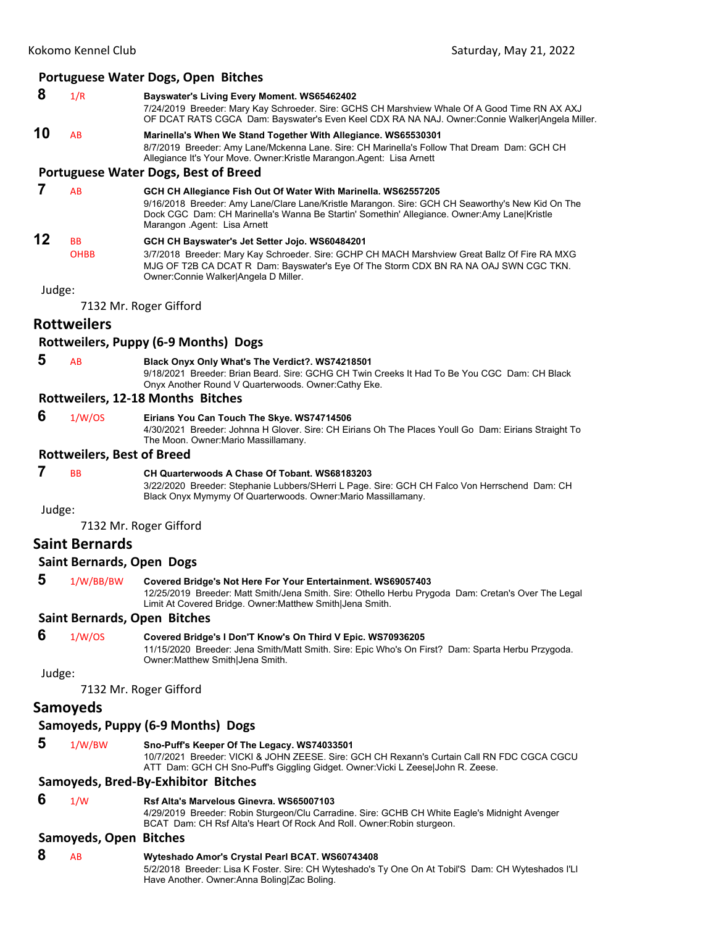## **Portuguese Water Dogs, Open Bitches**

- **8** 1/R **Bayswater's Living Every Moment. WS65462402**
- 7/24/2019 Breeder: Mary Kay Schroeder. Sire: GCHS CH Marshview Whale Of A Good Time RN AX AXJ OF DCAT RATS CGCA Dam: Bayswater's Even Keel CDX RA NA NAJ. Owner:Connie Walker|Angela Miller.
- **10** AB **Marinella's When We Stand Together With Allegiance. WS65530301** 8/7/2019 Breeder: Amy Lane/Mckenna Lane. Sire: CH Marinella's Follow That Dream Dam: GCH CH Allegiance It's Your Move. Owner:Kristle Marangon.Agent: Lisa Arnett

#### **Portuguese Water Dogs, Best of Breed**

 **7** AB **GCH CH Allegiance Fish Out Of Water With Marinella. WS62557205** 9/16/2018 Breeder: Amy Lane/Clare Lane/Kristle Marangon. Sire: GCH CH Seaworthy's New Kid On The Dock CGC Dam: CH Marinella's Wanna Be Startin' Somethin' Allegiance. Owner:Amy Lane|Kristle Marangon .Agent: Lisa Arnett **12** BB **GCH CH Bayswater's Jet Setter Jojo. WS60484201** OHBB 3/7/2018 Breeder: Mary Kay Schroeder. Sire: GCHP CH MACH Marshview Great Ballz Of Fire RA MXG MJG OF T2B CA DCAT R Dam: Bayswater's Eye Of The Storm CDX BN RA NA OAJ SWN CGC TKN. Owner:Connie Walker|Angela D Miller.

Judge:

7132 Mr. Roger Gifford

## **Rottweilers**

#### **Rottweilers, Puppy (6‐9 Months) Dogs**

 **5** AB **Black Onyx Only What's The Verdict?. WS74218501** 9/18/2021 Breeder: Brian Beard. Sire: GCHG CH Twin Creeks It Had To Be You CGC Dam: CH Black Onyx Another Round V Quarterwoods. Owner:Cathy Eke.

#### **Rottweilers, 12‐18 Months Bitches**

## **6** 1/W/OS **Eirians You Can Touch The Skye. WS74714506**

4/30/2021 Breeder: Johnna H Glover. Sire: CH Eirians Oh The Places Youll Go Dam: Eirians Straight To The Moon. Owner:Mario Massillamany.

## **Rottweilers, Best of Breed**

## **7** BB **CH Quarterwoods A Chase Of Tobant. WS68183203**

3/22/2020 Breeder: Stephanie Lubbers/SHerri L Page. Sire: GCH CH Falco Von Herrschend Dam: CH Black Onyx Mymymy Of Quarterwoods. Owner:Mario Massillamany.

Judge:

7132 Mr. Roger Gifford

## **Saint Bernards**

#### **Saint Bernards, Open Dogs**

 **5** 1/W/BB/BW **Covered Bridge's Not Here For Your Entertainment. WS69057403** 12/25/2019 Breeder: Matt Smith/Jena Smith. Sire: Othello Herbu Prygoda Dam: Cretan's Over The Legal Limit At Covered Bridge. Owner:Matthew Smith|Jena Smith.

#### **Saint Bernards, Open Bitches**

 **6** 1/W/OS **Covered Bridge's I Don'T Know's On Third V Epic. WS70936205** 11/15/2020 Breeder: Jena Smith/Matt Smith. Sire: Epic Who's On First? Dam: Sparta Herbu Przygoda. Owner:Matthew Smith|Jena Smith.

Judge:

7132 Mr. Roger Gifford

## **Samoyeds**

## **Samoyeds, Puppy (6‐9 Months) Dogs**

- 
- **5** 1/W/BW **Sno-Puff's Keeper Of The Legacy. WS74033501**

10/7/2021 Breeder: VICKI & JOHN ZEESE. Sire: GCH CH Rexann's Curtain Call RN FDC CGCA CGCU ATT Dam: GCH CH Sno-Puff's Giggling Gidget. Owner:Vicki L Zeese|John R. Zeese.

## **Samoyeds, Bred‐By‐Exhibitor Bitches**

 **6** 1/W **Rsf Alta's Marvelous Ginevra. WS65007103**

4/29/2019 Breeder: Robin Sturgeon/Clu Carradine. Sire: GCHB CH White Eagle's Midnight Avenger BCAT Dam: CH Rsf Alta's Heart Of Rock And Roll. Owner:Robin sturgeon.

## **Samoyeds, Open Bitches**

 **8** AB **Wyteshado Amor's Crystal Pearl BCAT. WS60743408** 5/2/2018 Breeder: Lisa K Foster. Sire: CH Wyteshado's Ty One On At Tobil'S Dam: CH Wyteshados I'Ll Have Another. Owner:Anna Boling|Zac Boling.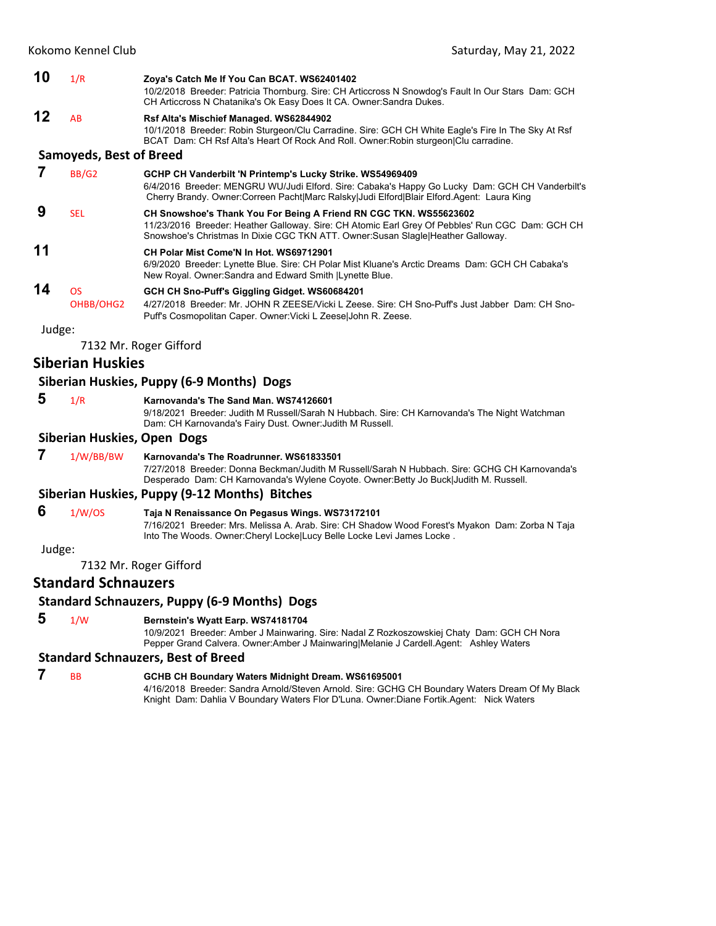|        | Kokomo Kennel Club             | Saturday, May 21, 2022                                                                                                                                                                                                                                    |
|--------|--------------------------------|-----------------------------------------------------------------------------------------------------------------------------------------------------------------------------------------------------------------------------------------------------------|
| 10     | 1/R                            | Zoya's Catch Me If You Can BCAT. WS62401402<br>10/2/2018 Breeder: Patricia Thornburg. Sire: CH Articcross N Snowdog's Fault In Our Stars Dam: GCH<br>CH Articcross N Chatanika's Ok Easy Does It CA. Owner: Sandra Dukes.                                 |
| 12     | AB                             | Rsf Alta's Mischief Managed. WS62844902<br>10/1/2018 Breeder: Robin Sturgeon/Clu Carradine. Sire: GCH CH White Eagle's Fire In The Sky At Rsf<br>BCAT Dam: CH Rsf Alta's Heart Of Rock And Roll. Owner: Robin sturgeon Clu carradine.                     |
|        | <b>Samoyeds, Best of Breed</b> |                                                                                                                                                                                                                                                           |
| 7      | <b>BB/G2</b>                   | GCHP CH Vanderbilt 'N Printemp's Lucky Strike. WS54969409<br>6/4/2016 Breeder: MENGRU WU/Judi Elford. Sire: Cabaka's Happy Go Lucky Dam: GCH CH Vanderbilt's<br>Cherry Brandy. Owner:Correen Pacht Marc Ralsky Judi Elford Blair Elford.Agent: Laura King |
| 9      | <b>SEL</b>                     | CH Snowshoe's Thank You For Being A Friend RN CGC TKN. WS55623602<br>11/23/2016 Breeder: Heather Galloway. Sire: CH Atomic Earl Grey Of Pebbles' Run CGC Dam: GCH CH<br>Snowshoe's Christmas In Dixie CGC TKN ATT. Owner: Susan Slagle Heather Galloway.  |
| 11     |                                | CH Polar Mist Come'N In Hot. WS69712901<br>6/9/2020 Breeder: Lynette Blue. Sire: CH Polar Mist Kluane's Arctic Dreams Dam: GCH CH Cabaka's<br>New Royal. Owner: Sandra and Edward Smith   Lynette Blue.                                                   |
| 14     | <b>OS</b><br>OHBB/OHG2         | GCH CH Sno-Puff's Giggling Gidget. WS60684201<br>4/27/2018 Breeder: Mr. JOHN R ZEESE/Vicki L Zeese. Sire: CH Sno-Puff's Just Jabber Dam: CH Sno-<br>Puff's Cosmopolitan Caper. Owner: Vicki L Zeese John R. Zeese.                                        |
| Judge: |                                |                                                                                                                                                                                                                                                           |
|        |                                | 7132 Mr. Roger Gifford                                                                                                                                                                                                                                    |
|        | <b>Siberian Huskies</b>        |                                                                                                                                                                                                                                                           |
|        |                                | Siberian Huskies, Puppy (6-9 Months) Dogs                                                                                                                                                                                                                 |
| 5      | 1/R                            | Karnovanda's The Sand Man. WS74126601<br>9/18/2021 Breeder: Judith M Russell/Sarah N Hubbach. Sire: CH Karnovanda's The Night Watchman<br>Dam: CH Karnovanda's Fairy Dust. Owner: Judith M Russell.                                                       |
|        | Siberian Huskies, Open Dogs    |                                                                                                                                                                                                                                                           |
| 7      | 1/W/BB/BW                      | Karnovanda's The Roadrunner, WS61833501<br>7/27/2018 Breeder: Donna Beckman/Judith M Russell/Sarah N Hubbach. Sire: GCHG CH Karnovanda's<br>Desperado Dam: CH Karnovanda's Wylene Coyote. Owner: Betty Jo Buck Judith M. Russell.                         |
|        |                                | Siberian Huskies, Puppy (9-12 Months) Bitches                                                                                                                                                                                                             |
| 6      | 1/W/OS                         | Taja N Renaissance On Pegasus Wings. WS73172101<br>7/16/2021 Breeder: Mrs. Melissa A. Arab. Sire: CH Shadow Wood Forest's Myakon Dam: Zorba N Taja<br>Into The Woods. Owner: Cheryl Locke Lucy Belle Locke Levi James Locke.                              |
| Judge: |                                |                                                                                                                                                                                                                                                           |
|        |                                | 7132 Mr. Roger Gifford                                                                                                                                                                                                                                    |
|        | <b>Standard Schnauzers</b>     |                                                                                                                                                                                                                                                           |
|        |                                | <b>Standard Schnauzers, Puppy (6-9 Months) Dogs</b>                                                                                                                                                                                                       |
| 5      | 1/W                            | Bernstein's Wyatt Earp. WS74181704<br>10/9/2021 Breeder: Amber J Mainwaring. Sire: Nadal Z Rozkoszowskiej Chaty Dam: GCH CH Nora<br>Pepper Grand Calvera. Owner:Amber J Mainwaring Melanie J Cardell.Agent: Ashley Waters                                 |
|        |                                | <b>Standard Schnauzers, Best of Breed</b>                                                                                                                                                                                                                 |
| 7      | <b>BB</b>                      | GCHB CH Boundary Waters Midnight Dream. WS61695001<br>4/16/2018 Breeder: Sandra Arnold/Steven Arnold. Sire: GCHG CH Boundary Waters Dream Of My Black<br>Knight Dam: Dahlia V Boundary Waters Flor D'Luna. Owner: Diane Fortik. Agent: Nick Waters        |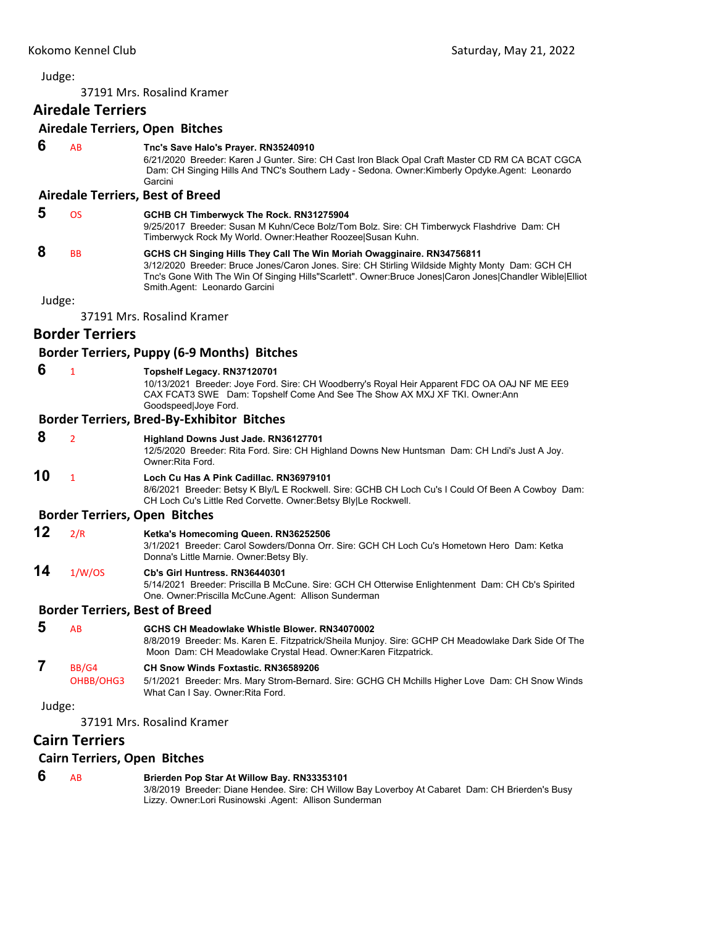<span id="page-25-0"></span>37191 Mrs. Rosalind Kramer

## **Airedale Terriers**

## **Airedale Terriers, Open Bitches**

 **6** AB **Tnc's Save Halo's Prayer. RN35240910**

6/21/2020 Breeder: Karen J Gunter. Sire: CH Cast Iron Black Opal Craft Master CD RM CA BCAT CGCA Dam: CH Singing Hills And TNC's Southern Lady - Sedona. Owner:Kimberly Opdyke.Agent: Leonardo Garcini

## **Airedale Terriers, Best of Breed**

| Ð | ns                   | GCHB CH Timberwyck The Rock. RN31275904                                                                                                                                                                                                                                               |
|---|----------------------|---------------------------------------------------------------------------------------------------------------------------------------------------------------------------------------------------------------------------------------------------------------------------------------|
|   |                      | 9/25/2017 Breeder: Susan M Kuhn/Cece Bolz/Tom Bolz. Sire: CH Timberwyck Flashdrive Dam: CH<br>Timberwyck Rock My World. Owner: Heather Roozee Susan Kuhn.                                                                                                                             |
| 8 | <b>B<sub>B</sub></b> | GCHS CH Singing Hills They Call The Win Moriah Owagginaire. RN34756811<br>3/12/2020 Breeder: Bruce Jones/Caron Jones. Sire: CH Stirling Wildside Mighty Monty Dam: GCH CH<br>Tnc's Gone With The Win Of Singing Hills"Scarlett". Owner: Bruce Jones Caron Jones Chandler Wible Elliot |

Judge:

37191 Mrs. Rosalind Kramer

## **Border Terriers**

## **Border Terriers, Puppy (6‐9 Months) Bitches**

| $\mathbf{1}$          | Topshelf Legacy. RN37120701<br>10/13/2021 Breeder: Joye Ford. Sire: CH Woodberry's Royal Heir Apparent FDC OA OAJ NF ME EE9<br>CAX FCAT3 SWE Dam: Topshelf Come And See The Show AX MXJ XF TKI. Owner:Ann<br>Goodspeed Joye Ford. |
|-----------------------|-----------------------------------------------------------------------------------------------------------------------------------------------------------------------------------------------------------------------------------|
|                       | <b>Border Terriers, Bred-By-Exhibitor Bitches</b>                                                                                                                                                                                 |
| $\overline{2}$        | Highland Downs Just Jade. RN36127701<br>12/5/2020 Breeder: Rita Ford. Sire: CH Highland Downs New Huntsman Dam: CH Lndi's Just A Joy.<br>Owner: Rita Ford.                                                                        |
| $\mathbf{1}$          | Loch Cu Has A Pink Cadillac, RN36979101<br>8/6/2021 Breeder: Betsy K Bly/L E Rockwell. Sire: GCHB CH Loch Cu's I Could Of Been A Cowboy Dam:<br>CH Loch Cu's Little Red Corvette. Owner: Betsy Bly Le Rockwell.                   |
|                       | <b>Border Terriers, Open Bitches</b>                                                                                                                                                                                              |
| 2/R                   | Ketka's Homecoming Queen. RN36252506<br>3/1/2021 Breeder: Carol Sowders/Donna Orr. Sire: GCH CH Loch Cu's Hometown Hero Dam: Ketka<br>Donna's Little Marnie. Owner: Betsy Bly.                                                    |
| 1/W/OS                | Cb's Girl Huntress, RN36440301<br>5/14/2021 Breeder: Priscilla B McCune. Sire: GCH CH Otterwise Enlightenment Dam: CH Cb's Spirited<br>One. Owner: Priscilla McCune. Agent: Allison Sunderman                                     |
|                       | <b>Border Terriers, Best of Breed</b>                                                                                                                                                                                             |
| AB                    | GCHS CH Meadowlake Whistle Blower, RN34070002<br>8/8/2019 Breeder: Ms. Karen E. Fitzpatrick/Sheila Munjoy. Sire: GCHP CH Meadowlake Dark Side Of The<br>Moon Dam: CH Meadowlake Crystal Head. Owner: Karen Fitzpatrick.           |
| BB/G4<br>OHBB/OHG3    | CH Snow Winds Foxtastic, RN36589206<br>5/1/2021 Breeder: Mrs. Mary Strom-Bernard. Sire: GCHG CH Mchills Higher Love Dam: CH Snow Winds<br>What Can I Say. Owner Rita Ford.                                                        |
| Judge:                |                                                                                                                                                                                                                                   |
|                       | 37191 Mrs. Rosalind Kramer                                                                                                                                                                                                        |
| <b>Cairn Terriers</b> |                                                                                                                                                                                                                                   |
|                       |                                                                                                                                                                                                                                   |

## **Cairn Terriers, Open Bitches**

| 6 | Brierden Pop Star At Willow Bay. RN33353101                                                     |
|---|-------------------------------------------------------------------------------------------------|
|   | 3/8/2019 Breeder: Diane Hendee. Sire: CH Willow Bay Loverboy At Cabaret Dam: CH Brierden's Busy |
|   | Lizzy. Owner:Lori Rusinowski .Agent: Allison Sunderman                                          |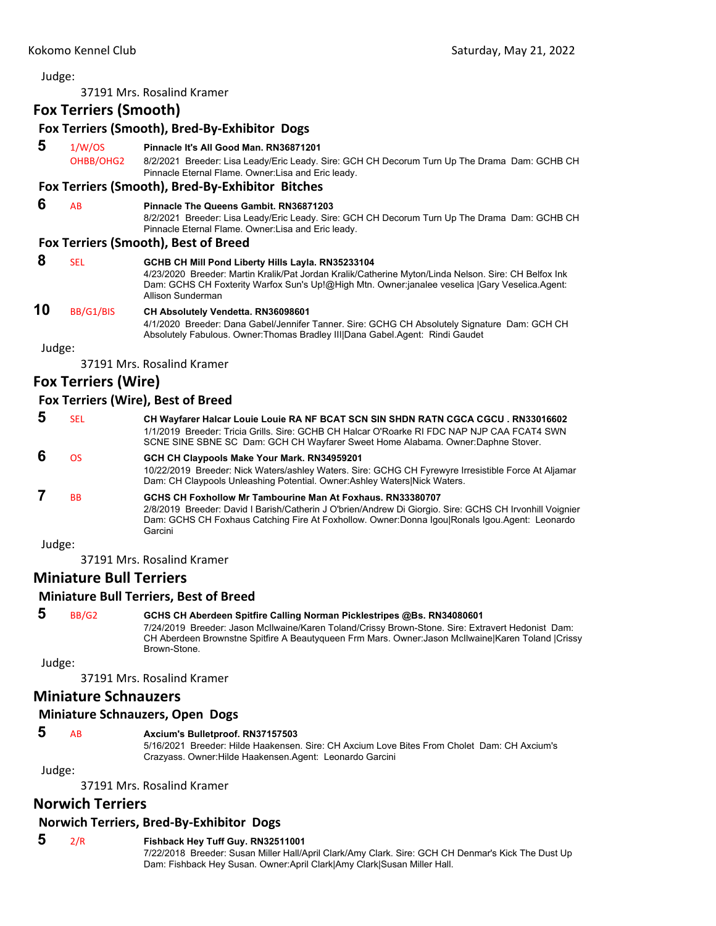37191 Mrs. Rosalind Kramer

## **Fox Terriers (Smooth)**

|        | <b>LOVILEIS CISTEM</b> |                                                                                                                                                                                                                                                                                  |
|--------|------------------------|----------------------------------------------------------------------------------------------------------------------------------------------------------------------------------------------------------------------------------------------------------------------------------|
|        |                        | Fox Terriers (Smooth), Bred-By-Exhibitor Dogs                                                                                                                                                                                                                                    |
| 5      | 1/W/OS<br>OHBB/OHG2    | Pinnacle It's All Good Man. RN36871201<br>8/2/2021 Breeder: Lisa Leady/Eric Leady. Sire: GCH CH Decorum Turn Up The Drama Dam: GCHB CH<br>Pinnacle Eternal Flame. Owner: Lisa and Eric leady.<br>Fox Terriers (Smooth), Bred-By-Exhibitor Bitches                                |
|        |                        |                                                                                                                                                                                                                                                                                  |
| 6      | AB                     | <b>Pinnacle The Queens Gambit, RN36871203</b><br>8/2/2021 Breeder: Lisa Leady/Eric Leady. Sire: GCH CH Decorum Turn Up The Drama Dam: GCHB CH<br>Pinnacle Eternal Flame. Owner: Lisa and Eric leady.                                                                             |
|        |                        | <b>Fox Terriers (Smooth), Best of Breed</b>                                                                                                                                                                                                                                      |
| 8      | <b>SEL</b>             | GCHB CH Mill Pond Liberty Hills Layla. RN35233104<br>4/23/2020 Breeder: Martin Kralik/Pat Jordan Kralik/Catherine Myton/Linda Nelson. Sire: CH Belfox Ink<br>Dam: GCHS CH Foxterity Warfox Sun's Up!@High Mtn. Owner:janalee veselica  Gary Veselica.Agent:<br>Allison Sunderman |
| 10     | BB/G1/BIS              | <b>CH Absolutely Vendetta. RN36098601</b><br>4/1/2020 Breeder: Dana Gabel/Jennifer Tanner. Sire: GCHG CH Absolutely Signature Dam: GCH CH<br>Absolutely Fabulous. Owner: Thomas Bradley III Dana Gabel. Agent: Rindi Gaudet                                                      |
| Judge: |                        |                                                                                                                                                                                                                                                                                  |
|        |                        | 37191 Mrs. Rosalind Kramer                                                                                                                                                                                                                                                       |

## **Fox Terriers (Wire)**

## **Fox Terriers (Wire), Best of Breed**

| 5      | <b>SEL</b> | CH Wayfarer Halcar Louie Louie RA NF BCAT SCN SIN SHDN RATN CGCA CGCU. RN33016602<br>1/1/2019 Breeder: Tricia Grills, Sire: GCHB CH Halcar O'Roarke RI FDC NAP NJP CAA FCAT4 SWN<br>SCNE SINE SBNE SC Dam: GCH CH Wayfarer Sweet Home Alabama. Owner: Daphne Stover.                |
|--------|------------|-------------------------------------------------------------------------------------------------------------------------------------------------------------------------------------------------------------------------------------------------------------------------------------|
| 6      | <b>OS</b>  | GCH CH Claypools Make Your Mark. RN34959201<br>10/22/2019 Breeder: Nick Waters/ashley Waters. Sire: GCHG CH Fyrewyre Irresistible Force At Aljamar<br>Dam: CH Claypools Unleashing Potential. Owner: Ashley Waters/Nick Waters.                                                     |
|        | <b>BB</b>  | GCHS CH Foxhollow Mr Tambourine Man At Foxhaus, RN33380707<br>2/8/2019 Breeder: David I Barish/Catherin J O'brien/Andrew Di Giorgio. Sire: GCHS CH Irvonhill Voignier<br>Dam: GCHS CH Foxhaus Catching Fire At Foxhollow. Owner: Donna IgoulRonals Igou. Agent: Leonardo<br>Garcini |
| Judge: |            |                                                                                                                                                                                                                                                                                     |

37191 Mrs. Rosalind Kramer

## **Miniature Bull Terriers**

## **Miniature Bull Terriers, Best of Breed**

## **5** BB/G2 **GCHS CH Aberdeen Spitfire Calling Norman Picklestripes @Bs. RN34080601**

7/24/2019 Breeder: Jason McIlwaine/Karen Toland/Crissy Brown-Stone. Sire: Extravert Hedonist Dam: CH Aberdeen Brownstne Spitfire A Beautyqueen Frm Mars. Owner:Jason McIlwaine|Karen Toland |Crissy Brown-Stone.

Judge:

37191 Mrs. Rosalind Kramer

## **Miniature Schnauzers**

## **Miniature Schnauzers, Open Dogs**

## **5** AB **Axcium's Bulletproof. RN37157503**

5/16/2021 Breeder: Hilde Haakensen. Sire: CH Axcium Love Bites From Cholet Dam: CH Axcium's Crazyass. Owner:Hilde Haakensen.Agent: Leonardo Garcini

Judge:

37191 Mrs. Rosalind Kramer

## **Norwich Terriers**

## **Norwich Terriers, Bred‐By‐Exhibitor Dogs**

## **5** 2/R **Fishback Hey Tuff Guy. RN32511001**

7/22/2018 Breeder: Susan Miller Hall/April Clark/Amy Clark. Sire: GCH CH Denmar's Kick The Dust Up Dam: Fishback Hey Susan. Owner:April Clark|Amy Clark|Susan Miller Hall.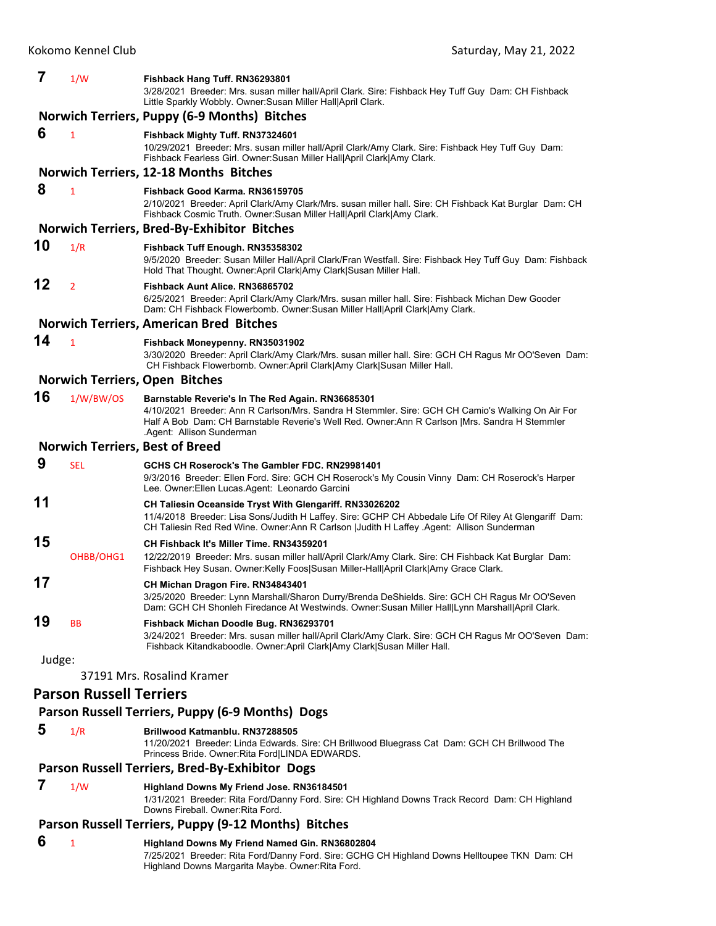| 7                                                | 1/W            | Fishback Hang Tuff. RN36293801                                                                                                                                                                                                                                                       |
|--------------------------------------------------|----------------|--------------------------------------------------------------------------------------------------------------------------------------------------------------------------------------------------------------------------------------------------------------------------------------|
|                                                  |                | 3/28/2021 Breeder: Mrs. susan miller hall/April Clark. Sire: Fishback Hey Tuff Guy Dam: CH Fishback<br>Little Sparkly Wobbly. Owner: Susan Miller Hall April Clark.                                                                                                                  |
|                                                  |                | Norwich Terriers, Puppy (6-9 Months) Bitches                                                                                                                                                                                                                                         |
| 6                                                | $\mathbf{1}$   | Fishback Mighty Tuff. RN37324601<br>10/29/2021 Breeder: Mrs. susan miller hall/April Clark/Amy Clark. Sire: Fishback Hey Tuff Guy Dam:<br>Fishback Fearless Girl. Owner: Susan Miller Hall April Clark Amy Clark.                                                                    |
|                                                  |                | Norwich Terriers, 12-18 Months Bitches                                                                                                                                                                                                                                               |
| 8                                                | $\mathbf{1}$   | Fishback Good Karma, RN36159705<br>2/10/2021 Breeder: April Clark/Amy Clark/Mrs. susan miller hall. Sire: CH Fishback Kat Burglar Dam: CH<br>Fishback Cosmic Truth. Owner: Susan Miller Hall April Clark Amy Clark.                                                                  |
|                                                  |                | <b>Norwich Terriers, Bred-By-Exhibitor Bitches</b>                                                                                                                                                                                                                                   |
| 10                                               | 1/R            | Fishback Tuff Enough. RN35358302<br>9/5/2020 Breeder: Susan Miller Hall/April Clark/Fran Westfall. Sire: Fishback Hey Tuff Guy Dam: Fishback<br>Hold That Thought. Owner:April Clark Amy Clark Susan Miller Hall.                                                                    |
| 12                                               | $\overline{2}$ | Fishback Aunt Alice, RN36865702<br>6/25/2021 Breeder: April Clark/Amy Clark/Mrs. susan miller hall. Sire: Fishback Michan Dew Gooder<br>Dam: CH Fishback Flowerbomb. Owner:Susan Miller Hall April Clark Amy Clark.                                                                  |
|                                                  |                | <b>Norwich Terriers, American Bred Bitches</b>                                                                                                                                                                                                                                       |
| 14                                               | $\mathbf{1}$   | Fishback Moneypenny. RN35031902<br>3/30/2020 Breeder: April Clark/Amy Clark/Mrs. susan miller hall. Sire: GCH CH Ragus Mr OO'Seven Dam:<br>CH Fishback Flowerbomb. Owner:April Clark Amy Clark Susan Miller Hall.                                                                    |
|                                                  |                | <b>Norwich Terriers, Open Bitches</b>                                                                                                                                                                                                                                                |
| 16                                               | 1/W/BW/OS      | Barnstable Reverie's In The Red Again. RN36685301<br>4/10/2021 Breeder: Ann R Carlson/Mrs. Sandra H Stemmler. Sire: GCH CH Camio's Walking On Air For<br>Half A Bob Dam: CH Barnstable Reverie's Well Red. Owner: Ann R Carlson   Mrs. Sandra H Stemmler<br>Agent: Allison Sunderman |
|                                                  |                | <b>Norwich Terriers, Best of Breed</b>                                                                                                                                                                                                                                               |
| 9                                                | <b>SEL</b>     | GCHS CH Roserock's The Gambler FDC. RN29981401<br>9/3/2016 Breeder: Ellen Ford. Sire: GCH CH Roserock's My Cousin Vinny Dam: CH Roserock's Harper<br>Lee. Owner: Ellen Lucas. Agent: Leonardo Garcini                                                                                |
| 11                                               |                | CH Taliesin Oceanside Tryst With Glengariff. RN33026202<br>11/4/2018 Breeder: Lisa Sons/Judith H Laffey. Sire: GCHP CH Abbedale Life Of Riley At Glengariff Dam:<br>CH Taliesin Red Red Wine. Owner: Ann R Carlson   Judith H Laffey Agent: Allison Sunderman                        |
| 15                                               | OHBB/OHG1      | CH Fishback It's Miller Time, RN34359201<br>12/22/2019 Breeder: Mrs. susan miller hall/April Clark/Amy Clark. Sire: CH Fishback Kat Burglar Dam:<br>Fishback Hey Susan. Owner: Kelly Foos Susan Miller-Hall April Clark Amy Grace Clark.                                             |
| 17                                               |                | CH Michan Dragon Fire. RN34843401<br>3/25/2020 Breeder: Lynn Marshall/Sharon Durry/Brenda DeShields. Sire: GCH CH Ragus Mr OO'Seven<br>Dam: GCH CH Shonleh Firedance At Westwinds. Owner:Susan Miller Hall Lynn Marshall April Clark.                                                |
| 19                                               | BB             | Fishback Michan Doodle Bug. RN36293701<br>3/24/2021 Breeder: Mrs. susan miller hall/April Clark/Amy Clark. Sire: GCH CH Ragus Mr OO'Seven Dam:<br>Fishback Kitandkaboodle. Owner:April Clark Amy Clark Susan Miller Hall.                                                            |
| Judge:                                           |                |                                                                                                                                                                                                                                                                                      |
|                                                  |                | 37191 Mrs. Rosalind Kramer                                                                                                                                                                                                                                                           |
| <b>Parson Russell Terriers</b>                   |                |                                                                                                                                                                                                                                                                                      |
| Parson Russell Terriers, Puppy (6-9 Months) Dogs |                |                                                                                                                                                                                                                                                                                      |

## **5** 1/R **Brillwood Katmanblu. RN37288505**

11/20/2021 Breeder: Linda Edwards. Sire: CH Brillwood Bluegrass Cat Dam: GCH CH Brillwood The Princess Bride. Owner:Rita Ford|LINDA EDWARDS.

## **Parson Russell Terriers, Bred‐By‐Exhibitor Dogs**

 **7** 1/W **Highland Downs My Friend Jose. RN36184501** 1/31/2021 Breeder: Rita Ford/Danny Ford. Sire: CH Highland Downs Track Record Dam: CH Highland

# Downs Fireball. Owner:Rita Ford.

## **Parson Russell Terriers, Puppy (9‐12 Months) Bitches**

 **6** <sup>1</sup> **Highland Downs My Friend Named Gin. RN36802804** 7/25/2021 Breeder: Rita Ford/Danny Ford. Sire: GCHG CH Highland Downs Helltoupee TKN Dam: CH Highland Downs Margarita Maybe. Owner:Rita Ford.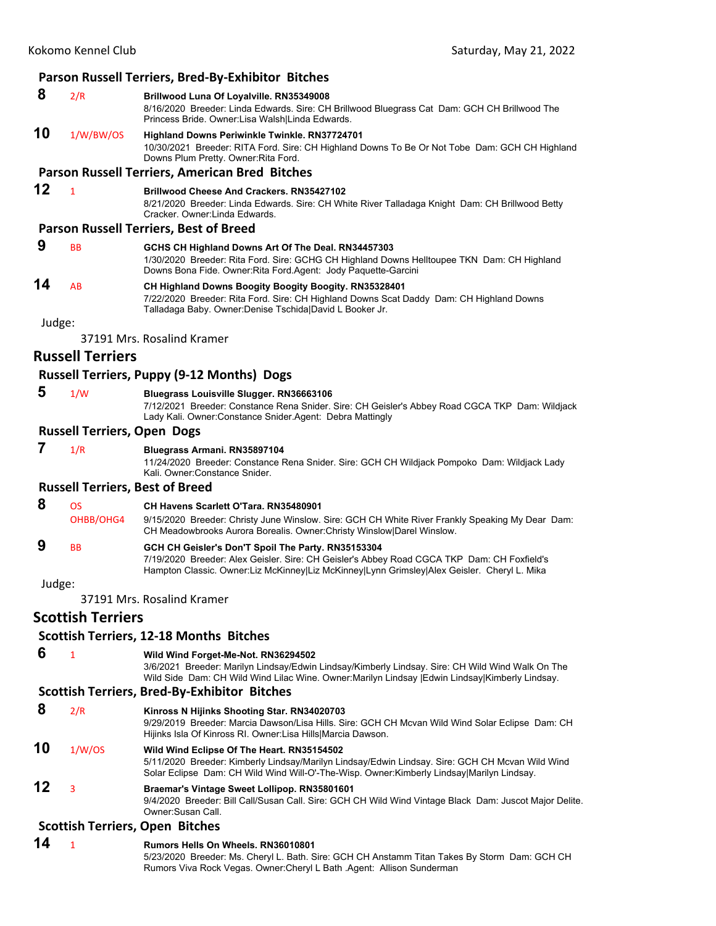## **Parson Russell Terriers, Bred‐By‐Exhibitor Bitches**

## **8** 2/R **Brillwood Luna Of Loyalville. RN35349008**

8/16/2020 Breeder: Linda Edwards. Sire: CH Brillwood Bluegrass Cat Dam: GCH CH Brillwood The Princess Bride. Owner:Lisa Walsh|Linda Edwards.

# **10** 1/W/BW/OS **Highland Downs Periwinkle Twinkle. RN37724701**

10/30/2021 Breeder: RITA Ford. Sire: CH Highland Downs To Be Or Not Tobe Dam: GCH CH Highland Downs Plum Pretty. Owner:Rita Ford.

## **Parson Russell Terriers, American Bred Bitches**

## **12** <sup>1</sup> **Brillwood Cheese And Crackers. RN35427102**

8/21/2020 Breeder: Linda Edwards. Sire: CH White River Talladaga Knight Dam: CH Brillwood Betty Cracker. Owner:Linda Edwards.

## **Parson Russell Terriers, Best of Breed**

 **9** BB **GCHS CH Highland Downs Art Of The Deal. RN34457303** 1/30/2020 Breeder: Rita Ford. Sire: GCHG CH Highland Downs Helltoupee TKN Dam: CH Highland Downs Bona Fide. Owner:Rita Ford.Agent: Jody Paquette-Garcini **14** AB **CH Highland Downs Boogity Boogity Boogity. RN35328401**

7/22/2020 Breeder: Rita Ford. Sire: CH Highland Downs Scat Daddy Dam: CH Highland Downs Talladaga Baby. Owner:Denise Tschida|David L Booker Jr.

Judge:

37191 Mrs. Rosalind Kramer

## **Russell Terriers**

## **Russell Terriers, Puppy (9‐12 Months) Dogs**

 **5** 1/W **Bluegrass Louisville Slugger. RN36663106** 7/12/2021 Breeder: Constance Rena Snider. Sire: CH Geisler's Abbey Road CGCA TKP Dam: Wildjack Lady Kali. Owner:Constance Snider.Agent: Debra Mattingly

## **Russell Terriers, Open Dogs**

 **7** 1/R **Bluegrass Armani. RN35897104**

11/24/2020 Breeder: Constance Rena Snider. Sire: GCH CH Wildjack Pompoko Dam: Wildjack Lady Kali. Owner:Constance Snider.

## **Russell Terriers, Best of Breed**

## **8** OS **CH Havens Scarlett O'Tara. RN35480901**

OHBB/OHG4 9/15/2020 Breeder: Christy June Winslow. Sire: GCH CH White River Frankly Speaking My Dear Dam: CH Meadowbrooks Aurora Borealis. Owner:Christy Winslow|Darel Winslow.

## **9** BB **GCH CH Geisler's Don'T Spoil The Party. RN35153304**

7/19/2020 Breeder: Alex Geisler. Sire: CH Geisler's Abbey Road CGCA TKP Dam: CH Foxfield's Hampton Classic. Owner:Liz McKinney|Liz McKinney|Lynn Grimsley|Alex Geisler. Cheryl L. Mika

Judge:

37191 Mrs. Rosalind Kramer

## **Scottish Terriers**

## **Scottish Terriers, 12‐18 Months Bitches**

## **6** <sup>1</sup> **Wild Wind Forget-Me-Not. RN36294502**

3/6/2021 Breeder: Marilyn Lindsay/Edwin Lindsay/Kimberly Lindsay. Sire: CH Wild Wind Walk On The Wild Side Dam: CH Wild Wind Lilac Wine. Owner:Marilyn Lindsay |Edwin Lindsay|Kimberly Lindsay.

## **Scottish Terriers, Bred‐By‐Exhibitor Bitches**

 **8** 2/R **Kinross N Hijinks Shooting Star. RN34020703**

9/29/2019 Breeder: Marcia Dawson/Lisa Hills. Sire: GCH CH Mcvan Wild Wind Solar Eclipse Dam: CH Hijinks Isla Of Kinross RI. Owner:Lisa Hills|Marcia Dawson.

## **10** 1/W/OS **Wild Wind Eclipse Of The Heart. RN35154502**

5/11/2020 Breeder: Kimberly Lindsay/Marilyn Lindsay/Edwin Lindsay. Sire: GCH CH Mcvan Wild Wind Solar Eclipse Dam: CH Wild Wind Will-O'-The-Wisp. Owner:Kimberly Lindsay|Marilyn Lindsay.

## **12** <sup>3</sup> **Braemar's Vintage Sweet Lollipop. RN35801601**

9/4/2020 Breeder: Bill Call/Susan Call. Sire: GCH CH Wild Wind Vintage Black Dam: Juscot Major Delite. Owner:Susan Call.

## **Scottish Terriers, Open Bitches**

**14** <sup>1</sup> **Rumors Hells On Wheels. RN36010801** 5/23/2020 Breeder: Ms. Cheryl L. Bath. Sire: GCH CH Anstamm Titan Takes By Storm Dam: GCH CH Rumors Viva Rock Vegas. Owner:Cheryl L Bath .Agent: Allison Sunderman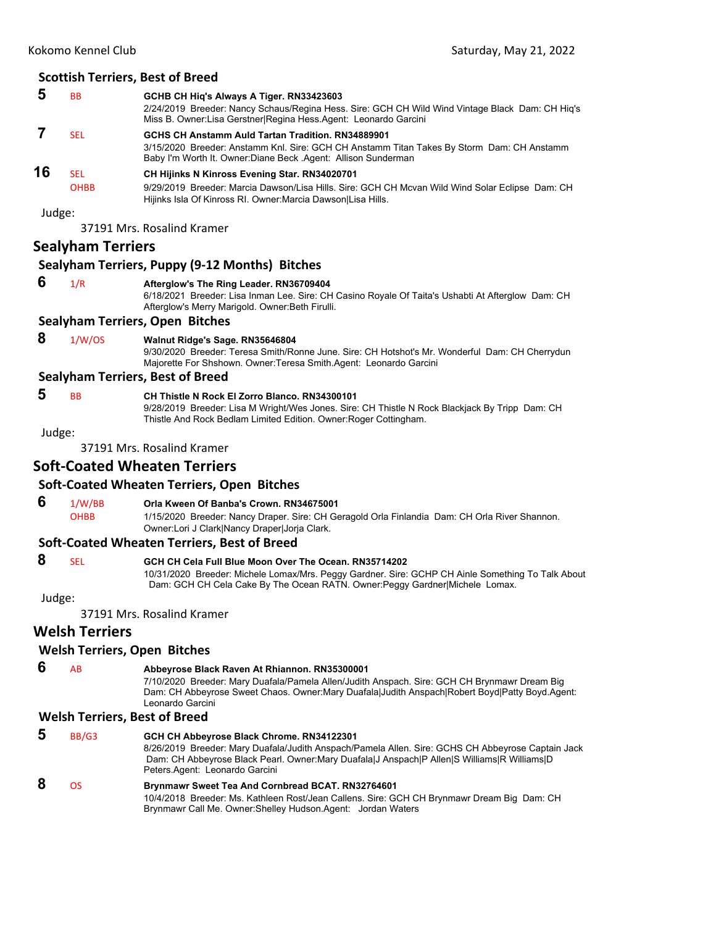## **5** BB **GCHB CH Hiq's Always A Tiger. RN33423603** 2/24/2019 Breeder: Nancy Schaus/Regina Hess. Sire: GCH CH Wild Wind Vintage Black Dam: CH Hiq's Miss B. Owner:Lisa Gerstner|Regina Hess.Agent: Leonardo Garcini  **7** SEL **GCHS CH Anstamm Auld Tartan Tradition. RN34889901** 3/15/2020 Breeder: Anstamm Knl. Sire: GCH CH Anstamm Titan Takes By Storm Dam: CH Anstamm Baby I'm Worth It. Owner:Diane Beck .Agent: Allison Sunderman **16** SEL **CH Hijinks N Kinross Evening Star. RN34020701**

OHBB 9/29/2019 Breeder: Marcia Dawson/Lisa Hills. Sire: GCH CH Mcvan Wild Wind Solar Eclipse Dam: CH Hijinks Isla Of Kinross RI. Owner:Marcia Dawson|Lisa Hills.

Judge:

37191 Mrs. Rosalind Kramer

## **Sealyham Terriers**

## **Sealyham Terriers, Puppy (9‐12 Months) Bitches**

## **6** 1/R **Afterglow's The Ring Leader. RN36709404**

6/18/2021 Breeder: Lisa Inman Lee. Sire: CH Casino Royale Of Taita's Ushabti At Afterglow Dam: CH Afterglow's Merry Marigold. Owner:Beth Firulli.

## **Sealyham Terriers, Open Bitches**

 **8** 1/W/OS **Walnut Ridge's Sage. RN35646804**

9/30/2020 Breeder: Teresa Smith/Ronne June. Sire: CH Hotshot's Mr. Wonderful Dam: CH Cherrydun Majorette For Shshown. Owner:Teresa Smith.Agent: Leonardo Garcini

## **Sealyham Terriers, Best of Breed**

## **5** BB **CH Thistle N Rock El Zorro Blanco. RN34300101**

9/28/2019 Breeder: Lisa M Wright/Wes Jones. Sire: CH Thistle N Rock Blackjack By Tripp Dam: CH Thistle And Rock Bedlam Limited Edition. Owner:Roger Cottingham.

Judge:

37191 Mrs. Rosalind Kramer

## **Soft‐Coated Wheaten Terriers**

## **Soft‐Coated Wheaten Terriers, Open Bitches**

## **6** 1/W/BB **Orla Kween Of Banba's Crown. RN34675001**

OHBB 1/15/2020 Breeder: Nancy Draper. Sire: CH Geragold Orla Finlandia Dam: CH Orla River Shannon. Owner:Lori J Clark|Nancy Draper|Jorja Clark.

## **Soft‐Coated Wheaten Terriers, Best of Breed**

## **8** SEL **GCH CH Cela Full Blue Moon Over The Ocean. RN35714202**

10/31/2020 Breeder: Michele Lomax/Mrs. Peggy Gardner. Sire: GCHP CH Ainle Something To Talk About Dam: GCH CH Cela Cake By The Ocean RATN. Owner:Peggy Gardner|Michele Lomax.

Judge:

37191 Mrs. Rosalind Kramer

## **Welsh Terriers**

## **Welsh Terriers, Open Bitches**

## **6** AB **Abbeyrose Black Raven At Rhiannon. RN35300001**

7/10/2020 Breeder: Mary Duafala/Pamela Allen/Judith Anspach. Sire: GCH CH Brynmawr Dream Big Dam: CH Abbeyrose Sweet Chaos. Owner:Mary Duafala|Judith Anspach|Robert Boyd|Patty Boyd.Agent: Leonardo Garcini

## **Welsh Terriers, Best of Breed**

| 5 | BB/G3 | GCH CH Abbeyrose Black Chrome. RN34122301<br>8/26/2019 Breeder: Mary Duafala/Judith Anspach/Pamela Allen. Sire: GCHS CH Abbeyrose Captain Jack<br>Dam: CH Abbeyrose Black Pearl. Owner: Mary Duafala J Anspach P Allen S Williams R Williams D<br>Peters.Agent: Leonardo Garcini |
|---|-------|----------------------------------------------------------------------------------------------------------------------------------------------------------------------------------------------------------------------------------------------------------------------------------|
|   | n٢    | Brynmawr Sweet Tea And Cornbread BCAT. RN32764601<br>10/4/2018 Breeder: Ms. Kathleen Rost/Jean Callens. Sire: GCH CH Brynmawr Dream Big Dam: CH<br>Brynmawr Call Me. Owner: Shelley Hudson Agent: Jordan Waters                                                                  |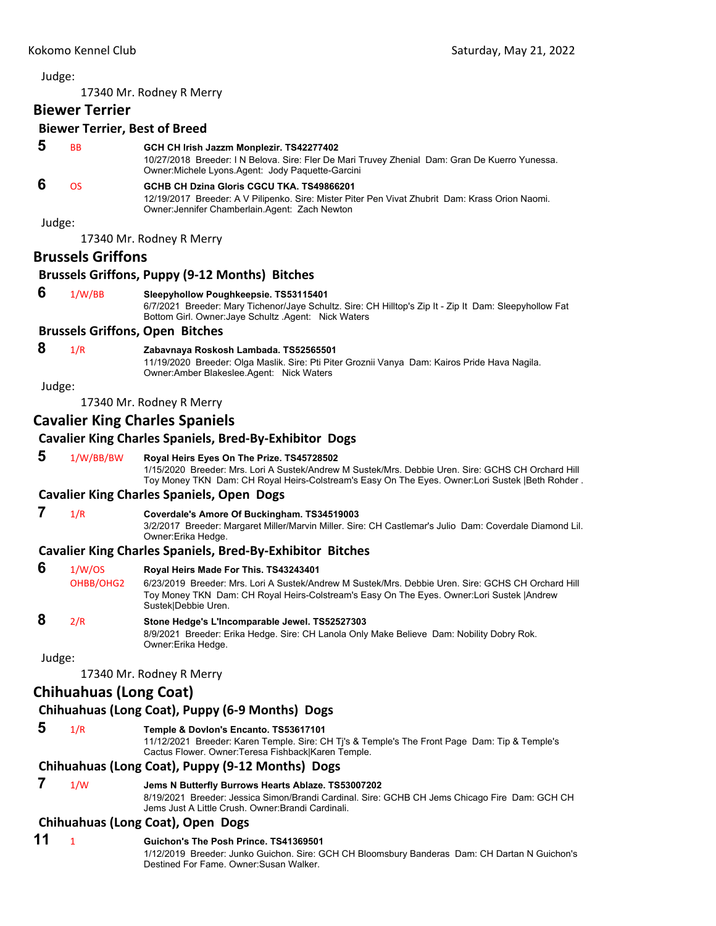<span id="page-30-0"></span>17340 Mr. Rodney R Merry

## **Biewer Terrier**

#### **Biewer Terrier, Best of Breed**

## **5** BB **GCH CH Irish Jazzm Monplezir. TS42277402**

10/27/2018 Breeder: I N Belova. Sire: Fler De Mari Truvey Zhenial Dam: Gran De Kuerro Yunessa. Owner:Michele Lyons.Agent: Jody Paquette-Garcini

## **6** OS **GCHB CH Dzina Gloris CGCU TKA. TS49866201**

12/19/2017 Breeder: A V Pilipenko. Sire: Mister Piter Pen Vivat Zhubrit Dam: Krass Orion Naomi. Owner:Jennifer Chamberlain.Agent: Zach Newton

Judge:

17340 Mr. Rodney R Merry

## **Brussels Griffons**

#### **Brussels Griffons, Puppy (9‐12 Months) Bitches**

 **6** 1/W/BB **Sleepyhollow Poughkeepsie. TS53115401**

6/7/2021 Breeder: Mary Tichenor/Jaye Schultz. Sire: CH Hilltop's Zip It - Zip It Dam: Sleepyhollow Fat Bottom Girl. Owner:Jaye Schultz .Agent: Nick Waters

#### **Brussels Griffons, Open Bitches**

## **8** 1/R **Zabavnaya Roskosh Lambada. TS52565501**

11/19/2020 Breeder: Olga Maslik. Sire: Pti Piter Groznii Vanya Dam: Kairos Pride Hava Nagila. Owner:Amber Blakeslee.Agent: Nick Waters

#### Judge:

17340 Mr. Rodney R Merry

## **Cavalier King Charles Spaniels**

## **Cavalier King Charles Spaniels, Bred‐By‐Exhibitor Dogs**

 **5** 1/W/BB/BW **Royal Heirs Eyes On The Prize. TS45728502**

1/15/2020 Breeder: Mrs. Lori A Sustek/Andrew M Sustek/Mrs. Debbie Uren. Sire: GCHS CH Orchard Hill Toy Money TKN Dam: CH Royal Heirs-Colstream's Easy On The Eyes. Owner:Lori Sustek |Beth Rohder .

## **Cavalier King Charles Spaniels, Open Dogs**

 **7** 1/R **Coverdale's Amore Of Buckingham. TS34519003** 3/2/2017 Breeder: Margaret Miller/Marvin Miller. Sire: CH Castlemar's Julio Dam: Coverdale Diamond Lil. Owner:Erika Hedge.

## **Cavalier King Charles Spaniels, Bred‐By‐Exhibitor Bitches**

 **6** 1/W/OS **Royal Heirs Made For This. TS43243401** OHBB/OHG2 6/23/2019 Breeder: Mrs. Lori A Sustek/Andrew M Sustek/Mrs. Debbie Uren. Sire: GCHS CH Orchard Hill Toy Money TKN Dam: CH Royal Heirs-Colstream's Easy On The Eyes. Owner:Lori Sustek |Andrew Sustek|Debbie Uren.

## **8** 2/R **Stone Hedge's L'Incomparable Jewel. TS52527303**

8/9/2021 Breeder: Erika Hedge. Sire: CH Lanola Only Make Believe Dam: Nobility Dobry Rok. Owner:Erika Hedge.

Judge:

17340 Mr. Rodney R Merry

## **Chihuahuas (Long Coat)**

## **Chihuahuas (Long Coat), Puppy (6‐9 Months) Dogs**

 **5** 1/R **Temple & Dovlon's Encanto. TS53617101**

11/12/2021 Breeder: Karen Temple. Sire: CH Tj's & Temple's The Front Page Dam: Tip & Temple's Cactus Flower. Owner:Teresa Fishback|Karen Temple.

## **Chihuahuas (Long Coat), Puppy (9‐12 Months) Dogs**

 **7** 1/W **Jems N Butterfly Burrows Hearts Ablaze. TS53007202** 8/19/2021 Breeder: Jessica Simon/Brandi Cardinal. Sire: GCHB CH Jems Chicago Fire Dam: GCH CH Jems Just A Little Crush. Owner:Brandi Cardinali.

## **Chihuahuas (Long Coat), Open Dogs**

**11** <sup>1</sup> **Guichon's The Posh Prince. TS41369501** 1/12/2019 Breeder: Junko Guichon. Sire: GCH CH Bloomsbury Banderas Dam: CH Dartan N Guichon's Destined For Fame. Owner:Susan Walker.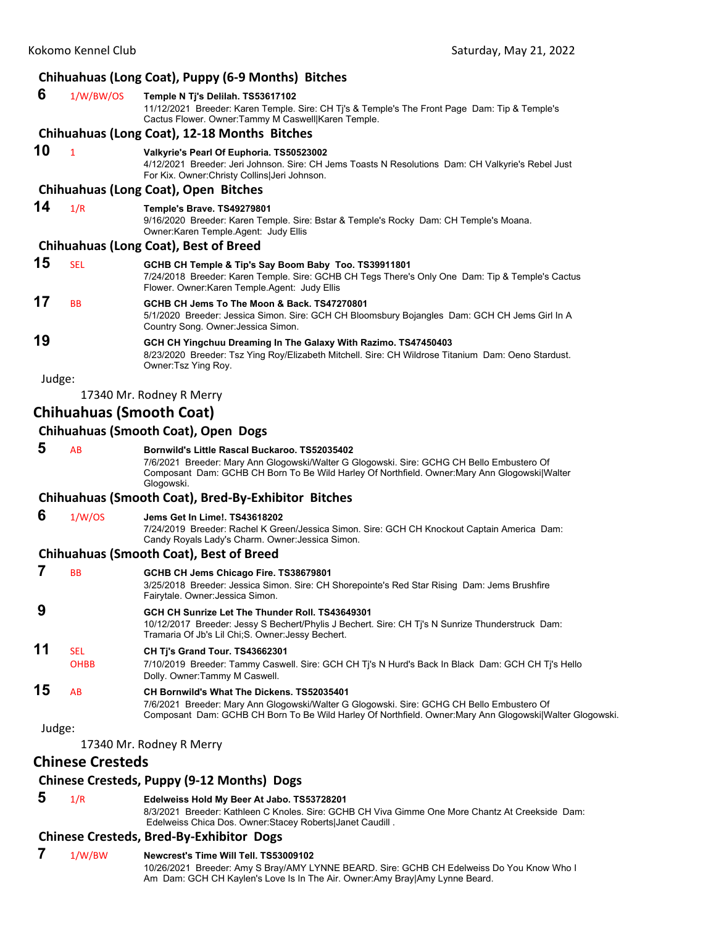# **Chihuahuas (Long Coat), Puppy (6‐9 Months) Bitches**

|        |                         | Chinuanuas (Long Coat), Puppy (6-9 Months) Bitches                                                                                                                                                                                                    |
|--------|-------------------------|-------------------------------------------------------------------------------------------------------------------------------------------------------------------------------------------------------------------------------------------------------|
| 6      | 1/W/BW/OS               | Temple N Ti's Delilah. TS53617102<br>11/12/2021 Breeder: Karen Temple. Sire: CH Tj's & Temple's The Front Page Dam: Tip & Temple's<br>Cactus Flower. Owner: Tammy M Caswell Karen Temple.                                                             |
|        |                         | Chihuahuas (Long Coat), 12-18 Months Bitches                                                                                                                                                                                                          |
| 10     | $\mathbf{1}$            | Valkyrie's Pearl Of Euphoria. TS50523002<br>4/12/2021 Breeder: Jeri Johnson. Sire: CH Jems Toasts N Resolutions Dam: CH Valkyrie's Rebel Just<br>For Kix. Owner: Christy Collins Jeri Johnson.                                                        |
|        |                         | Chihuahuas (Long Coat), Open Bitches                                                                                                                                                                                                                  |
| 14     | 1/R                     | Temple's Brave. TS49279801<br>9/16/2020 Breeder: Karen Temple. Sire: Bstar & Temple's Rocky Dam: CH Temple's Moana.<br>Owner:Karen Temple.Agent: Judy Ellis                                                                                           |
|        |                         | <b>Chihuahuas (Long Coat), Best of Breed</b>                                                                                                                                                                                                          |
| 15     | <b>SEL</b>              | GCHB CH Temple & Tip's Say Boom Baby Too. TS39911801<br>7/24/2018 Breeder: Karen Temple. Sire: GCHB CH Tegs There's Only One Dam: Tip & Temple's Cactus<br>Flower. Owner: Karen Temple. Agent: Judy Ellis                                             |
| 17     | <b>BB</b>               | GCHB CH Jems To The Moon & Back. TS47270801<br>5/1/2020 Breeder: Jessica Simon. Sire: GCH CH Bloomsbury Bojangles Dam: GCH CH Jems Girl In A<br>Country Song. Owner: Jessica Simon.                                                                   |
| 19     |                         | GCH CH Yingchuu Dreaming In The Galaxy With Razimo. TS47450403<br>8/23/2020 Breeder: Tsz Ying Roy/Elizabeth Mitchell. Sire: CH Wildrose Titanium Dam: Oeno Stardust.<br>Owner: Tsz Ying Roy.                                                          |
| Judge: |                         |                                                                                                                                                                                                                                                       |
|        |                         | 17340 Mr. Rodney R Merry                                                                                                                                                                                                                              |
|        |                         | <b>Chihuahuas (Smooth Coat)</b>                                                                                                                                                                                                                       |
|        |                         | Chihuahuas (Smooth Coat), Open Dogs                                                                                                                                                                                                                   |
| 5      | AB                      | Bornwild's Little Rascal Buckaroo. TS52035402                                                                                                                                                                                                         |
|        |                         | 7/6/2021 Breeder: Mary Ann Glogowski/Walter G Glogowski. Sire: GCHG CH Bello Embustero Of<br>Composant Dam: GCHB CH Born To Be Wild Harley Of Northfield. Owner: Mary Ann Glogowski Walter<br>Glogowski.                                              |
|        |                         | <b>Chihuahuas (Smooth Coat), Bred-By-Exhibitor Bitches</b>                                                                                                                                                                                            |
| 6      | 1/W/OS                  | Jems Get In Lime!. TS43618202<br>7/24/2019 Breeder: Rachel K Green/Jessica Simon. Sire: GCH CH Knockout Captain America Dam:<br>Candy Royals Lady's Charm. Owner: Jessica Simon.                                                                      |
|        |                         | <b>Chihuahuas (Smooth Coat), Best of Breed</b>                                                                                                                                                                                                        |
| 7      | <b>BB</b>               | GCHB CH Jems Chicago Fire. TS38679801<br>3/25/2018 Breeder: Jessica Simon. Sire: CH Shorepointe's Red Star Rising Dam: Jems Brushfire<br>Fairytale. Owner: Jessica Simon.                                                                             |
| 9      |                         | GCH CH Sunrize Let The Thunder Roll. TS43649301<br>10/12/2017 Breeder: Jessy S Bechert/Phylis J Bechert. Sire: CH Tj's N Sunrize Thunderstruck Dam:<br>Tramaria Of Jb's Lil Chi; S. Owner: Jessy Bechert.                                             |
| 11     | <b>SEL</b>              | CH Tj's Grand Tour. TS43662301                                                                                                                                                                                                                        |
|        | <b>OHBB</b>             | 7/10/2019 Breeder: Tammy Caswell. Sire: GCH CH Ti's N Hurd's Back In Black Dam: GCH CH Ti's Hello<br>Dolly. Owner:Tammy M Caswell.                                                                                                                    |
| 15     | AB                      | CH Bornwild's What The Dickens. TS52035401<br>7/6/2021 Breeder: Mary Ann Glogowski/Walter G Glogowski. Sire: GCHG CH Bello Embustero Of<br>Composant Dam: GCHB CH Born To Be Wild Harley Of Northfield. Owner: Mary Ann Glogowski   Walter Glogowski. |
| Judge: |                         |                                                                                                                                                                                                                                                       |
|        |                         | 17340 Mr. Rodney R Merry                                                                                                                                                                                                                              |
|        | <b>Chinese Cresteds</b> |                                                                                                                                                                                                                                                       |
|        |                         | Chinese Cresteds, Puppy (9-12 Months) Dogs                                                                                                                                                                                                            |
| 5      | 1/R                     | Edelweiss Hold My Beer At Jabo. TS53728201<br>8/3/2021 Breeder: Kathleen C Knoles. Sire: GCHB CH Viva Gimme One More Chantz At Creekside Dam:<br>Edelweiss Chica Dos. Owner:Stacey Roberts Janet Caudill.                                             |
|        |                         | <b>Chinese Cresteds, Bred-By-Exhibitor Dogs</b>                                                                                                                                                                                                       |

 **7** 1/W/BW **Newcrest's Time Will Tell. TS53009102** 10/26/2021 Breeder: Amy S Bray/AMY LYNNE BEARD. Sire: GCHB CH Edelweiss Do You Know Who I Am Dam: GCH CH Kaylen's Love Is In The Air. Owner:Amy Bray|Amy Lynne Beard.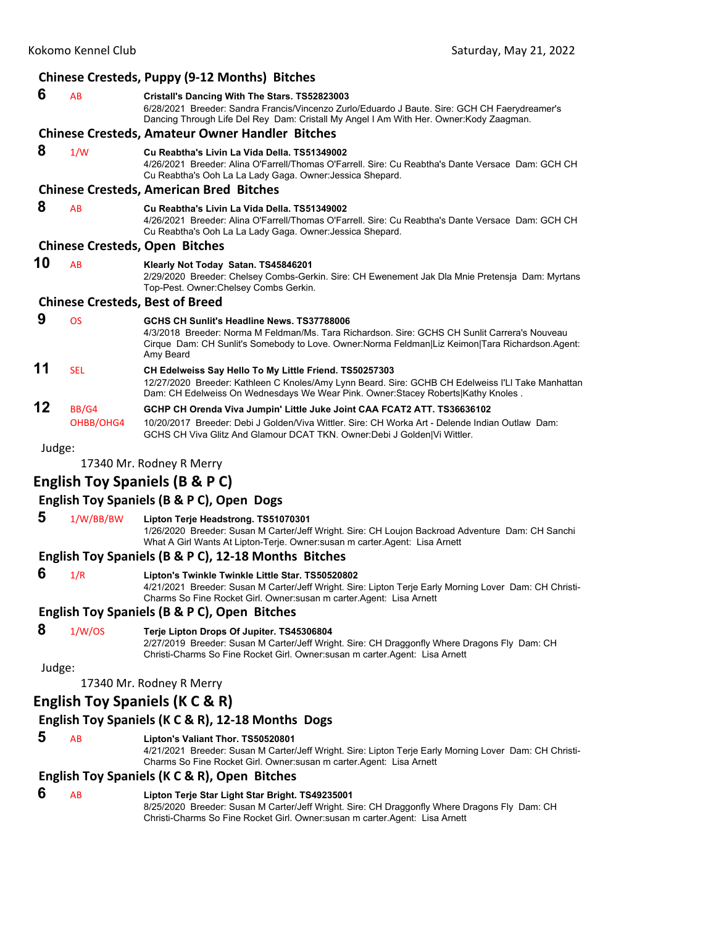|        |                    | Chinese Cresteds, Puppy (9-12 Months) Bitches                                                                                                                                                                                                                 |  |  |
|--------|--------------------|---------------------------------------------------------------------------------------------------------------------------------------------------------------------------------------------------------------------------------------------------------------|--|--|
| 6      | AB                 | Cristall's Dancing With The Stars. TS52823003<br>6/28/2021 Breeder: Sandra Francis/Vincenzo Zurlo/Eduardo J Baute. Sire: GCH CH Faerydreamer's<br>Dancing Through Life Del Rey Dam: Cristall My Angel I Am With Her. Owner: Kody Zaagman.                     |  |  |
|        |                    | <b>Chinese Cresteds, Amateur Owner Handler Bitches</b>                                                                                                                                                                                                        |  |  |
| 8      | 1/W                | Cu Reabtha's Livin La Vida Della, TS51349002<br>4/26/2021 Breeder: Alina O'Farrell/Thomas O'Farrell, Sire: Cu Reabtha's Dante Versace, Dam: GCH CH<br>Cu Reabtha's Ooh La La Lady Gaga. Owner: Jessica Shepard.                                               |  |  |
|        |                    | <b>Chinese Cresteds, American Bred Bitches</b>                                                                                                                                                                                                                |  |  |
| 8      | AB                 | Cu Reabtha's Livin La Vida Della, TS51349002<br>4/26/2021 Breeder: Alina O'Farrell/Thomas O'Farrell, Sire: Cu Reabtha's Dante Versace Dam: GCH CH<br>Cu Reabtha's Ooh La La Lady Gaga. Owner: Jessica Shepard.                                                |  |  |
|        |                    | <b>Chinese Cresteds, Open Bitches</b>                                                                                                                                                                                                                         |  |  |
| 10     | AB                 | Klearly Not Today Satan. TS45846201<br>2/29/2020 Breeder: Chelsey Combs-Gerkin. Sire: CH Ewenement Jak Dla Mnie Pretensja Dam: Myrtans<br>Top-Pest. Owner: Chelsey Combs Gerkin.                                                                              |  |  |
|        |                    | <b>Chinese Cresteds, Best of Breed</b>                                                                                                                                                                                                                        |  |  |
| 9      | <b>OS</b>          | GCHS CH Sunlit's Headline News, TS37788006<br>4/3/2018 Breeder: Norma M Feldman/Ms. Tara Richardson, Sire: GCHS CH Sunlit Carrera's Nouveau<br>Cirque Dam: CH Sunlit's Somebody to Love. Owner: Norma Feldman Liz Keimon Tara Richardson. Agent:<br>Amy Beard |  |  |
| 11     | <b>SEL</b>         | CH Edelweiss Say Hello To My Little Friend. TS50257303<br>12/27/2020 Breeder: Kathleen C Knoles/Amy Lynn Beard. Sire: GCHB CH Edelweiss I'Ll Take Manhattan<br>Dam: CH Edelweiss On Wednesdays We Wear Pink. Owner:Stacey Roberts Kathy Knoles.               |  |  |
| 12     | BB/G4<br>OHBB/OHG4 | GCHP CH Orenda Viva Jumpin' Little Juke Joint CAA FCAT2 ATT. TS36636102<br>10/20/2017 Breeder: Debi J Golden/Viva Wittler, Sire: CH Worka Art - Delende Indian Outlaw, Dam:<br>GCHS CH Viva Glitz And Glamour DCAT TKN. Owner: Debi J Golden Vi Wittler.      |  |  |
| Judge: |                    |                                                                                                                                                                                                                                                               |  |  |
|        |                    |                                                                                                                                                                                                                                                               |  |  |

17340 Mr. Rodney R Merry

## **English Toy Spaniels (B & P C)**

## **English Toy Spaniels (B & P C), Open Dogs**

## **5** 1/W/BB/BW **Lipton Terje Headstrong. TS51070301**

1/26/2020 Breeder: Susan M Carter/Jeff Wright. Sire: CH Loujon Backroad Adventure Dam: CH Sanchi What A Girl Wants At Lipton-Terje. Owner:susan m carter.Agent: Lisa Arnett

## **English Toy Spaniels (B & P C), 12‐18 Months Bitches**

- 
- **6** 1/R **Lipton's Twinkle Twinkle Little Star. TS50520802**

4/21/2021 Breeder: Susan M Carter/Jeff Wright. Sire: Lipton Terje Early Morning Lover Dam: CH Christi-Charms So Fine Rocket Girl. Owner:susan m carter.Agent: Lisa Arnett

#### **English Toy Spaniels (B & P C), Open Bitches**

 **8** 1/W/OS **Terje Lipton Drops Of Jupiter. TS45306804**

2/27/2019 Breeder: Susan M Carter/Jeff Wright. Sire: CH Draggonfly Where Dragons Fly Dam: CH Christi-Charms So Fine Rocket Girl. Owner:susan m carter.Agent: Lisa Arnett

## Judge:

17340 Mr. Rodney R Merry

## **English Toy Spaniels (K C & R)**

## **English Toy Spaniels (K C & R), 12‐18 Months Dogs**

 **5** AB **Lipton's Valiant Thor. TS50520801**

4/21/2021 Breeder: Susan M Carter/Jeff Wright. Sire: Lipton Terje Early Morning Lover Dam: CH Christi-Charms So Fine Rocket Girl. Owner:susan m carter.Agent: Lisa Arnett

## **English Toy Spaniels (K C & R), Open Bitches**

 **6** AB **Lipton Terje Star Light Star Bright. TS49235001** 8/25/2020 Breeder: Susan M Carter/Jeff Wright. Sire: CH Draggonfly Where Dragons Fly Dam: CH Christi-Charms So Fine Rocket Girl. Owner:susan m carter.Agent: Lisa Arnett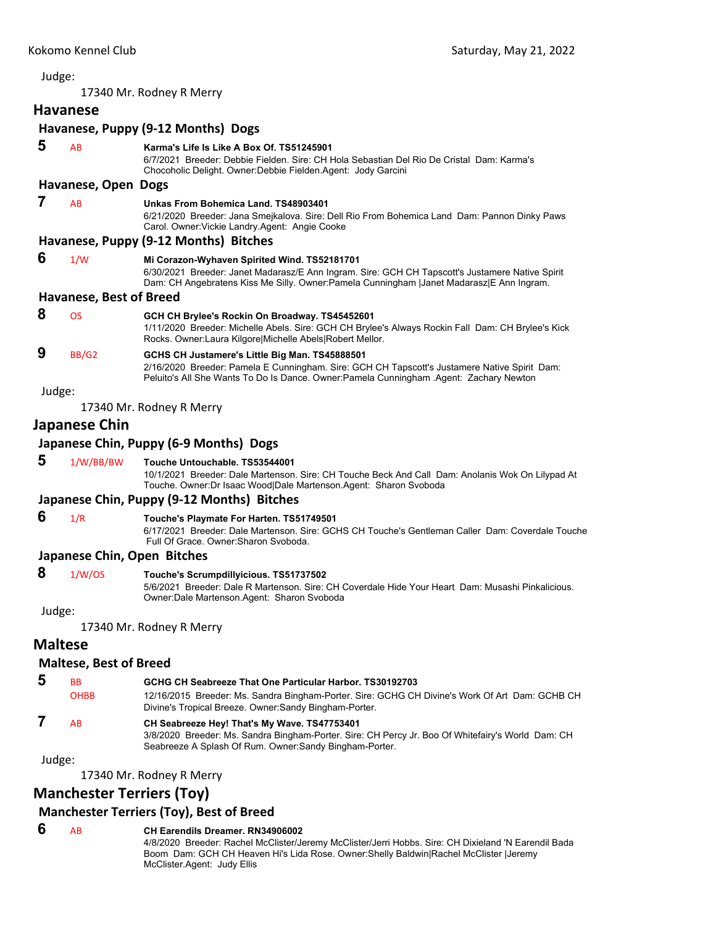## Judge: 17340 Mr. Rodney R Merry **Havanese Havanese, Puppy (9‐12 Months) Dogs 5** AB **Karma's Life Is Like A Box Of. TS51245901** 6/7/2021 Breeder: Debbie Fielden. Sire: CH Hola Sebastian Del Rio De Cristal Dam: Karma's Chocoholic Delight. Owner:Debbie Fielden.Agent: Jody Garcini **Havanese, Open Dogs 7** AB **Unkas From Bohemica Land. TS48903401** 6/21/2020 Breeder: Jana Smejkalova. Sire: Dell Rio From Bohemica Land Dam: Pannon Dinky Paws Carol. Owner:Vickie Landry.Agent: Angie Cooke **Havanese, Puppy (9‐12 Months) Bitches 6** 1/W **Mi Corazon-Wyhaven Spirited Wind. TS52181701** 6/30/2021 Breeder: Janet Madarasz/E Ann Ingram. Sire: GCH CH Tapscott's Justamere Native Spirit Dam: CH Angebratens Kiss Me Silly. Owner:Pamela Cunningham |Janet Madarasz|E Ann Ingram. **Havanese, Best of Breed 8** OS **GCH CH Brylee's Rockin On Broadway. TS45452601** 1/11/2020 Breeder: Michelle Abels. Sire: GCH CH Brylee's Always Rockin Fall Dam: CH Brylee's Kick Rocks. Owner:Laura Kilgore|Michelle Abels|Robert Mellor.  **9** BB/G2 **GCHS CH Justamere's Little Big Man. TS45888501** 2/16/2020 Breeder: Pamela E Cunningham. Sire: GCH CH Tapscott's Justamere Native Spirit Dam: Peluito's All She Wants To Do Is Dance. Owner:Pamela Cunningham .Agent: Zachary Newton Judge: 17340 Mr. Rodney R Merry **Japanese Chin Japanese Chin, Puppy (6‐9 Months) Dogs 5** 1/W/BB/BW **Touche Untouchable. TS53544001** 10/1/2021 Breeder: Dale Martenson. Sire: CH Touche Beck And Call Dam: Anolanis Wok On Lilypad At Touche. Owner:Dr Isaac Wood|Dale Martenson.Agent: Sharon Svoboda **Japanese Chin, Puppy (9‐12 Months) Bitches 6** 1/R **Touche's Playmate For Harten. TS51749501** 6/17/2021 Breeder: Dale Martenson. Sire: GCHS CH Touche's Gentleman Caller Dam: Coverdale Touche Full Of Grace. Owner:Sharon Svoboda. **Japanese Chin, Open Bitches 8** 1/W/OS **Touche's Scrumpdillyicious. TS51737502** 5/6/2021 Breeder: Dale R Martenson. Sire: CH Coverdale Hide Your Heart Dam: Musashi Pinkalicious. Owner:Dale Martenson.Agent: Sharon Svoboda Judge: 17340 Mr. Rodney R Merry **Maltese Maltese, Best of Breed 5** BB **GCHG CH Seabreeze That One Particular Harbor. TS30192703** OHBB 12/16/2015 Breeder: Ms. Sandra Bingham-Porter. Sire: GCHG CH Divine's Work Of Art Dam: GCHB CH Divine's Tropical Breeze. Owner:Sandy Bingham-Porter.  **7** AB **CH Seabreeze Hey! That's My Wave. TS47753401** 3/8/2020 Breeder: Ms. Sandra Bingham-Porter. Sire: CH Percy Jr. Boo Of Whitefairy's World Dam: CH Seabreeze A Splash Of Rum. Owner:Sandy Bingham-Porter. Judge:

17340 Mr. Rodney R Merry

## **Manchester Terriers (Toy)**

## **Manchester Terriers (Toy), Best of Breed**

#### **6** AB **CH Earendils Dreamer. RN34906002**

4/8/2020 Breeder: Rachel McClister/Jeremy McClister/Jerri Hobbs. Sire: CH Dixieland 'N Earendil Bada Boom Dam: GCH CH Heaven Hi's Lida Rose. Owner:Shelly Baldwin|Rachel McClister |Jeremy McClister.Agent: Judy Ellis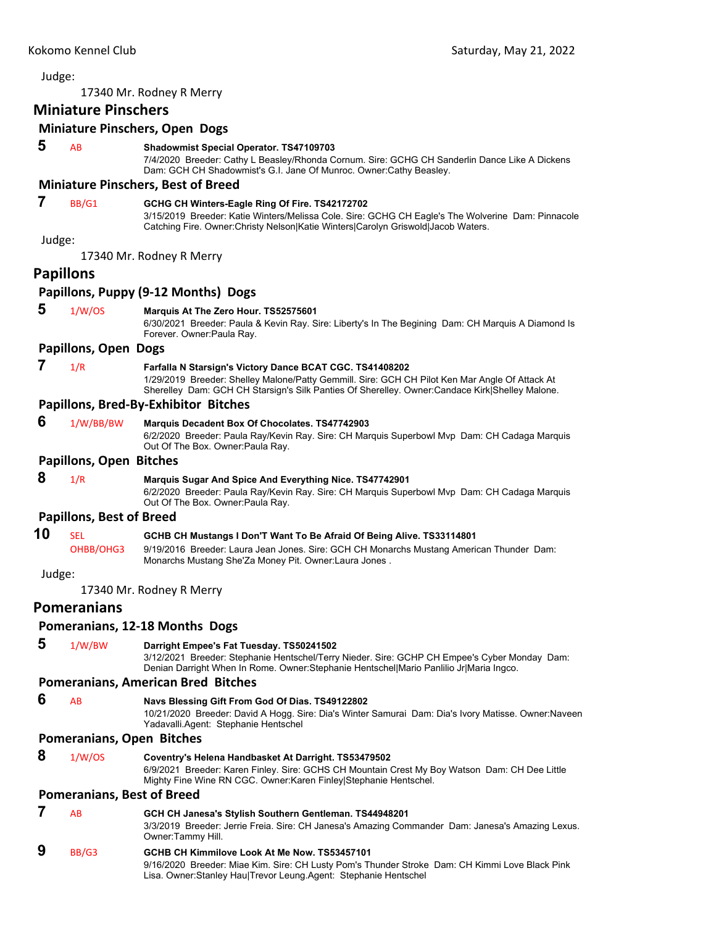|        |                                   | 17340 Mr. Rodney R Merry                                                                                                                                                                                                                                      |
|--------|-----------------------------------|---------------------------------------------------------------------------------------------------------------------------------------------------------------------------------------------------------------------------------------------------------------|
|        | <b>Miniature Pinschers</b>        |                                                                                                                                                                                                                                                               |
|        |                                   | <b>Miniature Pinschers, Open Dogs</b>                                                                                                                                                                                                                         |
| 5      | AB                                | <b>Shadowmist Special Operator. TS47109703</b><br>7/4/2020 Breeder: Cathy L Beasley/Rhonda Cornum. Sire: GCHG CH Sanderlin Dance Like A Dickens<br>Dam: GCH CH Shadowmist's G.I. Jane Of Munroc. Owner: Cathy Beasley.                                        |
|        |                                   | <b>Miniature Pinschers, Best of Breed</b>                                                                                                                                                                                                                     |
| 7      | BB/G1                             | GCHG CH Winters-Eagle Ring Of Fire. TS42172702<br>3/15/2019 Breeder: Katie Winters/Melissa Cole. Sire: GCHG CH Eagle's The Wolverine Dam: Pinnacole<br>Catching Fire. Owner: Christy Nelson Katie Winters Carolyn Griswold Jacob Waters.                      |
| Judge: |                                   |                                                                                                                                                                                                                                                               |
|        |                                   | 17340 Mr. Rodney R Merry                                                                                                                                                                                                                                      |
|        | <b>Papillons</b>                  |                                                                                                                                                                                                                                                               |
|        |                                   | Papillons, Puppy (9-12 Months) Dogs                                                                                                                                                                                                                           |
| 5      | 1/W/OS                            | Marquis At The Zero Hour. TS52575601<br>6/30/2021 Breeder: Paula & Kevin Ray. Sire: Liberty's In The Begining Dam: CH Marquis A Diamond Is<br>Forever. Owner: Paula Ray.                                                                                      |
|        | <b>Papillons, Open Dogs</b>       |                                                                                                                                                                                                                                                               |
| 7      | 1/R                               | Farfalla N Starsign's Victory Dance BCAT CGC. TS41408202<br>1/29/2019 Breeder: Shelley Malone/Patty Gemmill. Sire: GCH CH Pilot Ken Mar Angle Of Attack At<br>Sherelley Dam: GCH CH Starsign's Silk Panties Of Sherelley. Owner: Candace Kirk Shelley Malone. |
|        |                                   | Papillons, Bred-By-Exhibitor Bitches                                                                                                                                                                                                                          |
| 6      | 1/W/BB/BW                         | <b>Marquis Decadent Box Of Chocolates. TS47742903</b><br>6/2/2020 Breeder: Paula Ray/Kevin Ray. Sire: CH Marquis Superbowl Mvp Dam: CH Cadaga Marquis<br>Out Of The Box. Owner: Paula Ray.                                                                    |
|        | <b>Papillons, Open Bitches</b>    |                                                                                                                                                                                                                                                               |
| 8      | 1/R                               | <b>Marquis Sugar And Spice And Everything Nice. TS47742901</b><br>6/2/2020 Breeder: Paula Ray/Kevin Ray. Sire: CH Marquis Superbowl Mvp Dam: CH Cadaga Marquis<br>Out Of The Box. Owner: Paula Ray.                                                           |
|        | <b>Papillons, Best of Breed</b>   |                                                                                                                                                                                                                                                               |
| 10     | <b>SEL</b><br>OHBB/OHG3           | GCHB CH Mustangs I Don'T Want To Be Afraid Of Being Alive. TS33114801<br>9/19/2016 Breeder: Laura Jean Jones. Sire: GCH CH Monarchs Mustang American Thunder Dam:<br>Monarchs Mustang She'Za Money Pit. Owner: Laura Jones.                                   |
| Judge: |                                   |                                                                                                                                                                                                                                                               |
|        |                                   | 17340 Mr. Rodney R Merry                                                                                                                                                                                                                                      |
|        | <b>Pomeranians</b>                |                                                                                                                                                                                                                                                               |
|        |                                   | Pomeranians, 12-18 Months Dogs                                                                                                                                                                                                                                |
| 5      | 1/W/BW                            | Darright Empee's Fat Tuesday. TS50241502<br>3/12/2021 Breeder: Stephanie Hentschel/Terry Nieder. Sire: GCHP CH Empee's Cyber Monday Dam:<br>Denian Darright When In Rome. Owner: Stephanie Hentschel Mario Panlilio Jr Maria Ingco.                           |
|        |                                   | <b>Pomeranians, American Bred Bitches</b>                                                                                                                                                                                                                     |
| 6      | AB                                | Navs Blessing Gift From God Of Dias. TS49122802<br>10/21/2020 Breeder: David A Hogg. Sire: Dia's Winter Samurai Dam: Dia's Ivory Matisse. Owner: Naveen<br>Yadavalli.Agent: Stephanie Hentschel                                                               |
|        | Pomeranians, Open Bitches         |                                                                                                                                                                                                                                                               |
| 8      | 1/W/OS                            | Coventry's Helena Handbasket At Darright. TS53479502<br>6/9/2021 Breeder: Karen Finley. Sire: GCHS CH Mountain Crest My Boy Watson Dam: CH Dee Little<br>Mighty Fine Wine RN CGC. Owner: Karen Finley Stephanie Hentschel.                                    |
|        | <b>Pomeranians, Best of Breed</b> |                                                                                                                                                                                                                                                               |
| 7      | AB                                | GCH CH Janesa's Stylish Southern Gentleman. TS44948201<br>3/3/2019 Breeder: Jerrie Freia. Sire: CH Janesa's Amazing Commander Dam: Janesa's Amazing Lexus.<br>Owner:Tammy Hill.                                                                               |
| 9      | BB/G3                             | GCHB CH Kimmilove Look At Me Now. TS53457101<br>9/16/2020 Breeder: Miae Kim. Sire: CH Lusty Pom's Thunder Stroke Dam: CH Kimmi Love Black Pink                                                                                                                |

Lisa. Owner:Stanley Hau|Trevor Leung.Agent: Stephanie Hentschel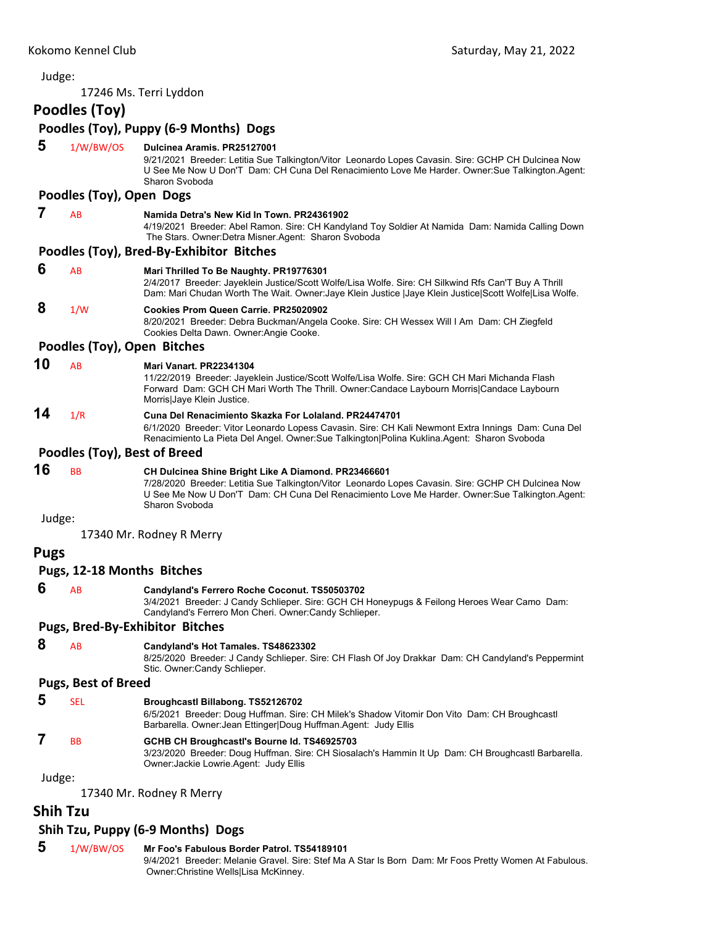## Judge: 17246 Ms. Terri Lyddon **Poodles (Toy) Poodles (Toy), Puppy (6‐9 Months) Dogs 5** 1/W/BW/OS **Dulcinea Aramis. PR25127001** 9/21/2021 Breeder: Letitia Sue Talkington/Vitor Leonardo Lopes Cavasin. Sire: GCHP CH Dulcinea Now U See Me Now U Don'T Dam: CH Cuna Del Renacimiento Love Me Harder. Owner:Sue Talkington.Agent: Sharon Svoboda **Poodles (Toy), Open Dogs 7** AB **Namida Detra's New Kid In Town. PR24361902** 4/19/2021 Breeder: Abel Ramon. Sire: CH Kandyland Toy Soldier At Namida Dam: Namida Calling Down The Stars. Owner:Detra Misner.Agent: Sharon Svoboda **Poodles (Toy), Bred‐By‐Exhibitor Bitches 6** AB **Mari Thrilled To Be Naughty. PR19776301** 2/4/2017 Breeder: Jayeklein Justice/Scott Wolfe/Lisa Wolfe. Sire: CH Silkwind Rfs Can'T Buy A Thrill Dam: Mari Chudan Worth The Wait. Owner:Jaye Klein Justice |Jaye Klein Justice|Scott Wolfe|Lisa Wolfe.  **8** 1/W **Cookies Prom Queen Carrie. PR25020902** 8/20/2021 Breeder: Debra Buckman/Angela Cooke. Sire: CH Wessex Will I Am Dam: CH Ziegfeld Cookies Delta Dawn. Owner:Angie Cooke. **Poodles (Toy), Open Bitches 10** AB **Mari Vanart. PR22341304** 11/22/2019 Breeder: Jayeklein Justice/Scott Wolfe/Lisa Wolfe. Sire: GCH CH Mari Michanda Flash Forward Dam: GCH CH Mari Worth The Thrill. Owner:Candace Laybourn Morris|Candace Laybourn Morris|Jaye Klein Justice. **14** 1/R **Cuna Del Renacimiento Skazka For Lolaland. PR24474701** 6/1/2020 Breeder: Vitor Leonardo Lopess Cavasin. Sire: CH Kali Newmont Extra Innings Dam: Cuna Del Renacimiento La Pieta Del Angel. Owner:Sue Talkington|Polina Kuklina.Agent: Sharon Svoboda **Poodles (Toy), Best of Breed 16** BB **CH Dulcinea Shine Bright Like A Diamond. PR23466601** 7/28/2020 Breeder: Letitia Sue Talkington/Vitor Leonardo Lopes Cavasin. Sire: GCHP CH Dulcinea Now U See Me Now U Don'T Dam: CH Cuna Del Renacimiento Love Me Harder. Owner:Sue Talkington.Agent: Sharon Svoboda Judge: 17340 Mr. Rodney R Merry **Pugs Pugs, 12‐18 Months Bitches 6** AB **Candyland's Ferrero Roche Coconut. TS50503702** 3/4/2021 Breeder: J Candy Schlieper. Sire: GCH CH Honeypugs & Feilong Heroes Wear Camo Dam: Candyland's Ferrero Mon Cheri. Owner:Candy Schlieper. **Pugs, Bred‐By‐Exhibitor Bitches 8** AB **Candyland's Hot Tamales. TS48623302** 8/25/2020 Breeder: J Candy Schlieper. Sire: CH Flash Of Joy Drakkar Dam: CH Candyland's Peppermint Stic. Owner:Candy Schlieper. **Pugs, Best of Breed 5** SEL **Broughcastl Billabong. TS52126702** 6/5/2021 Breeder: Doug Huffman. Sire: CH Milek's Shadow Vitomir Don Vito Dam: CH Broughcastl Barbarella. Owner:Jean Ettinger|Doug Huffman.Agent: Judy Ellis  **7** BB **GCHB CH Broughcastl's Bourne Id. TS46925703** 3/23/2020 Breeder: Doug Huffman. Sire: CH Siosalach's Hammin It Up Dam: CH Broughcastl Barbarella. Owner:Jackie Lowrie.Agent: Judy Ellis Judge: 17340 Mr. Rodney R Merry **Shih Tzu**

## **Shih Tzu, Puppy (6‐9 Months) Dogs**

 **5** 1/W/BW/OS **Mr Foo's Fabulous Border Patrol. TS54189101**

9/4/2021 Breeder: Melanie Gravel. Sire: Stef Ma A Star Is Born Dam: Mr Foos Pretty Women At Fabulous. Owner:Christine Wells|Lisa McKinney.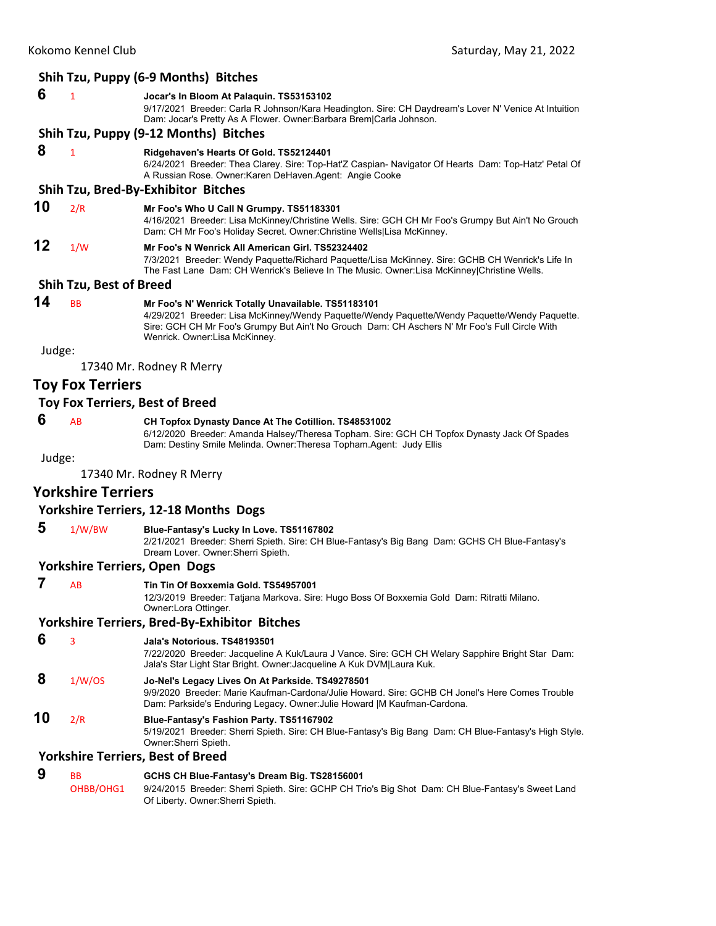|        |                                | Shih Tzu, Puppy (6-9 Months) Bitches                                                                                                                                                                                                                                                   |
|--------|--------------------------------|----------------------------------------------------------------------------------------------------------------------------------------------------------------------------------------------------------------------------------------------------------------------------------------|
| 6      | $\mathbf{1}$                   | Jocar's In Bloom At Palaguin. TS53153102<br>9/17/2021 Breeder: Carla R Johnson/Kara Headington. Sire: CH Daydream's Lover N' Venice At Intuition<br>Dam: Jocar's Pretty As A Flower. Owner: Barbara Brem Carla Johnson.                                                                |
|        |                                | Shih Tzu, Puppy (9-12 Months) Bitches                                                                                                                                                                                                                                                  |
| 8      | $\mathbf{1}$                   | Ridgehaven's Hearts Of Gold. TS52124401<br>6/24/2021 Breeder: Thea Clarey. Sire: Top-Hat'Z Caspian- Navigator Of Hearts Dam: Top-Hatz' Petal Of<br>A Russian Rose. Owner: Karen De Haven. Agent: Angie Cooke                                                                           |
|        |                                | Shih Tzu, Bred-By-Exhibitor Bitches                                                                                                                                                                                                                                                    |
| 10     | 2/R                            | Mr Foo's Who U Call N Grumpy. TS51183301<br>4/16/2021 Breeder: Lisa McKinney/Christine Wells. Sire: GCH CH Mr Foo's Grumpy But Ain't No Grouch<br>Dam: CH Mr Foo's Holiday Secret. Owner: Christine Wells Lisa McKinney.                                                               |
| 12     | 1/W                            | Mr Foo's N Wenrick All American Girl. TS52324402<br>7/3/2021 Breeder: Wendy Paquette/Richard Paquette/Lisa McKinney. Sire: GCHB CH Wenrick's Life In<br>The Fast Lane Dam: CH Wenrick's Believe In The Music. Owner:Lisa McKinney Christine Wells.                                     |
|        | <b>Shih Tzu, Best of Breed</b> |                                                                                                                                                                                                                                                                                        |
| 14     | <b>BB</b>                      | Mr Foo's N' Wenrick Totally Unavailable. TS51183101<br>4/29/2021 Breeder: Lisa McKinney/Wendy Paquette/Wendy Paquette/Wendy Paquette/Wendy Paquette.<br>Sire: GCH CH Mr Foo's Grumpy But Ain't No Grouch Dam: CH Aschers N' Mr Foo's Full Circle With<br>Wenrick. Owner:Lisa McKinney. |
| Judge: |                                |                                                                                                                                                                                                                                                                                        |
|        |                                | 17340 Mr. Rodney R Merry                                                                                                                                                                                                                                                               |
|        | <b>Toy Fox Terriers</b>        |                                                                                                                                                                                                                                                                                        |
|        |                                | Toy Fox Terriers, Best of Breed                                                                                                                                                                                                                                                        |
| 6      | AB                             | CH Topfox Dynasty Dance At The Cotillion. TS48531002<br>6/12/2020 Breeder: Amanda Halsey/Theresa Topham. Sire: GCH CH Topfox Dynasty Jack Of Spades<br>Dam: Destiny Smile Melinda. Owner: Theresa Topham. Agent: Judy Ellis                                                            |
| Judge: |                                | 17340 Mr. Rodney R Merry                                                                                                                                                                                                                                                               |
|        | <b>Yorkshire Terriers</b>      |                                                                                                                                                                                                                                                                                        |
|        |                                | <b>Yorkshire Terriers, 12-18 Months Dogs</b>                                                                                                                                                                                                                                           |
| 5      |                                |                                                                                                                                                                                                                                                                                        |
|        | 1/W/BW                         | Blue-Fantasy's Lucky In Love. TS51167802<br>2/21/2021 Breeder: Sherri Spieth. Sire: CH Blue-Fantasy's Big Bang Dam: GCHS CH Blue-Fantasy's<br>Dream Lover. Owner: Sherri Spieth.                                                                                                       |
|        |                                | <b>Yorkshire Terriers, Open Dogs</b>                                                                                                                                                                                                                                                   |
|        | AB                             | Tin Tin Of Boxxemia Gold. TS54957001<br>12/3/2019 Breeder: Tatjana Markova. Sire: Hugo Boss Of Boxxemia Gold Dam: Ritratti Milano.<br>Owner: Lora Ottinger.                                                                                                                            |
|        |                                | <b>Yorkshire Terriers, Bred-By-Exhibitor Bitches</b>                                                                                                                                                                                                                                   |
| 6      | 3                              | Jala's Notorious. TS48193501<br>7/22/2020 Breeder: Jacqueline A Kuk/Laura J Vance. Sire: GCH CH Welary Sapphire Bright Star Dam:<br>Jala's Star Light Star Bright. Owner: Jacqueline A Kuk DVM Laura Kuk.                                                                              |
| 8      | 1/W/OS                         | Jo-Nel's Legacy Lives On At Parkside. TS49278501<br>9/9/2020 Breeder: Marie Kaufman-Cardona/Julie Howard. Sire: GCHB CH Jonel's Here Comes Trouble<br>Dam: Parkside's Enduring Legacy. Owner: Julie Howard   M Kaufman-Cardona.                                                        |
| 10     | 2/R                            | Blue-Fantasy's Fashion Party. TS51167902<br>5/19/2021 Breeder: Sherri Spieth. Sire: CH Blue-Fantasy's Big Bang Dam: CH Blue-Fantasy's High Style.<br>Owner: Sherri Spieth.                                                                                                             |
|        |                                | <b>Yorkshire Terriers, Best of Breed</b>                                                                                                                                                                                                                                               |
| Q      |                                | COUR OU Dive Fentesyle Ducant Din TROOMFCOOM                                                                                                                                                                                                                                           |

 **9** BB **GCHS CH Blue-Fantasy's Dream Big. TS28156001** OHBB/OHG1 9/24/2015 Breeder: Sherri Spieth. Sire: GCHP CH Trio's Big Shot Dam: CH Blue-Fantasy's Sweet Land Of Liberty. Owner:Sherri Spieth.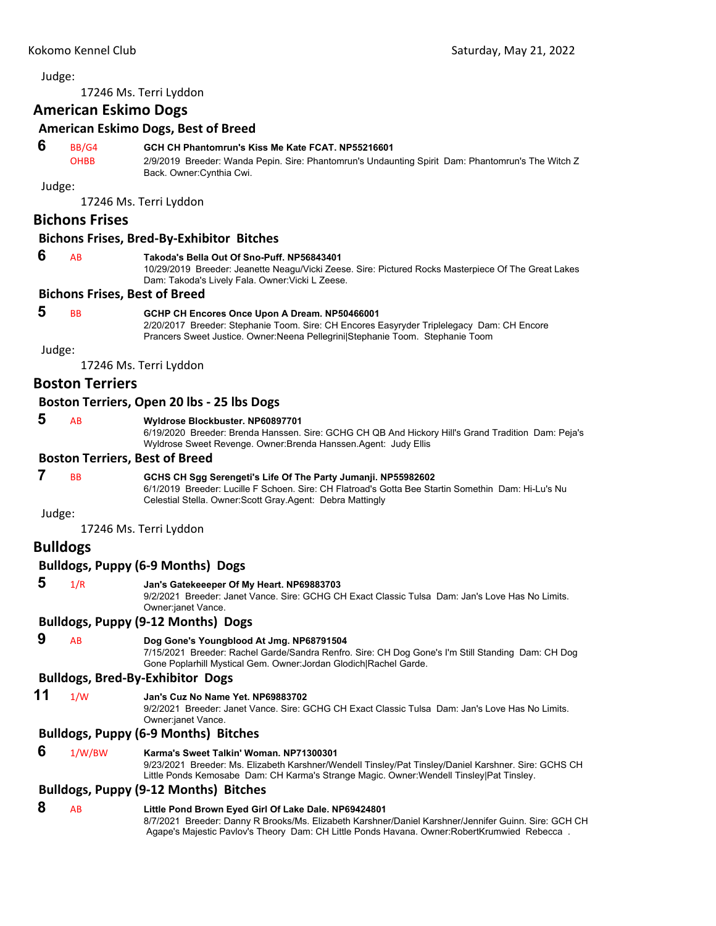<span id="page-37-0"></span>17246 Ms. Terri Lyddon

## **American Eskimo Dogs**

#### **American Eskimo Dogs, Best of Breed**

## **6** BB/G4 **GCH CH Phantomrun's Kiss Me Kate FCAT. NP55216601**

OHBB 2/9/2019 Breeder: Wanda Pepin. Sire: Phantomrun's Undaunting Spirit Dam: Phantomrun's The Witch Z Back. Owner:Cynthia Cwi.

Judge:

17246 Ms. Terri Lyddon

## **Bichons Frises**

#### **Bichons Frises, Bred‐By‐Exhibitor Bitches**

#### **6** AB **Takoda's Bella Out Of Sno-Puff. NP56843401**

10/29/2019 Breeder: Jeanette Neagu/Vicki Zeese. Sire: Pictured Rocks Masterpiece Of The Great Lakes Dam: Takoda's Lively Fala. Owner:Vicki L Zeese.

#### **Bichons Frises, Best of Breed**

## **5** BB **GCHP CH Encores Once Upon A Dream. NP50466001**

2/20/2017 Breeder: Stephanie Toom. Sire: CH Encores Easyryder Triplelegacy Dam: CH Encore Prancers Sweet Justice. Owner:Neena Pellegrini|Stephanie Toom. Stephanie Toom

Judge:

17246 Ms. Terri Lyddon

## **Boston Terriers**

#### **Boston Terriers, Open 20 lbs ‐ 25 lbs Dogs**

## **5** AB **Wyldrose Blockbuster. NP60897701**

6/19/2020 Breeder: Brenda Hanssen. Sire: GCHG CH QB And Hickory Hill's Grand Tradition Dam: Peja's Wyldrose Sweet Revenge. Owner:Brenda Hanssen.Agent: Judy Ellis

#### **Boston Terriers, Best of Breed**

## **7** BB **GCHS CH Sgg Serengeti's Life Of The Party Jumanji. NP55982602**

6/1/2019 Breeder: Lucille F Schoen. Sire: CH Flatroad's Gotta Bee Startin Somethin Dam: Hi-Lu's Nu Celestial Stella. Owner:Scott Gray.Agent: Debra Mattingly

## Judge:

17246 Ms. Terri Lyddon

## **Bulldogs**

#### **Bulldogs, Puppy (6‐9 Months) Dogs**

## **5** 1/R **Jan's Gatekeeeper Of My Heart. NP69883703**

9/2/2021 Breeder: Janet Vance. Sire: GCHG CH Exact Classic Tulsa Dam: Jan's Love Has No Limits. Owner:janet Vance.

## **Bulldogs, Puppy (9‐12 Months) Dogs**

#### **9** AB **Dog Gone's Youngblood At Jmg. NP68791504**

7/15/2021 Breeder: Rachel Garde/Sandra Renfro. Sire: CH Dog Gone's I'm Still Standing Dam: CH Dog Gone Poplarhill Mystical Gem. Owner:Jordan Glodich|Rachel Garde.

## **Bulldogs, Bred‐By‐Exhibitor Dogs**

## **11** 1/W **Jan's Cuz No Name Yet. NP69883702**

9/2/2021 Breeder: Janet Vance. Sire: GCHG CH Exact Classic Tulsa Dam: Jan's Love Has No Limits. Owner:janet Vance.

#### **Bulldogs, Puppy (6‐9 Months) Bitches**

#### **6** 1/W/BW **Karma's Sweet Talkin' Woman. NP71300301**

9/23/2021 Breeder: Ms. Elizabeth Karshner/Wendell Tinsley/Pat Tinsley/Daniel Karshner. Sire: GCHS CH Little Ponds Kemosabe Dam: CH Karma's Strange Magic. Owner:Wendell Tinsley|Pat Tinsley.

#### **Bulldogs, Puppy (9‐12 Months) Bitches**

#### **8** AB **Little Pond Brown Eyed Girl Of Lake Dale. NP69424801**

8/7/2021 Breeder: Danny R Brooks/Ms. Elizabeth Karshner/Daniel Karshner/Jennifer Guinn. Sire: GCH CH Agape's Majestic Pavlov's Theory Dam: CH Little Ponds Havana. Owner:RobertKrumwied Rebecca .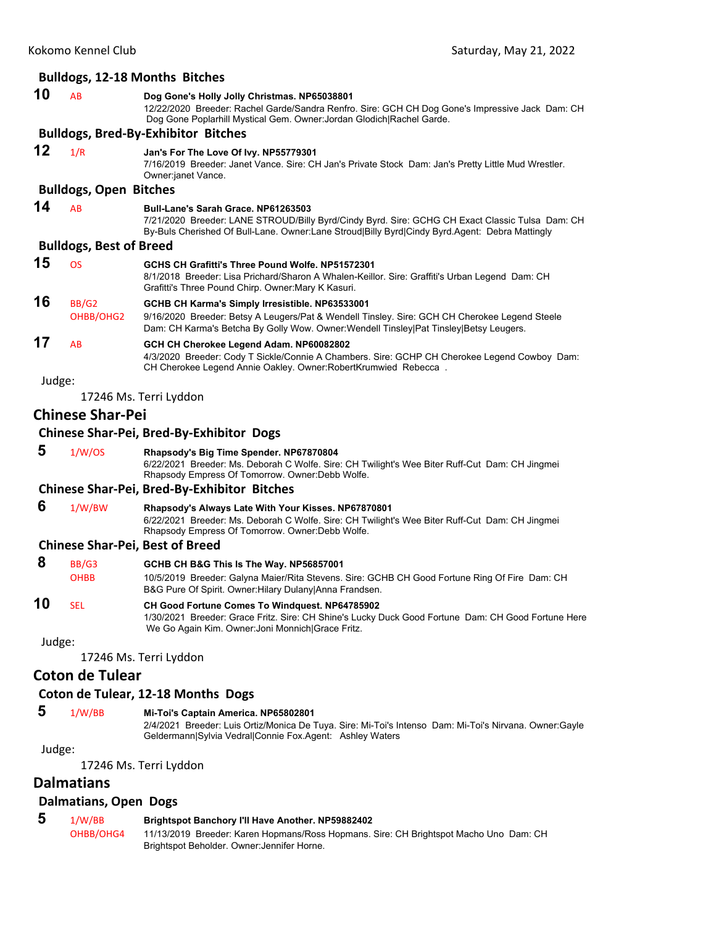## **Bulldogs, 12‐18 Months Bitches 10** AB **Dog Gone's Holly Jolly Christmas. NP65038801** 12/22/2020 Breeder: Rachel Garde/Sandra Renfro. Sire: GCH CH Dog Gone's Impressive Jack Dam: CH Dog Gone Poplarhill Mystical Gem. Owner:Jordan Glodich|Rachel Garde. **Bulldogs, Bred‐By‐Exhibitor Bitches 12** 1/R **Jan's For The Love Of Ivy. NP55779301** 7/16/2019 Breeder: Janet Vance. Sire: CH Jan's Private Stock Dam: Jan's Pretty Little Mud Wrestler. Owner:janet Vance. **Bulldogs, Open Bitches 14** AB **Bull-Lane's Sarah Grace. NP61263503** 7/21/2020 Breeder: LANE STROUD/Billy Byrd/Cindy Byrd. Sire: GCHG CH Exact Classic Tulsa Dam: CH By-Buls Cherished Of Bull-Lane. Owner:Lane Stroud|Billy Byrd|Cindy Byrd.Agent: Debra Mattingly **Bulldogs, Best of Breed 15** OS **GCHS CH Grafitti's Three Pound Wolfe. NP51572301** 8/1/2018 Breeder: Lisa Prichard/Sharon A Whalen-Keillor. Sire: Graffiti's Urban Legend Dam: CH Grafitti's Three Pound Chirp. Owner:Mary K Kasuri. **16** BB/G2 **GCHB CH Karma's Simply Irresistible. NP63533001** OHBB/OHG2 9/16/2020 Breeder: Betsy A Leugers/Pat & Wendell Tinsley. Sire: GCH CH Cherokee Legend Steele Dam: CH Karma's Betcha By Golly Wow. Owner:Wendell Tinsley|Pat Tinsley|Betsy Leugers. **17** AB **GCH CH Cherokee Legend Adam. NP60082802** 4/3/2020 Breeder: Cody T Sickle/Connie A Chambers. Sire: GCHP CH Cherokee Legend Cowboy Dam: CH Cherokee Legend Annie Oakley. Owner:RobertKrumwied Rebecca . Judge: 17246 Ms. Terri Lyddon **Chinese Shar‐Pei Chinese Shar‐Pei, Bred‐By‐Exhibitor Dogs 5** 1/W/OS **Rhapsody's Big Time Spender. NP67870804** 6/22/2021 Breeder: Ms. Deborah C Wolfe. Sire: CH Twilight's Wee Biter Ruff-Cut Dam: CH Jingmei Rhapsody Empress Of Tomorrow. Owner:Debb Wolfe. **Chinese Shar‐Pei, Bred‐By‐Exhibitor Bitches 6** 1/W/BW **Rhapsody's Always Late With Your Kisses. NP67870801** 6/22/2021 Breeder: Ms. Deborah C Wolfe. Sire: CH Twilight's Wee Biter Ruff-Cut Dam: CH Jingmei Rhapsody Empress Of Tomorrow. Owner:Debb Wolfe. **Chinese Shar‐Pei, Best of Breed 8** BB/G3 **GCHB CH B&G This Is The Way. NP56857001** OHBB 10/5/2019 Breeder: Galyna Maier/Rita Stevens. Sire: GCHB CH Good Fortune Ring Of Fire Dam: CH B&G Pure Of Spirit. Owner:Hilary Dulany|Anna Frandsen. **10** SEL **CH Good Fortune Comes To Windquest. NP64785902** 1/30/2021 Breeder: Grace Fritz. Sire: CH Shine's Lucky Duck Good Fortune Dam: CH Good Fortune Here We Go Again Kim. Owner:Joni Monnich|Grace Fritz. Judge: 17246 Ms. Terri Lyddon **Coton de Tulear**

## **Coton de Tulear, 12‐18 Months Dogs**

## **5** 1/W/BB **Mi-Toi's Captain America. NP65802801**

2/4/2021 Breeder: Luis Ortiz/Monica De Tuya. Sire: Mi-Toi's Intenso Dam: Mi-Toi's Nirvana. Owner:Gayle Geldermann|Sylvia Vedral|Connie Fox.Agent: Ashley Waters

Judge:

17246 Ms. Terri Lyddon

## **Dalmatians**

## **Dalmatians, Open Dogs**

 **5** 1/W/BB **Brightspot Banchory I'll Have Another. NP59882402** OHBB/OHG4 11/13/2019 Breeder: Karen Hopmans/Ross Hopmans. Sire: CH Brightspot Macho Uno Dam: CH Brightspot Beholder. Owner:Jennifer Horne.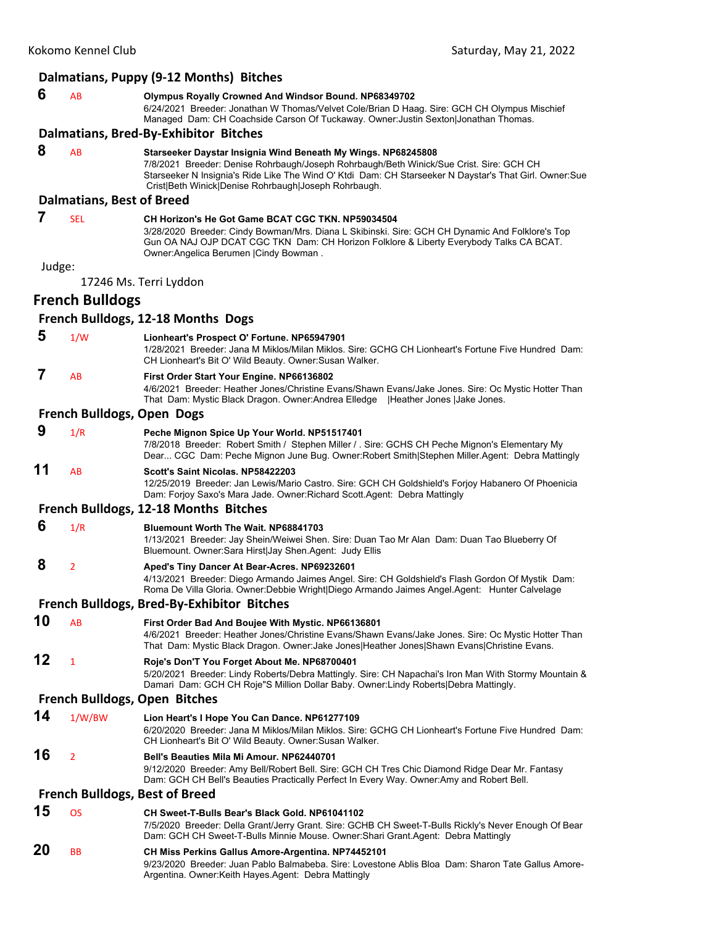|        |                                  | Dalmatians, Puppy (9-12 Months) Bitches                                                                                                                                                                                                                                                                                     |  |
|--------|----------------------------------|-----------------------------------------------------------------------------------------------------------------------------------------------------------------------------------------------------------------------------------------------------------------------------------------------------------------------------|--|
| 6      | AB                               | Olympus Royally Crowned And Windsor Bound. NP68349702<br>6/24/2021 Breeder: Jonathan W Thomas/Velvet Cole/Brian D Haag. Sire: GCH CH Olympus Mischief<br>Managed Dam: CH Coachside Carson Of Tuckaway. Owner: Justin Sexton Jonathan Thomas.                                                                                |  |
|        |                                  | Dalmatians, Bred-By-Exhibitor Bitches                                                                                                                                                                                                                                                                                       |  |
| 8      | AB                               | Starseeker Daystar Insignia Wind Beneath My Wings. NP68245808<br>7/8/2021 Breeder: Denise Rohrbaugh/Joseph Rohrbaugh/Beth Winick/Sue Crist. Sire: GCH CH<br>Starseeker N Insignia's Ride Like The Wind O' Ktdi Dam: CH Starseeker N Daystar's That Girl. Owner: Sue<br>Crist Beth Winick Denise Rohrbaugh Joseph Rohrbaugh. |  |
|        | <b>Dalmatians, Best of Breed</b> |                                                                                                                                                                                                                                                                                                                             |  |
| 7      | <b>SEL</b>                       | CH Horizon's He Got Game BCAT CGC TKN, NP59034504<br>3/28/2020 Breeder: Cindy Bowman/Mrs. Diana L Skibinski. Sire: GCH CH Dynamic And Folklore's Top<br>Gun OA NAJ OJP DCAT CGC TKN Dam: CH Horizon Folklore & Liberty Everybody Talks CA BCAT.<br>Owner: Angelica Berumen   Cindy Bowman.                                  |  |
| Judge: |                                  |                                                                                                                                                                                                                                                                                                                             |  |
|        |                                  | 17246 Ms. Terri Lyddon                                                                                                                                                                                                                                                                                                      |  |
|        | <b>French Bulldogs</b>           |                                                                                                                                                                                                                                                                                                                             |  |
|        |                                  | French Bulldogs, 12-18 Months Dogs                                                                                                                                                                                                                                                                                          |  |
| 5      | 1/W                              | Lionheart's Prospect O' Fortune. NP65947901<br>1/28/2021 Breeder: Jana M Miklos/Milan Miklos. Sire: GCHG CH Lionheart's Fortune Five Hundred Dam:<br>CH Lionheart's Bit O' Wild Beauty. Owner: Susan Walker.                                                                                                                |  |
| 7      | AB                               | First Order Start Your Engine. NP66136802<br>4/6/2021 Breeder: Heather Jones/Christine Evans/Shawn Evans/Jake Jones. Sire: Oc Mystic Hotter Than<br>That Dam: Mystic Black Dragon. Owner: Andrea Elledge   Heather Jones   Jake Jones.                                                                                      |  |
|        | French Bulldogs, Open Dogs       |                                                                                                                                                                                                                                                                                                                             |  |
| 9      | 1/R                              | Peche Mignon Spice Up Your World. NP51517401<br>7/8/2018 Breeder: Robert Smith / Stephen Miller / . Sire: GCHS CH Peche Mignon's Elementary My<br>Dear CGC Dam: Peche Mignon June Bug. Owner: Robert Smith Stephen Miller Agent: Debra Mattingly                                                                            |  |
| 11     | AB                               | Scott's Saint Nicolas, NP58422203<br>12/25/2019 Breeder: Jan Lewis/Mario Castro. Sire: GCH CH Goldshield's Forjoy Habanero Of Phoenicia<br>Dam: Forjoy Saxo's Mara Jade. Owner: Richard Scott. Agent: Debra Mattingly                                                                                                       |  |
|        |                                  | French Bulldogs, 12-18 Months Bitches                                                                                                                                                                                                                                                                                       |  |
| 6      | 1/R                              | <b>Bluemount Worth The Wait, NP68841703</b><br>1/13/2021 Breeder: Jay Shein/Weiwei Shen. Sire: Duan Tao Mr Alan Dam: Duan Tao Blueberry Of<br>Bluemount. Owner: Sara Hirst Jay Shen. Agent: Judy Ellis                                                                                                                      |  |
| 8      | 2                                | Aped's Tiny Dancer At Bear-Acres. NP69232601<br>4/13/2021 Breeder: Diego Armando Jaimes Angel. Sire: CH Goldshield's Flash Gordon Of Mystik Dam:<br>Roma De Villa Gloria. Owner:Debbie Wright Diego Armando Jaimes Angel.Agent: Hunter Calvelage                                                                            |  |
|        |                                  | French Bulldogs, Bred-By-Exhibitor Bitches                                                                                                                                                                                                                                                                                  |  |
| 10     | AB                               | First Order Bad And Boujee With Mystic. NP66136801<br>4/6/2021 Breeder: Heather Jones/Christine Evans/Shawn Evans/Jake Jones. Sire: Oc Mystic Hotter Than<br>That Dam: Mystic Black Dragon. Owner: Jake Jones Heather Jones Shawn Evans Christine Evans.                                                                    |  |
| 12     | 1                                | Roje's Don'T You Forget About Me. NP68700401<br>5/20/2021 Breeder: Lindy Roberts/Debra Mattingly. Sire: CH Napachai's Iron Man With Stormy Mountain &<br>Damari Dam: GCH CH Roje"S Million Dollar Baby. Owner: Lindy Roberts   Debra Mattingly.                                                                             |  |
|        |                                  | <b>French Bulldogs, Open Bitches</b>                                                                                                                                                                                                                                                                                        |  |
| 14     | 1/W/BW                           | Lion Heart's I Hope You Can Dance. NP61277109<br>6/20/2020 Breeder: Jana M Miklos/Milan Miklos. Sire: GCHG CH Lionheart's Fortune Five Hundred Dam:<br>CH Lionheart's Bit O' Wild Beauty. Owner: Susan Walker.                                                                                                              |  |
| 16     | $\overline{2}$                   | Bell's Beauties Mila Mi Amour. NP62440701<br>9/12/2020 Breeder: Amy Bell/Robert Bell. Sire: GCH CH Tres Chic Diamond Ridge Dear Mr. Fantasy<br>Dam: GCH CH Bell's Beauties Practically Perfect In Every Way. Owner:Amy and Robert Bell.                                                                                     |  |
|        |                                  | <b>French Bulldogs, Best of Breed</b>                                                                                                                                                                                                                                                                                       |  |
| 15     | <b>OS</b>                        | CH Sweet-T-Bulls Bear's Black Gold, NP61041102<br>7/5/2020 Breeder: Della Grant/Jerry Grant. Sire: GCHB CH Sweet-T-Bulls Rickly's Never Enough Of Bear<br>Dam: GCH CH Sweet-T-Bulls Minnie Mouse. Owner: Shari Grant.Agent: Debra Mattingly                                                                                 |  |
| 20     | ВB                               | CH Miss Perkins Gallus Amore-Argentina. NP74452101<br>9/23/2020 Breeder: Juan Pablo Balmabeba. Sire: Lovestone Ablis Bloa Dam: Sharon Tate Gallus Amore-                                                                                                                                                                    |  |

Argentina. Owner:Keith Hayes.Agent: Debra Mattingly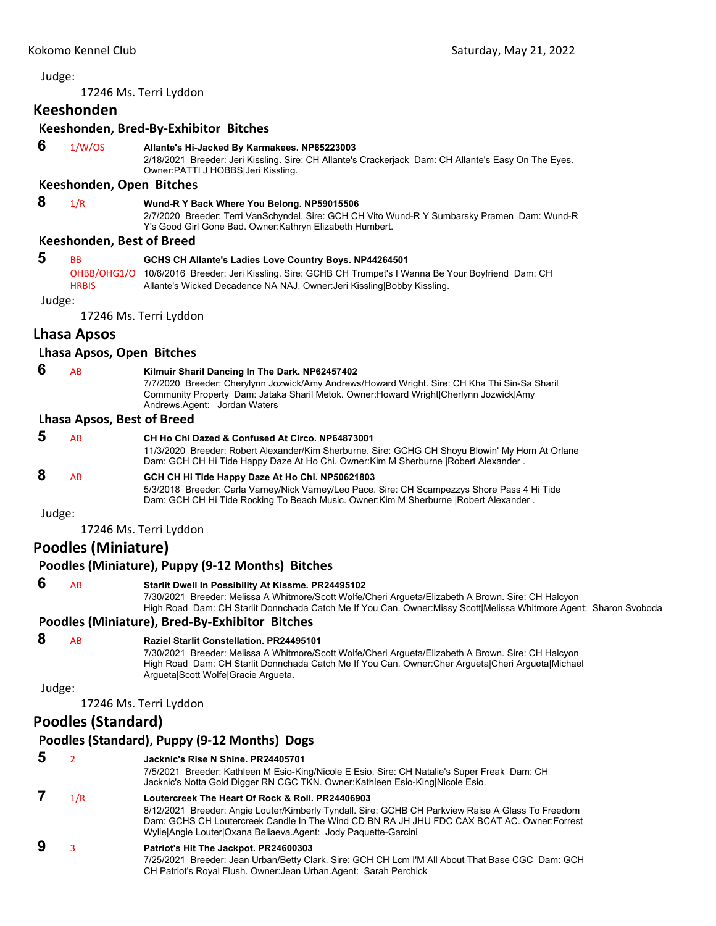17246 Ms. Terri Lyddon

## **Keeshonden**

## **Keeshonden, Bred‐By‐Exhibitor Bitches**

 **6** 1/W/OS **Allante's Hi-Jacked By Karmakees. NP65223003**

2/18/2021 Breeder: Jeri Kissling. Sire: CH Allante's Crackerjack Dam: CH Allante's Easy On The Eyes. Owner:PATTI J HOBBS|Jeri Kissling.

## **Keeshonden, Open Bitches**

 **8** 1/R **Wund-R Y Back Where You Belong. NP59015506**

2/7/2020 Breeder: Terri VanSchyndel. Sire: GCH CH Vito Wund-R Y Sumbarsky Pramen Dam: Wund-R Y's Good Girl Gone Bad. Owner:Kathryn Elizabeth Humbert.

## **Keeshonden, Best of Breed**

| -5 | <b>RR</b>    | GCHS CH Allante's Ladies Love Country Boys. NP44264501                                                  |  |  |
|----|--------------|---------------------------------------------------------------------------------------------------------|--|--|
|    |              | OHBB/OHG1/O 10/6/2016 Breeder: Jeri Kissling. Sire: GCHB CH Trumpet's I Wanna Be Your Boyfriend Dam: CH |  |  |
|    | <b>HRBIS</b> | Allante's Wicked Decadence NA NAJ. Owner: Jeri Kissling Bobby Kissling.                                 |  |  |

Judge:

17246 Ms. Terri Lyddon

## **Lhasa Apsos**

## **Lhasa Apsos, Open Bitches**

#### **6** AB **Kilmuir Sharil Dancing In The Dark. NP62457402**

7/7/2020 Breeder: Cherylynn Jozwick/Amy Andrews/Howard Wright. Sire: CH Kha Thi Sin-Sa Sharil Community Property Dam: Jataka Sharil Metok. Owner:Howard Wright|Cherlynn Jozwick|Amy Andrews.Agent: Jordan Waters

## **Lhasa Apsos, Best of Breed**

| .5     | AB        | CH Ho Chi Dazed & Confused At Circo, NP64873001<br>11/3/2020 Breeder: Robert Alexander/Kim Sherburne. Sire: GCHG CH Shoyu Blowin' My Horn At Orlane<br>Dam: GCH CH Hi Tide Happy Daze At Ho Chi. Owner: Kim M Sherburne   Robert Alexander. |
|--------|-----------|---------------------------------------------------------------------------------------------------------------------------------------------------------------------------------------------------------------------------------------------|
| 8      | <b>AB</b> | GCH CH Hi Tide Happy Daze At Ho Chi. NP50621803<br>5/3/2018 Breeder: Carla Varney/Nick Varney/Leo Pace. Sire: CH Scampezzys Shore Pass 4 Hi Tide<br>Dam: GCH CH Hi Tide Rocking To Beach Music. Owner: Kim M Sherburne   Robert Alexander.  |
| Judge: |           |                                                                                                                                                                                                                                             |

17246 Ms. Terri Lyddon

## **Poodles (Miniature)**

|  | Poodles (Miniature), Puppy (9-12 Months) Bitches |  |  |  |  |
|--|--------------------------------------------------|--|--|--|--|
|--|--------------------------------------------------|--|--|--|--|

 **6** AB **Starlit Dwell In Possibility At Kissme. PR24495102**

7/30/2021 Breeder: Melissa A Whitmore/Scott Wolfe/Cheri Argueta/Elizabeth A Brown. Sire: CH Halcyon High Road Dam: CH Starlit Donnchada Catch Me If You Can. Owner:Missy Scott|Melissa Whitmore.Agent: Sharon Svoboda

## **Poodles (Miniature), Bred‐By‐Exhibitor Bitches**

# **8** AB **Raziel Starlit Constellation. PR24495101**

7/30/2021 Breeder: Melissa A Whitmore/Scott Wolfe/Cheri Argueta/Elizabeth A Brown. Sire: CH Halcyon High Road Dam: CH Starlit Donnchada Catch Me If You Can. Owner:Cher Argueta|Cheri Argueta|Michael Argueta|Scott Wolfe|Gracie Argueta.

## Judge:

17246 Ms. Terri Lyddon

## **Poodles (Standard)**

## **Poodles (Standard), Puppy (9‐12 Months) Dogs**

| 5 |     | Jacknic's Rise N Shine, PR24405701<br>7/5/2021 Breeder: Kathleen M Esio-King/Nicole E Esio. Sire: CH Natalie's Super Freak Dam: CH<br>Jacknic's Notta Gold Digger RN CGC TKN. Owner: Kathleen Esio-King Nicole Esio.                                                                                                      |
|---|-----|---------------------------------------------------------------------------------------------------------------------------------------------------------------------------------------------------------------------------------------------------------------------------------------------------------------------------|
|   | 1/R | Loutercreek The Heart Of Rock & Roll, PR24406903<br>8/12/2021 Breeder: Angie Louter/Kimberly Tyndall. Sire: GCHB CH Parkview Raise A Glass To Freedom<br>Dam: GCHS CH Loutercreek Candle In The Wind CD BN RA JH JHU FDC CAX BCAT AC. Owner: Forrest<br>Wylie Angie Louter   Oxana Beliaeva. Agent: Jody Paguette-Garcini |
| 9 |     | Patriot's Hit The Jackpot. PR24600303<br>7/25/2021 Breeder: Jean Urban/Betty Clark. Sire: GCH CH Lcm I'M All About That Base CGC Dam: GCH<br>CH Patriot's Royal Flush. Owner: Jean Urban. Agent: Sarah Perchick                                                                                                           |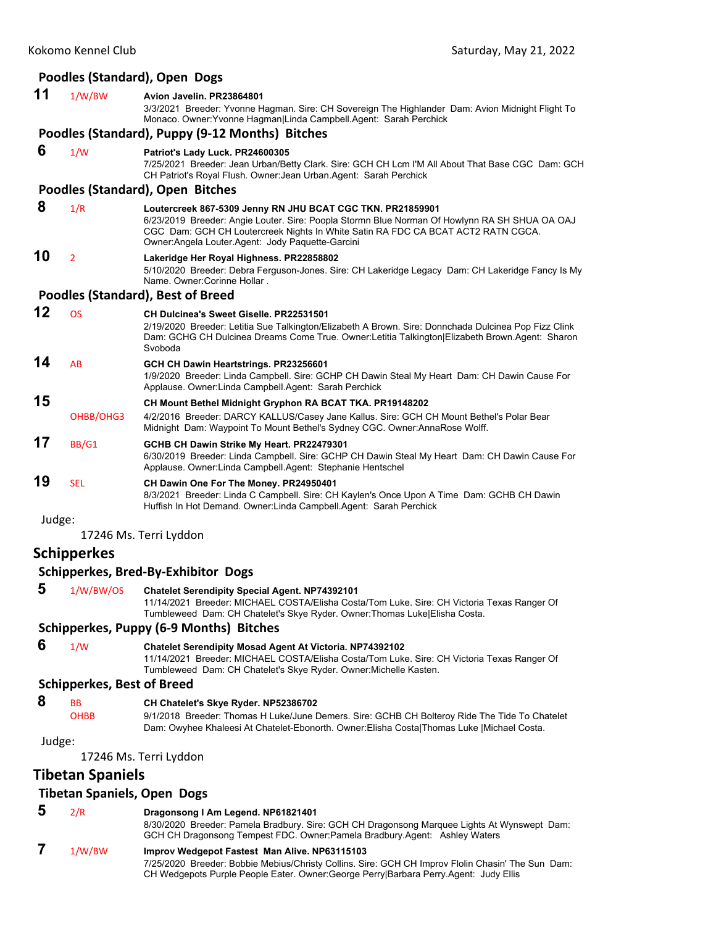## **Poodles (Standard), Open Dogs**

## **11** 1/W/BW **Avion Javelin. PR23864801**

3/3/2021 Breeder: Yvonne Hagman. Sire: CH Sovereign The Highlander Dam: Avion Midnight Flight To Monaco. Owner:Yvonne Hagman|Linda Campbell.Agent: Sarah Perchick

#### **Poodles (Standard), Puppy (9‐12 Months) Bitches**

#### **6** 1/W **Patriot's Lady Luck. PR24600305**

7/25/2021 Breeder: Jean Urban/Betty Clark. Sire: GCH CH Lcm I'M All About That Base CGC Dam: GCH CH Patriot's Royal Flush. Owner:Jean Urban.Agent: Sarah Perchick

CGC Dam: GCH CH Loutercreek Nights In White Satin RA FDC CA BCAT ACT2 RATN CGCA.

#### **Poodles (Standard), Open Bitches**

#### **8** 1/R **Loutercreek 867-5309 Jenny RN JHU BCAT CGC TKN. PR21859901** 6/23/2019 Breeder: Angie Louter. Sire: Poopla Stormn Blue Norman Of Howlynn RA SH SHUA OA OAJ

Owner:Angela Louter.Agent: Jody Paquette-Garcini

#### **10** <sup>2</sup> **Lakeridge Her Royal Highness. PR22858802**

5/10/2020 Breeder: Debra Ferguson-Jones. Sire: CH Lakeridge Legacy Dam: CH Lakeridge Fancy Is My Name. Owner:Corinne Hollar .

#### **Poodles (Standard), Best of Breed**

| 12 | OS         | <b>CH Dulcinea's Sweet Giselle, PR22531501</b><br>2/19/2020 Breeder: Letitia Sue Talkington/Elizabeth A Brown. Sire: Donnchada Dulcinea Pop Fizz Clink<br>Dam: GCHG CH Dulcinea Dreams Come True. Owner:Letitia Talkington Elizabeth Brown.Agent: Sharon<br>Svoboda |
|----|------------|---------------------------------------------------------------------------------------------------------------------------------------------------------------------------------------------------------------------------------------------------------------------|
| 14 | AB         | GCH CH Dawin Heartstrings. PR23256601<br>1/9/2020 Breeder: Linda Campbell. Sire: GCHP CH Dawin Steal My Heart Dam: CH Dawin Cause For<br>Applause. Owner: Linda Campbell. Agent: Sarah Perchick                                                                     |
| 15 |            | CH Mount Bethel Midnight Gryphon RA BCAT TKA. PR19148202                                                                                                                                                                                                            |
|    | OHBB/OHG3  | 4/2/2016 Breeder: DARCY KALLUS/Casey Jane Kallus. Sire: GCH CH Mount Bethel's Polar Bear<br>Midnight Dam: Waypoint To Mount Bethel's Sydney CGC. Owner: AnnaRose Wolff.                                                                                             |
| 17 | BB/G1      | GCHB CH Dawin Strike My Heart. PR22479301<br>6/30/2019 Breeder: Linda Campbell. Sire: GCHP CH Dawin Steal My Heart Dam: CH Dawin Cause For<br>Applause. Owner: Linda Campbell. Agent: Stephanie Hentschel                                                           |
| 19 | <b>SEL</b> | CH Dawin One For The Money. PR24950401<br>8/3/2021 Breeder: Linda C Campbell. Sire: CH Kaylen's Once Upon A Time Dam: GCHB CH Dawin<br>Huffish In Hot Demand. Owner: Linda Campbell. Agent: Sarah Perchick                                                          |

Judge:

17246 Ms. Terri Lyddon

## **Schipperkes**

#### **Schipperkes, Bred‐By‐Exhibitor Dogs**

 **5** 1/W/BW/OS **Chatelet Serendipity Special Agent. NP74392101** 11/14/2021 Breeder: MICHAEL COSTA/Elisha Costa/Tom Luke. Sire: CH Victoria Texas Ranger Of

Tumbleweed Dam: CH Chatelet's Skye Ryder. Owner:Thomas Luke|Elisha Costa.

## **Schipperkes, Puppy (6‐9 Months) Bitches**

 **6** 1/W **Chatelet Serendipity Mosad Agent At Victoria. NP74392102** 11/14/2021 Breeder: MICHAEL COSTA/Elisha Costa/Tom Luke. Sire: CH Victoria Texas Ranger Of Tumbleweed Dam: CH Chatelet's Skye Ryder. Owner:Michelle Kasten.

## **Schipperkes, Best of Breed**

- **8** BB **CH Chatelet's Skye Ryder. NP52386702**
	- OHBB 9/1/2018 Breeder: Thomas H Luke/June Demers. Sire: GCHB CH Bolteroy Ride The Tide To Chatelet Dam: Owyhee Khaleesi At Chatelet-Ebonorth. Owner:Elisha Costa|Thomas Luke |Michael Costa.

#### Judge:

17246 Ms. Terri Lyddon

## **Tibetan Spaniels**

## **Tibetan Spaniels, Open Dogs**

#### **5** 2/R **Dragonsong I Am Legend. NP61821401**

8/30/2020 Breeder: Pamela Bradbury. Sire: GCH CH Dragonsong Marquee Lights At Wynswept Dam: GCH CH Dragonsong Tempest FDC. Owner:Pamela Bradbury.Agent: Ashley Waters

## **7** 1/W/BW **Improv Wedgepot Fastest Man Alive. NP63115103**

7/25/2020 Breeder: Bobbie Mebius/Christy Collins. Sire: GCH CH Improv Flolin Chasin' The Sun Dam: CH Wedgepots Purple People Eater. Owner:George Perry|Barbara Perry.Agent: Judy Ellis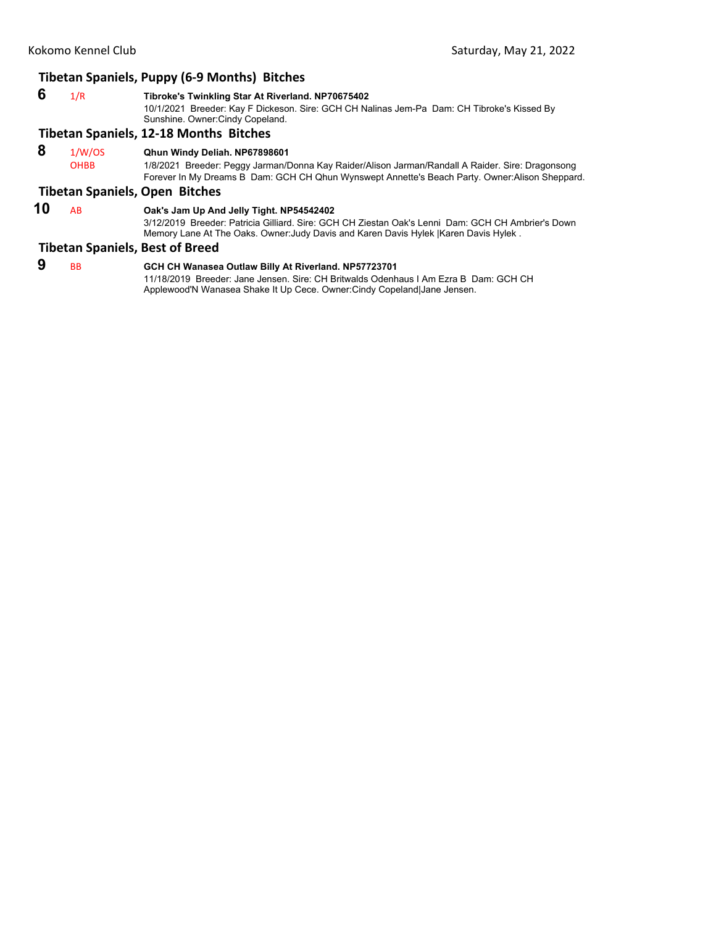## **Tibetan Spaniels, Puppy (6‐9 Months) Bitches**

 **6** 1/R **Tibroke's Twinkling Star At Riverland. NP70675402** 10/1/2021 Breeder: Kay F Dickeson. Sire: GCH CH Nalinas Jem-Pa Dam: CH Tibroke's Kissed By Sunshine. Owner:Cindy Copeland.

#### **Tibetan Spaniels, 12‐18 Months Bitches**

 **8** 1/W/OS **Qhun Windy Deliah. NP67898601**

OHBB 1/8/2021 Breeder: Peggy Jarman/Donna Kay Raider/Alison Jarman/Randall A Raider. Sire: Dragonsong Forever In My Dreams B Dam: GCH CH Qhun Wynswept Annette's Beach Party. Owner:Alison Sheppard.

## **Tibetan Spaniels, Open Bitches**

## **10** AB **Oak's Jam Up And Jelly Tight. NP54542402**

3/12/2019 Breeder: Patricia Gilliard. Sire: GCH CH Ziestan Oak's Lenni Dam: GCH CH Ambrier's Down Memory Lane At The Oaks. Owner:Judy Davis and Karen Davis Hylek |Karen Davis Hylek .

## **Tibetan Spaniels, Best of Breed**

 **9** BB **GCH CH Wanasea Outlaw Billy At Riverland. NP57723701** 11/18/2019 Breeder: Jane Jensen. Sire: CH Britwalds Odenhaus I Am Ezra B Dam: GCH CH

Applewood'N Wanasea Shake It Up Cece. Owner:Cindy Copeland|Jane Jensen.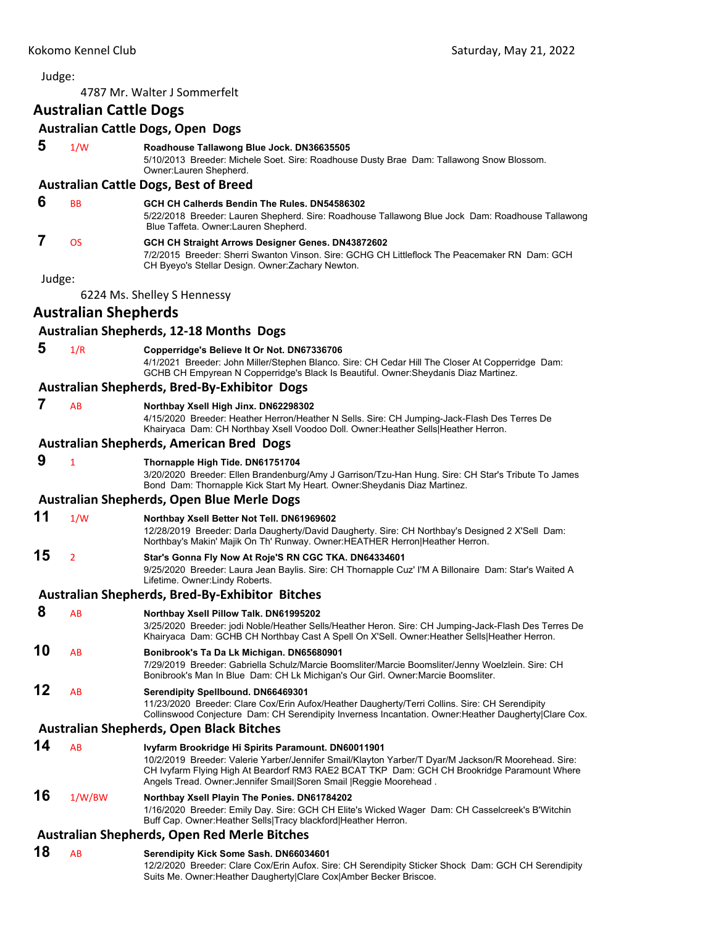## <span id="page-43-0"></span>4787 Mr. Walter J Sommerfelt **Australian Cattle Dogs Australian Cattle Dogs, Open Dogs 5** 1/W **Roadhouse Tallawong Blue Jock. DN36635505** 5/10/2013 Breeder: Michele Soet. Sire: Roadhouse Dusty Brae Dam: Tallawong Snow Blossom. Owner:Lauren Shepherd. **Australian Cattle Dogs, Best of Breed 6** BB **GCH CH Calherds Bendin The Rules. DN54586302** 5/22/2018 Breeder: Lauren Shepherd. Sire: Roadhouse Tallawong Blue Jock Dam: Roadhouse Tallawong Blue Taffeta. Owner:Lauren Shepherd.  **7** OS **GCH CH Straight Arrows Designer Genes. DN43872602** 7/2/2015 Breeder: Sherri Swanton Vinson. Sire: GCHG CH Littleflock The Peacemaker RN Dam: GCH CH Byeyo's Stellar Design. Owner:Zachary Newton. Judge: 6224 Ms. Shelley S Hennessy **Australian Shepherds Australian Shepherds, 12‐18 Months Dogs 5** 1/R **Copperridge's Believe It Or Not. DN67336706** 4/1/2021 Breeder: John Miller/Stephen Blanco. Sire: CH Cedar Hill The Closer At Copperridge Dam: GCHB CH Empyrean N Copperridge's Black Is Beautiful. Owner:Sheydanis Diaz Martinez. **Australian Shepherds, Bred‐By‐Exhibitor Dogs 7** AB **Northbay Xsell High Jinx. DN62298302** 4/15/2020 Breeder: Heather Herron/Heather N Sells. Sire: CH Jumping-Jack-Flash Des Terres De Khairyaca Dam: CH Northbay Xsell Voodoo Doll. Owner:Heather Sells|Heather Herron. **Australian Shepherds, American Bred Dogs 9** <sup>1</sup> **Thornapple High Tide. DN61751704** 3/20/2020 Breeder: Ellen Brandenburg/Amy J Garrison/Tzu-Han Hung. Sire: CH Star's Tribute To James Bond Dam: Thornapple Kick Start My Heart. Owner:Sheydanis Diaz Martinez. **Australian Shepherds, Open Blue Merle Dogs 11** 1/W **Northbay Xsell Better Not Tell. DN61969602** 12/28/2019 Breeder: Darla Daugherty/David Daugherty. Sire: CH Northbay's Designed 2 X'Sell Dam: Northbay's Makin' Majik On Th' Runway. Owner:HEATHER Herron|Heather Herron. **15** <sup>2</sup> **Star's Gonna Fly Now At Roje'S RN CGC TKA. DN64334601** 9/25/2020 Breeder: Laura Jean Baylis. Sire: CH Thornapple Cuz' I'M A Billonaire Dam: Star's Waited A Lifetime. Owner:Lindy Roberts. **Australian Shepherds, Bred‐By‐Exhibitor Bitches 8** AB **Northbay Xsell Pillow Talk. DN61995202** 3/25/2020 Breeder: jodi Noble/Heather Sells/Heather Heron. Sire: CH Jumping-Jack-Flash Des Terres De Khairyaca Dam: GCHB CH Northbay Cast A Spell On X'Sell. Owner:Heather Sells|Heather Herron. **10** AB **Bonibrook's Ta Da Lk Michigan. DN65680901** 7/29/2019 Breeder: Gabriella Schulz/Marcie Boomsliter/Marcie Boomsliter/Jenny Woelzlein. Sire: CH Bonibrook's Man In Blue Dam: CH Lk Michigan's Our Girl. Owner:Marcie Boomsliter. **12** AB **Serendipity Spellbound. DN66469301** 11/23/2020 Breeder: Clare Cox/Erin Aufox/Heather Daugherty/Terri Collins. Sire: CH Serendipity Collinswood Conjecture Dam: CH Serendipity Inverness Incantation. Owner:Heather Daugherty|Clare Cox. **Australian Shepherds, Open Black Bitches 14** AB **Ivyfarm Brookridge Hi Spirits Paramount. DN60011901** 10/2/2019 Breeder: Valerie Yarber/Jennifer Smail/Klayton Yarber/T Dyar/M Jackson/R Moorehead. Sire: CH Ivyfarm Flying High At Beardorf RM3 RAE2 BCAT TKP Dam: GCH CH Brookridge Paramount Where Angels Tread. Owner:Jennifer Smail|Soren Smail |Reggie Moorehead . **16** 1/W/BW **Northbay Xsell Playin The Ponies. DN61784202** 1/16/2020 Breeder: Emily Day. Sire: GCH CH Elite's Wicked Wager Dam: CH Casselcreek's B'Witchin Buff Cap. Owner:Heather Sells|Tracy blackford|Heather Herron. **Australian Shepherds, Open Red Merle Bitches 18** AB **Serendipity Kick Some Sash. DN66034601** 12/2/2020 Breeder: Clare Cox/Erin Aufox. Sire: CH Serendipity Sticker Shock Dam: GCH CH Serendipity

Suits Me. Owner:Heather Daugherty|Clare Cox|Amber Becker Briscoe.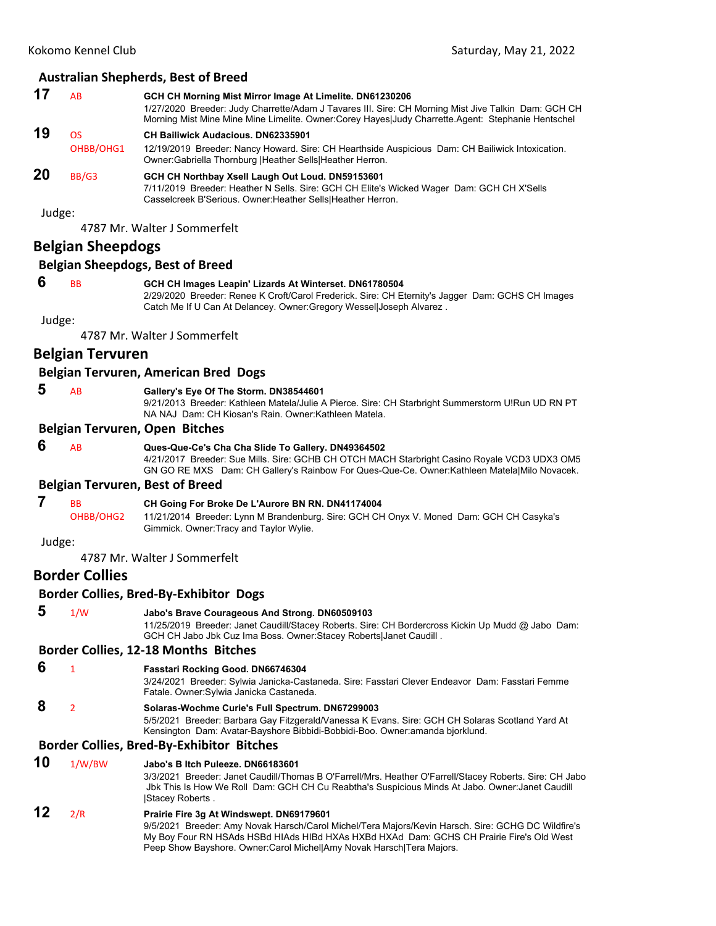|        |                          | <b>Australian Shepherds, Best of Breed</b>                                                                                                                                                                                                                           |
|--------|--------------------------|----------------------------------------------------------------------------------------------------------------------------------------------------------------------------------------------------------------------------------------------------------------------|
| 17     | AB                       | GCH CH Morning Mist Mirror Image At Limelite. DN61230206<br>1/27/2020 Breeder: Judy Charrette/Adam J Tavares III. Sire: CH Morning Mist Jive Talkin Dam: GCH CH<br>Morning Mist Mine Mine Mine Limelite. Owner:Corey Hayes Judy Charrette.Agent: Stephanie Hentschel |
| 19     | <b>OS</b>                | <b>CH Bailiwick Audacious, DN62335901</b>                                                                                                                                                                                                                            |
|        | OHBB/OHG1                | 12/19/2019 Breeder: Nancy Howard. Sire: CH Hearthside Auspicious Dam: CH Bailiwick Intoxication.<br>Owner: Gabriella Thornburg   Heather Sells  Heather Herron.                                                                                                      |
| 20     | BB/G3                    | GCH CH Northbay Xsell Laugh Out Loud. DN59153601<br>7/11/2019 Breeder: Heather N Sells. Sire: GCH CH Elite's Wicked Wager Dam: GCH CH X'Sells<br>Casselcreek B'Serious. Owner: Heather Sells   Heather Herron.                                                       |
| Judge: |                          | 4787 Mr. Walter J Sommerfelt                                                                                                                                                                                                                                         |
|        | <b>Belgian Sheepdogs</b> |                                                                                                                                                                                                                                                                      |
|        |                          | <b>Belgian Sheepdogs, Best of Breed</b>                                                                                                                                                                                                                              |
| 6      |                          |                                                                                                                                                                                                                                                                      |
|        | <b>BB</b>                | GCH CH Images Leapin' Lizards At Winterset. DN61780504<br>2/29/2020 Breeder: Renee K Croft/Carol Frederick. Sire: CH Eternity's Jagger Dam: GCHS CH Images<br>Catch Me If U Can At Delancey. Owner: Gregory Wessel Joseph Alvarez.                                   |
| Judge: |                          |                                                                                                                                                                                                                                                                      |
|        |                          | 4787 Mr. Walter J Sommerfelt                                                                                                                                                                                                                                         |
|        | <b>Belgian Tervuren</b>  |                                                                                                                                                                                                                                                                      |
|        |                          | Belgian Tervuren, American Bred Dogs                                                                                                                                                                                                                                 |
| 5      | AB                       | Gallery's Eye Of The Storm. DN38544601<br>9/21/2013 Breeder: Kathleen Matela/Julie A Pierce. Sire: CH Starbright Summerstorm U!Run UD RN PT<br>NA NAJ Dam: CH Kiosan's Rain. Owner: Kathleen Matela.                                                                 |
|        |                          | <b>Belgian Tervuren, Open Bitches</b>                                                                                                                                                                                                                                |
| 6      | AB                       | Ques-Que-Ce's Cha Cha Slide To Gallery. DN49364502                                                                                                                                                                                                                   |
|        |                          | 4/21/2017 Breeder: Sue Mills. Sire: GCHB CH OTCH MACH Starbright Casino Royale VCD3 UDX3 OM5<br>GN GO RE MXS Dam: CH Gallery's Rainbow For Ques-Que-Ce. Owner: Kathleen Matela Milo Novacek.                                                                         |
|        |                          | <b>Belgian Tervuren, Best of Breed</b>                                                                                                                                                                                                                               |
| 7      | <b>BB</b>                | CH Going For Broke De L'Aurore BN RN. DN41174004                                                                                                                                                                                                                     |
|        | OHBB/OHG2                | 11/21/2014 Breeder: Lynn M Brandenburg. Sire: GCH CH Onyx V. Moned Dam: GCH CH Casyka's<br>Gimmick. Owner: Tracy and Taylor Wylie.                                                                                                                                   |
| Judge: |                          |                                                                                                                                                                                                                                                                      |
|        |                          | 4787 Mr. Walter J Sommerfelt                                                                                                                                                                                                                                         |
|        | <b>Border Collies</b>    |                                                                                                                                                                                                                                                                      |
|        |                          | <b>Border Collies, Bred-By-Exhibitor Dogs</b>                                                                                                                                                                                                                        |
| 5      | 1/W                      | Jabo's Brave Courageous And Strong. DN60509103<br>11/25/2019 Breeder: Janet Caudill/Stacey Roberts. Sire: CH Bordercross Kickin Up Mudd @ Jabo Dam:<br>GCH CH Jabo Jbk Cuz Ima Boss. Owner: Stacey Roberts Janet Caudill.                                            |
|        |                          | <b>Border Collies, 12-18 Months Bitches</b>                                                                                                                                                                                                                          |
| 6      | $\mathbf{1}$             | Fasstari Rocking Good. DN66746304<br>3/24/2021 Breeder: Sylwia Janicka-Castaneda. Sire: Fasstari Clever Endeavor Dam: Fasstari Femme<br>Fatale. Owner: Sylwia Janicka Castaneda.                                                                                     |
| 8      | $\overline{2}$           | Solaras-Wochme Curie's Full Spectrum. DN67299003<br>5/5/2021 Breeder: Barbara Gay Fitzgerald/Vanessa K Evans. Sire: GCH CH Solaras Scotland Yard At<br>Kensington Dam: Avatar-Bayshore Bibbidi-Bobbidi-Boo. Owner:amanda bjorklund.                                  |

## **Border Collies, Bred‐By‐Exhibitor Bitches**

| 10 | 1/W/BW | Jabo's B Itch Puleeze, DN66183601<br>3/3/2021 Breeder: Janet Caudill/Thomas B O'Farrell/Mrs. Heather O'Farrell/Stacey Roberts. Sire: CH Jabo<br>Jbk This Is How We Roll Dam: GCH CH Cu Reabtha's Suspicious Minds At Jabo. Owner: Janet Caudill<br>Stacey Roberts. |
|----|--------|--------------------------------------------------------------------------------------------------------------------------------------------------------------------------------------------------------------------------------------------------------------------|
| 12 | 2/R    | Prairie Fire 3g At Windswept. DN69179601<br>9/5/2021 Breeder: Amy Novak Harsch/Carol Michel/Tera Majors/Kevin Harsch. Sire: GCHG DC Wildfire's                                                                                                                     |

Peep Show Bayshore. Owner:Carol Michel|Amy Novak Harsch|Tera Majors.

My Boy Four RN HSAds HSBd HIAds HIBd HXAs HXBd HXAd Dam: GCHS CH Prairie Fire's Old West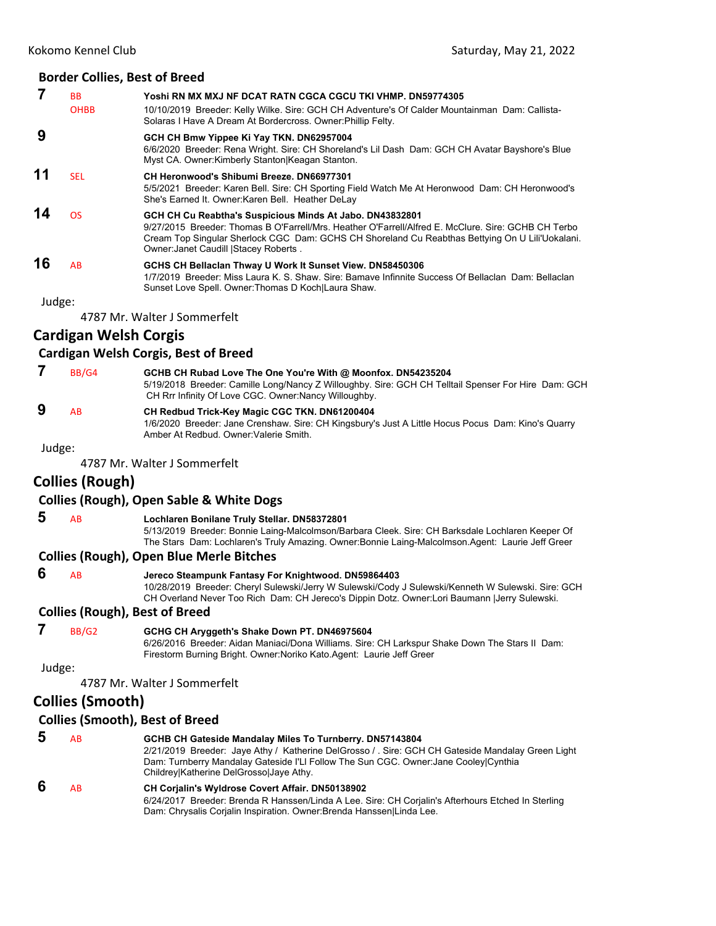#### **Border Collies, Best of Breed**

|    | ВB<br><b>OHBB</b> | Yoshi RN MX MXJ NF DCAT RATN CGCA CGCU TKI VHMP. DN59774305<br>10/10/2019 Breeder: Kelly Wilke. Sire: GCH CH Adventure's Of Calder Mountainman Dam: Callista-<br>Solaras I Have A Dream At Bordercross. Owner: Phillip Felty.                                                                                |
|----|-------------------|--------------------------------------------------------------------------------------------------------------------------------------------------------------------------------------------------------------------------------------------------------------------------------------------------------------|
| 9  |                   | GCH CH Bmw Yippee Ki Yay TKN. DN62957004<br>6/6/2020 Breeder: Rena Wright, Sire: CH Shoreland's Lil Dash Dam: GCH CH Avatar Bayshore's Blue<br>Myst CA. Owner: Kimberly Stanton Keagan Stanton.                                                                                                              |
| 11 | <b>SEL</b>        | CH Heronwood's Shibumi Breeze, DN66977301<br>5/5/2021 Breeder: Karen Bell. Sire: CH Sporting Field Watch Me At Heronwood Dam: CH Heronwood's<br>She's Earned It. Owner: Karen Bell. Heather DeLay                                                                                                            |
| 14 | <b>OS</b>         | GCH CH Cu Reabtha's Suspicious Minds At Jabo. DN43832801<br>9/27/2015 Breeder: Thomas B O'Farrell/Mrs. Heather O'Farrell/Alfred E. McClure, Sire: GCHB CH Terbo<br>Cream Top Singular Sherlock CGC Dam: GCHS CH Shoreland Cu Reabthas Bettying On U Lili'Uokalani.<br>Owner: Janet Caudill   Stacey Roberts. |
| 16 | AB                | GCHS CH Bellacian Thway U Work It Sunset View. DN58450306<br>1/7/2019 Breeder: Miss Laura K. S. Shaw, Sire: Bamaye Infinnite Success Of Bellaclan Dam: Bellaclan<br>Sunset Love Spell. Owner: Thomas D Koch Laura Shaw.                                                                                      |

Judge:

4787 Mr. Walter J Sommerfelt

## **Cardigan Welsh Corgis**

## **Cardigan Welsh Corgis, Best of Breed**

|    | BB/G4 | GCHB CH Rubad Love The One You're With @ Moonfox. DN54235204                                        |
|----|-------|-----------------------------------------------------------------------------------------------------|
|    |       | 5/19/2018 Breeder: Camille Long/Nancy Z Willoughby. Sire: GCH CH Telltail Spenser For Hire Dam: GCH |
|    |       | CH Rrr Infinity Of Love CGC. Owner: Nancy Willoughby.                                               |
| -9 | ΔR.   | CH Redbud Trick-Key Magic CGC TKN. DN61200404                                                       |

1/6/2020 Breeder: Jane Crenshaw. Sire: CH Kingsbury's Just A Little Hocus Pocus Dam: Kino's Quarry Amber At Redbud. Owner:Valerie Smith.

Judge:

4787 Mr. Walter J Sommerfelt

## **Collies (Rough)**

## **Collies (Rough), Open Sable & White Dogs**

## **5** AB **Lochlaren Bonilane Truly Stellar. DN58372801**

5/13/2019 Breeder: Bonnie Laing-Malcolmson/Barbara Cleek. Sire: CH Barksdale Lochlaren Keeper Of The Stars Dam: Lochlaren's Truly Amazing. Owner:Bonnie Laing-Malcolmson.Agent: Laurie Jeff Greer

## **Collies (Rough), Open Blue Merle Bitches**

 **6** AB **Jereco Steampunk Fantasy For Knightwood. DN59864403**

10/28/2019 Breeder: Cheryl Sulewski/Jerry W Sulewski/Cody J Sulewski/Kenneth W Sulewski. Sire: GCH CH Overland Never Too Rich Dam: CH Jereco's Dippin Dotz. Owner:Lori Baumann |Jerry Sulewski.

## **Collies (Rough), Best of Breed**

## **7** BB/G2 **GCHG CH Aryggeth's Shake Down PT. DN46975604**

6/26/2016 Breeder: Aidan Maniaci/Dona Williams. Sire: CH Larkspur Shake Down The Stars II Dam: Firestorm Burning Bright. Owner:Noriko Kato.Agent: Laurie Jeff Greer

## Judge:

4787 Mr. Walter J Sommerfelt

## **Collies (Smooth)**

## **Collies (Smooth), Best of Breed**

| b | AB | <b>GCHB CH Gateside Mandalay Miles To Turnberry. DN57143804</b><br>2/21/2019 Breeder: Jaye Athy / Katherine DelGrosso / . Sire: GCH CH Gateside Mandalay Green Light<br>Dam: Turnberry Mandalay Gateside I'LI Follow The Sun CGC. Owner: Jane Cooley Cynthia<br>Childrey Katherine DelGrosso Jaye Athy. |
|---|----|---------------------------------------------------------------------------------------------------------------------------------------------------------------------------------------------------------------------------------------------------------------------------------------------------------|
| 6 | AB | <b>CH Corialin's Wyldrose Covert Affair. DN50138902</b><br>6/24/2017 Breeder: Brenda R Hanssen/Linda A Lee. Sire: CH Corjalin's Afterhours Etched In Sterling<br>Dam: Chrysalis Corjalin Inspiration. Owner: Brenda Hanssen Linda Lee.                                                                  |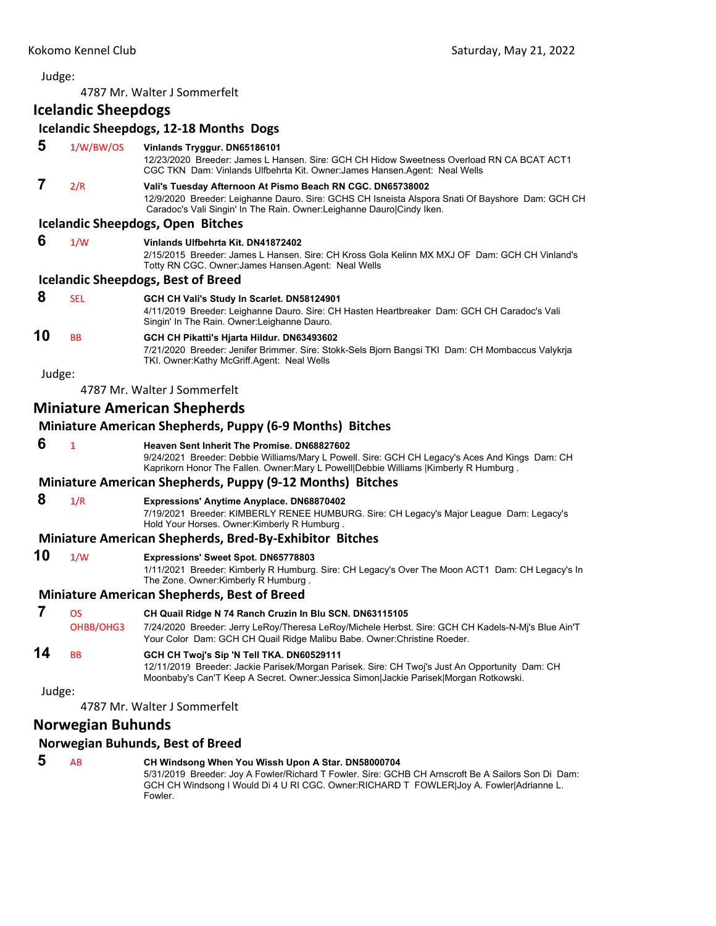4787 Mr. Walter J Sommerfelt

**Icelandic Sheepdogs**

|        | isciamais siicepaogs     |                                                                                                                                                                                                                                                                |
|--------|--------------------------|----------------------------------------------------------------------------------------------------------------------------------------------------------------------------------------------------------------------------------------------------------------|
|        |                          | Icelandic Sheepdogs, 12-18 Months Dogs                                                                                                                                                                                                                         |
| 5      | 1/W/BW/OS                | Vinlands Tryggur. DN65186101<br>12/23/2020 Breeder: James L Hansen. Sire: GCH CH Hidow Sweetness Overload RN CA BCAT ACT1<br>CGC TKN Dam: Vinlands Ulfbehrta Kit. Owner: James Hansen. Agent: Neal Wells                                                       |
| 7      | 2/R                      | Vali's Tuesday Afternoon At Pismo Beach RN CGC. DN65738002<br>12/9/2020 Breeder: Leighanne Dauro. Sire: GCHS CH Isneista Alspora Snati Of Bayshore Dam: GCH CH<br>Caradoc's Vali Singin' In The Rain. Owner: Leighanne Dauro Cindy Iken.                       |
|        |                          | <b>Icelandic Sheepdogs, Open Bitches</b>                                                                                                                                                                                                                       |
| 6      | 1/W                      | Vinlands Ulfbehrta Kit. DN41872402<br>2/15/2015 Breeder: James L Hansen. Sire: CH Kross Gola Kelinn MX MXJ OF Dam: GCH CH Vinland's<br>Totty RN CGC. Owner: James Hansen. Agent: Neal Wells                                                                    |
|        |                          | <b>Icelandic Sheepdogs, Best of Breed</b>                                                                                                                                                                                                                      |
| 8      | <b>SEL</b>               | GCH CH Vali's Study In Scarlet. DN58124901<br>4/11/2019 Breeder: Leighanne Dauro. Sire: CH Hasten Heartbreaker Dam: GCH CH Caradoc's Vali<br>Singin' In The Rain. Owner: Leighanne Dauro.                                                                      |
| 10     | BB                       | GCH CH Pikatti's Hjarta Hildur. DN63493602<br>7/21/2020 Breeder: Jenifer Brimmer. Sire: Stokk-Sels Bjorn Bangsi TKI Dam: CH Mombaccus Valykrja<br>TKI. Owner:Kathy McGriff.Agent: Neal Wells                                                                   |
| Judge: |                          |                                                                                                                                                                                                                                                                |
|        |                          | 4787 Mr. Walter J Sommerfelt                                                                                                                                                                                                                                   |
|        |                          | <b>Miniature American Shepherds</b>                                                                                                                                                                                                                            |
|        |                          | <b>Miniature American Shepherds, Puppy (6-9 Months) Bitches</b>                                                                                                                                                                                                |
| 6      | $\mathbf{1}$             | Heaven Sent Inherit The Promise, DN68827602<br>9/24/2021 Breeder: Debbie Williams/Mary L Powell. Sire: GCH CH Legacy's Aces And Kings Dam: CH<br>Kaprikorn Honor The Fallen. Owner: Mary L Powell Debbie Williams   Kimberly R Humburg.                        |
|        |                          | Miniature American Shepherds, Puppy (9-12 Months) Bitches                                                                                                                                                                                                      |
| 8      | 1/R                      | Expressions' Anytime Anyplace. DN68870402<br>7/19/2021 Breeder: KIMBERLY RENEE HUMBURG. Sire: CH Legacy's Major League Dam: Legacy's<br>Hold Your Horses. Owner: Kimberly R Humburg.                                                                           |
|        |                          | <b>Miniature American Shepherds, Bred-By-Exhibitor Bitches</b>                                                                                                                                                                                                 |
| 10     | 1/W                      | Expressions' Sweet Spot. DN65778803<br>1/11/2021 Breeder: Kimberly R Humburg. Sire: CH Legacy's Over The Moon ACT1 Dam: CH Legacy's In<br>The Zone. Owner: Kimberly R Humburg.                                                                                 |
|        |                          | <b>Miniature American Shepherds, Best of Breed</b>                                                                                                                                                                                                             |
| 7      | OS<br>OHBB/OHG3          | CH Quail Ridge N 74 Ranch Cruzin In Blu SCN. DN63115105<br>7/24/2020 Breeder: Jerry LeRoy/Theresa LeRoy/Michele Herbst. Sire: GCH CH Kadels-N-Mj's Blue Ain'T<br>Your Color Dam: GCH CH Quail Ridge Malibu Babe. Owner: Christine Roeder.                      |
| 14     | BB                       | GCH CH Twoj's Sip 'N Tell TKA. DN60529111<br>12/11/2019 Breeder: Jackie Parisek/Morgan Parisek. Sire: CH Twoj's Just An Opportunity Dam: CH<br>Moonbaby's Can'T Keep A Secret. Owner: Jessica Simon Jackie Parisek Morgan Rotkowski.                           |
| Judge: |                          |                                                                                                                                                                                                                                                                |
|        |                          | 4787 Mr. Walter J Sommerfelt                                                                                                                                                                                                                                   |
|        | <b>Norwegian Buhunds</b> |                                                                                                                                                                                                                                                                |
|        |                          | Norwegian Buhunds, Best of Breed                                                                                                                                                                                                                               |
| 5      | AB                       | CH Windsong When You Wissh Upon A Star. DN58000704<br>5/31/2019 Breeder: Joy A Fowler/Richard T Fowler. Sire: GCHB CH Arnscroft Be A Sailors Son Di Dam:<br>GCH CH Windsong I Would Di 4 U RI CGC. Owner:RICHARD T FOWLER Joy A. Fowler Adrianne L.<br>Fowler. |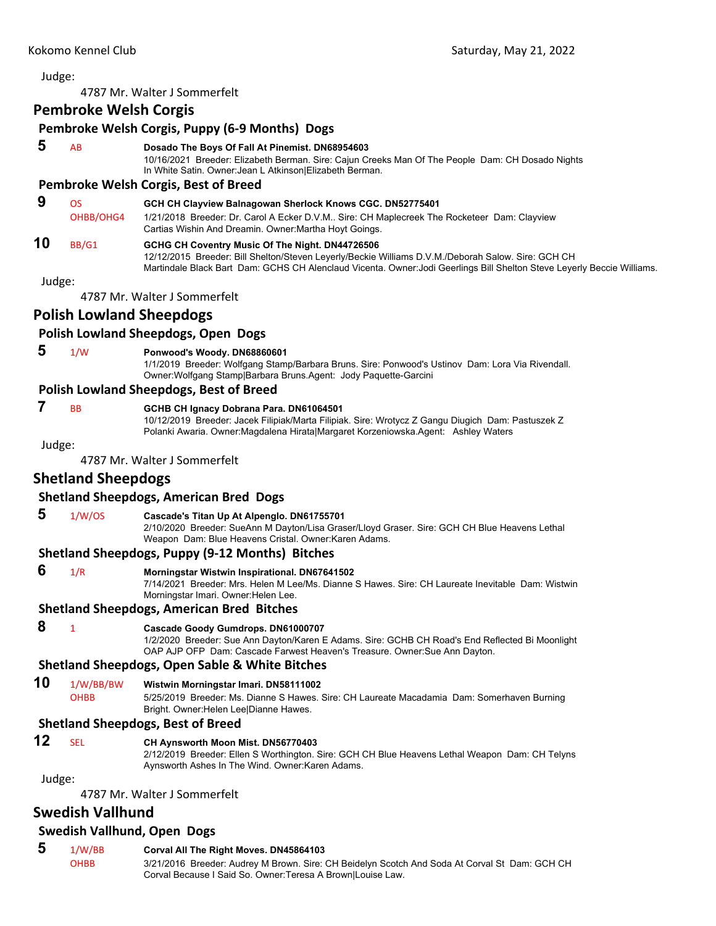## 4787 Mr. Walter J Sommerfelt **Pembroke Welsh Corgis Pembroke Welsh Corgis, Puppy (6‐9 Months) Dogs 5** AB **Dosado The Boys Of Fall At Pinemist. DN68954603** 10/16/2021 Breeder: Elizabeth Berman. Sire: Cajun Creeks Man Of The People Dam: CH Dosado Nights In White Satin. Owner:Jean L Atkinson|Elizabeth Berman. **Pembroke Welsh Corgis, Best of Breed 9** OS **GCH CH Clayview Balnagowan Sherlock Knows CGC. DN52775401** OHBB/OHG4 1/21/2018 Breeder: Dr. Carol A Ecker D.V.M.. Sire: CH Maplecreek The Rocketeer Dam: Clayview Cartias Wishin And Dreamin. Owner:Martha Hoyt Goings. **10** BB/G1 **GCHG CH Coventry Music Of The Night. DN44726506** 12/12/2015 Breeder: Bill Shelton/Steven Leyerly/Beckie Williams D.V.M./Deborah Salow. Sire: GCH CH Martindale Black Bart Dam: GCHS CH Alenclaud Vicenta. Owner:Jodi Geerlings Bill Shelton Steve Leyerly Beccie Williams. Judge: 4787 Mr. Walter J Sommerfelt **Polish Lowland Sheepdogs Polish Lowland Sheepdogs, Open Dogs 5** 1/W **Ponwood's Woody. DN68860601** 1/1/2019 Breeder: Wolfgang Stamp/Barbara Bruns. Sire: Ponwood's Ustinov Dam: Lora Via Rivendall. Owner:Wolfgang Stamp|Barbara Bruns.Agent: Jody Paquette-Garcini **Polish Lowland Sheepdogs, Best of Breed 7** BB **GCHB CH Ignacy Dobrana Para. DN61064501** 10/12/2019 Breeder: Jacek Filipiak/Marta Filipiak. Sire: Wrotycz Z Gangu Diugich Dam: Pastuszek Z Polanki Awaria. Owner:Magdalena Hirata|Margaret Korzeniowska.Agent: Ashley Waters Judge: 4787 Mr. Walter J Sommerfelt **Shetland Sheepdogs Shetland Sheepdogs, American Bred Dogs 5** 1/W/OS **Cascade's Titan Up At Alpenglo. DN61755701** 2/10/2020 Breeder: SueAnn M Dayton/Lisa Graser/Lloyd Graser. Sire: GCH CH Blue Heavens Lethal Weapon Dam: Blue Heavens Cristal. Owner:Karen Adams. **Shetland Sheepdogs, Puppy (9‐12 Months) Bitches 6** 1/R **Morningstar Wistwin Inspirational. DN67641502** 7/14/2021 Breeder: Mrs. Helen M Lee/Ms. Dianne S Hawes. Sire: CH Laureate Inevitable Dam: Wistwin Morningstar Imari. Owner:Helen Lee.

#### **Shetland Sheepdogs, American Bred Bitches**

## **8** <sup>1</sup> **Cascade Goody Gumdrops. DN61000707**

1/2/2020 Breeder: Sue Ann Dayton/Karen E Adams. Sire: GCHB CH Road's End Reflected Bi Moonlight OAP AJP OFP Dam: Cascade Farwest Heaven's Treasure. Owner:Sue Ann Dayton.

## **Shetland Sheepdogs, Open Sable & White Bitches**

**10** 1/W/BB/BW **Wistwin Morningstar Imari. DN58111002** OHBB 5/25/2019 Breeder: Ms. Dianne S Hawes. Sire: CH Laureate Macadamia Dam: Somerhaven Burning Bright. Owner:Helen Lee|Dianne Hawes.

## **Shetland Sheepdogs, Best of Breed**

## **12** SEL **CH Aynsworth Moon Mist. DN56770403**

2/12/2019 Breeder: Ellen S Worthington. Sire: GCH CH Blue Heavens Lethal Weapon Dam: CH Telyns Aynsworth Ashes In The Wind. Owner:Karen Adams.

Judge:

4787 Mr. Walter J Sommerfelt

## **Swedish Vallhund**

## **Swedish Vallhund, Open Dogs**

## **5** 1/W/BB **Corval All The Right Moves. DN45864103**

OHBB 3/21/2016 Breeder: Audrey M Brown. Sire: CH Beidelyn Scotch And Soda At Corval St Dam: GCH CH Corval Because I Said So. Owner:Teresa A Brown|Louise Law.